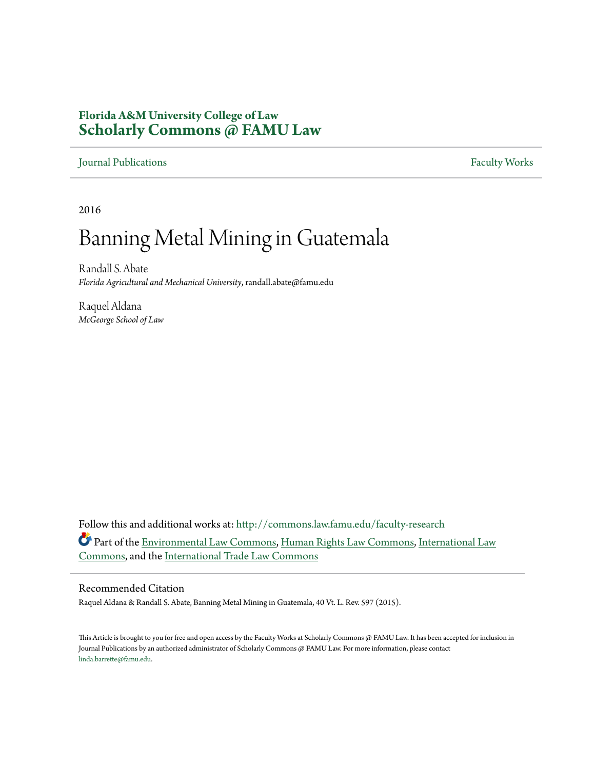# **Florida A&M University College of Law [Scholarly Commons @ FAMU Law](http://commons.law.famu.edu?utm_source=commons.law.famu.edu%2Ffaculty-research%2F203&utm_medium=PDF&utm_campaign=PDFCoverPages)**

# [Journal Publications](http://commons.law.famu.edu/faculty-research?utm_source=commons.law.famu.edu%2Ffaculty-research%2F203&utm_medium=PDF&utm_campaign=PDFCoverPages) [Faculty Works](http://commons.law.famu.edu/faculty-works?utm_source=commons.law.famu.edu%2Ffaculty-research%2F203&utm_medium=PDF&utm_campaign=PDFCoverPages)

2016

# Banning Metal Mining in Guatemala

Randall S. Abate *Florida Agricultural and Mechanical University*, randall.abate@famu.edu

Raquel Aldana *McGeorge School of Law*

Follow this and additional works at: [http://commons.law.famu.edu/faculty-research](http://commons.law.famu.edu/faculty-research?utm_source=commons.law.famu.edu%2Ffaculty-research%2F203&utm_medium=PDF&utm_campaign=PDFCoverPages) Part of the [Environmental Law Commons](http://network.bepress.com/hgg/discipline/599?utm_source=commons.law.famu.edu%2Ffaculty-research%2F203&utm_medium=PDF&utm_campaign=PDFCoverPages), [Human Rights Law Commons](http://network.bepress.com/hgg/discipline/847?utm_source=commons.law.famu.edu%2Ffaculty-research%2F203&utm_medium=PDF&utm_campaign=PDFCoverPages), [International Law](http://network.bepress.com/hgg/discipline/609?utm_source=commons.law.famu.edu%2Ffaculty-research%2F203&utm_medium=PDF&utm_campaign=PDFCoverPages) [Commons,](http://network.bepress.com/hgg/discipline/609?utm_source=commons.law.famu.edu%2Ffaculty-research%2F203&utm_medium=PDF&utm_campaign=PDFCoverPages) and the [International Trade Law Commons](http://network.bepress.com/hgg/discipline/848?utm_source=commons.law.famu.edu%2Ffaculty-research%2F203&utm_medium=PDF&utm_campaign=PDFCoverPages)

# Recommended Citation

Raquel Aldana & Randall S. Abate, Banning Metal Mining in Guatemala, 40 Vt. L. Rev. 597 (2015).

This Article is brought to you for free and open access by the Faculty Works at Scholarly Commons @ FAMU Law. It has been accepted for inclusion in Journal Publications by an authorized administrator of Scholarly Commons @ FAMU Law. For more information, please contact [linda.barrette@famu.edu](mailto:linda.barrette@famu.edu).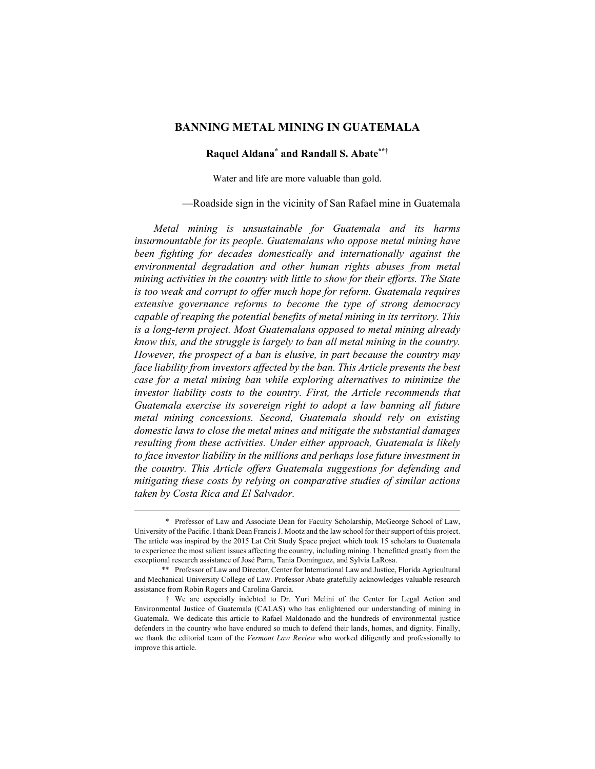# **BANNING METAL MINING IN GUATEMALA**

# **Raquel Aldana\* and Randall S. Abate\*\*†**

Water and life are more valuable than gold.

—Roadside sign in the vicinity of San Rafael mine in Guatemala

*Metal mining is unsustainable for Guatemala and its harms insurmountable for its people. Guatemalans who oppose metal mining have been fighting for decades domestically and internationally against the environmental degradation and other human rights abuses from metal mining activities in the country with little to show for their efforts. The State is too weak and corrupt to offer much hope for reform. Guatemala requires extensive governance reforms to become the type of strong democracy capable of reaping the potential benefits of metal mining in its territory. This is a long-term project. Most Guatemalans opposed to metal mining already know this, and the struggle is largely to ban all metal mining in the country. However, the prospect of a ban is elusive, in part because the country may face liability from investors affected by the ban. This Article presents the best case for a metal mining ban while exploring alternatives to minimize the investor liability costs to the country. First, the Article recommends that Guatemala exercise its sovereign right to adopt a law banning all future metal mining concessions. Second, Guatemala should rely on existing domestic laws to close the metal mines and mitigate the substantial damages resulting from these activities. Under either approach, Guatemala is likely to face investor liability in the millions and perhaps lose future investment in the country. This Article offers Guatemala suggestions for defending and mitigating these costs by relying on comparative studies of similar actions taken by Costa Rica and El Salvador.* 

 <sup>\*</sup> Professor of Law and Associate Dean for Faculty Scholarship, McGeorge School of Law, University of the Pacific. I thank Dean Francis J. Mootz and the law school for their support of this project. The article was inspired by the 2015 Lat Crit Study Space project which took 15 scholars to Guatemala to experience the most salient issues affecting the country, including mining. I benefitted greatly from the exceptional research assistance of José Parra, Tania Domínguez, and Sylvia LaRosa.

<sup>\*\*</sup> Professor of Law and Director, Center for International Law and Justice, Florida Agricultural and Mechanical University College of Law. Professor Abate gratefully acknowledges valuable research assistance from Robin Rogers and Carolina Garcia.

<sup>†</sup> We are especially indebted to Dr. Yuri Melini of the Center for Legal Action and Environmental Justice of Guatemala (CALAS) who has enlightened our understanding of mining in Guatemala. We dedicate this article to Rafael Maldonado and the hundreds of environmental justice defenders in the country who have endured so much to defend their lands, homes, and dignity. Finally, we thank the editorial team of the *Vermont Law Review* who worked diligently and professionally to improve this article.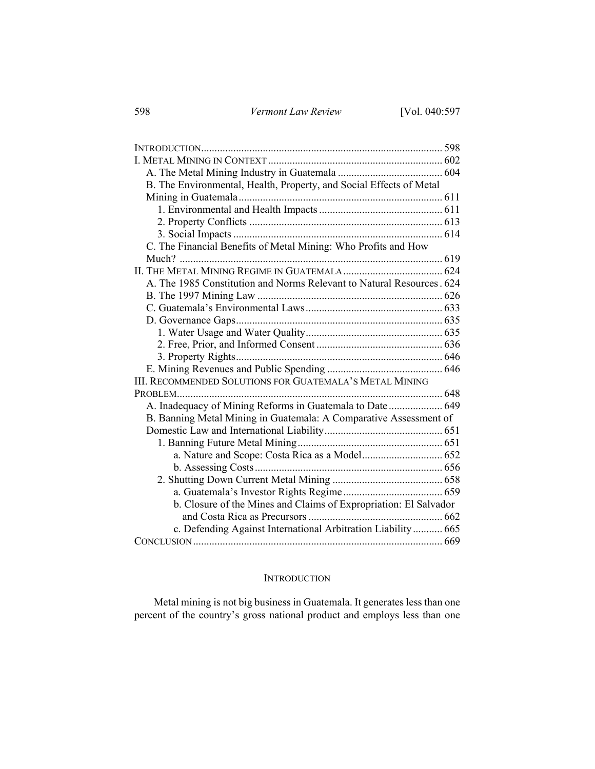| B. The Environmental, Health, Property, and Social Effects of Metal   |  |
|-----------------------------------------------------------------------|--|
|                                                                       |  |
|                                                                       |  |
|                                                                       |  |
|                                                                       |  |
| C. The Financial Benefits of Metal Mining: Who Profits and How        |  |
|                                                                       |  |
|                                                                       |  |
| A. The 1985 Constitution and Norms Relevant to Natural Resources. 624 |  |
|                                                                       |  |
|                                                                       |  |
|                                                                       |  |
|                                                                       |  |
|                                                                       |  |
|                                                                       |  |
|                                                                       |  |
| III. RECOMMENDED SOLUTIONS FOR GUATEMALA'S METAL MINING               |  |
|                                                                       |  |
| A. Inadequacy of Mining Reforms in Guatemala to Date  649             |  |
| B. Banning Metal Mining in Guatemala: A Comparative Assessment of     |  |
|                                                                       |  |
|                                                                       |  |
|                                                                       |  |
|                                                                       |  |
|                                                                       |  |
|                                                                       |  |
| b. Closure of the Mines and Claims of Expropriation: El Salvador      |  |
|                                                                       |  |
| c. Defending Against International Arbitration Liability 665          |  |
|                                                                       |  |

# **INTRODUCTION**

Metal mining is not big business in Guatemala. It generates less than one percent of the country's gross national product and employs less than one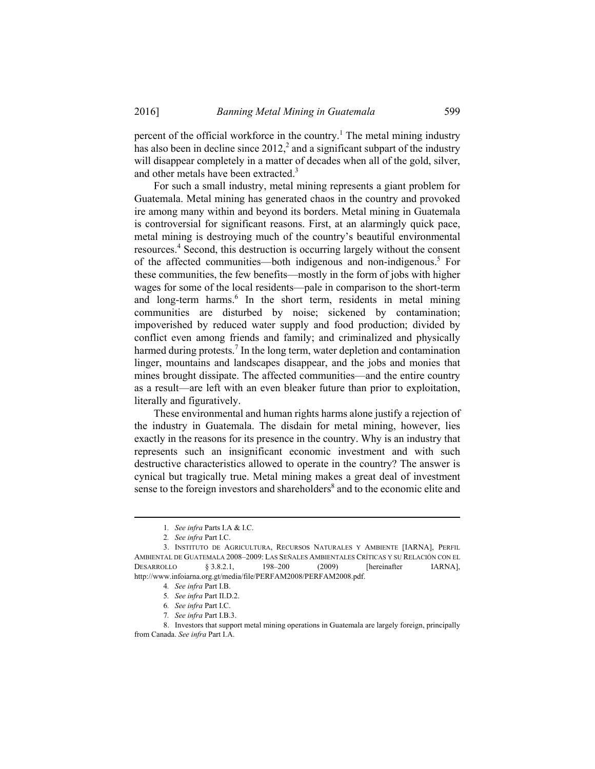percent of the official workforce in the country.<sup>1</sup> The metal mining industry has also been in decline since  $2012<sup>2</sup>$  and a significant subpart of the industry will disappear completely in a matter of decades when all of the gold, silver, and other metals have been extracted.<sup>3</sup>

For such a small industry, metal mining represents a giant problem for Guatemala. Metal mining has generated chaos in the country and provoked ire among many within and beyond its borders. Metal mining in Guatemala is controversial for significant reasons. First, at an alarmingly quick pace, metal mining is destroying much of the country's beautiful environmental resources.<sup>4</sup> Second, this destruction is occurring largely without the consent of the affected communities—both indigenous and non-indigenous.<sup>5</sup> For these communities, the few benefits—mostly in the form of jobs with higher wages for some of the local residents—pale in comparison to the short-term and long-term harms.<sup>6</sup> In the short term, residents in metal mining communities are disturbed by noise; sickened by contamination; impoverished by reduced water supply and food production; divided by conflict even among friends and family; and criminalized and physically harmed during protests.<sup>7</sup> In the long term, water depletion and contamination linger, mountains and landscapes disappear, and the jobs and monies that mines brought dissipate. The affected communities—and the entire country as a result—are left with an even bleaker future than prior to exploitation, literally and figuratively.

These environmental and human rights harms alone justify a rejection of the industry in Guatemala. The disdain for metal mining, however, lies exactly in the reasons for its presence in the country. Why is an industry that represents such an insignificant economic investment and with such destructive characteristics allowed to operate in the country? The answer is cynical but tragically true. Metal mining makes a great deal of investment sense to the foreign investors and shareholders<sup>8</sup> and to the economic elite and

7*. See infra* Part I.B.3.

 <sup>1</sup>*. See infra* Parts I.A & I.C.

<sup>2</sup>*. See infra* Part I.C.

 <sup>3.</sup> INSTITUTO DE AGRICULTURA, RECURSOS NATURALES Y AMBIENTE [IARNA], PERFIL AMBIENTAL DE GUATEMALA 2008–2009: LAS SEÑALES AMBIENTALES CRÍTICAS Y SU RELACIÓN CON EL DESARROLLO § 3.8.2.1, 198–200 (2009) [hereinafter IARNA], http://www.infoiarna.org.gt/media/file/PERFAM2008/PERFAM2008.pdf.

<sup>4</sup>*. See infra* Part I.B.

<sup>5</sup>*. See infra* Part II.D.2.

<sup>6</sup>*. See infra* Part I.C.

 <sup>8.</sup> Investors that support metal mining operations in Guatemala are largely foreign, principally from Canada. *See infra* Part I.A.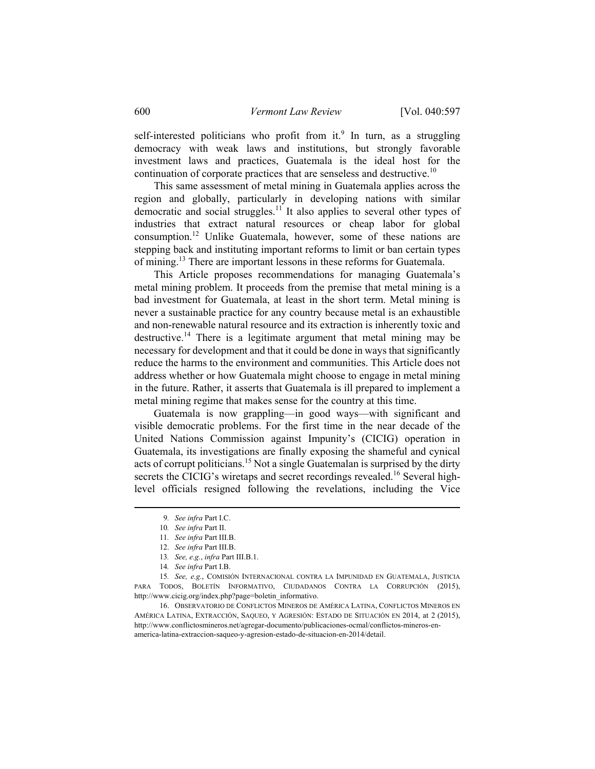self-interested politicians who profit from it.<sup>9</sup> In turn, as a struggling democracy with weak laws and institutions, but strongly favorable investment laws and practices, Guatemala is the ideal host for the continuation of corporate practices that are senseless and destructive.<sup>10</sup>

This same assessment of metal mining in Guatemala applies across the region and globally, particularly in developing nations with similar democratic and social struggles.<sup>11</sup> It also applies to several other types of industries that extract natural resources or cheap labor for global consumption.12 Unlike Guatemala, however, some of these nations are stepping back and instituting important reforms to limit or ban certain types of mining.13 There are important lessons in these reforms for Guatemala.

This Article proposes recommendations for managing Guatemala's metal mining problem. It proceeds from the premise that metal mining is a bad investment for Guatemala, at least in the short term. Metal mining is never a sustainable practice for any country because metal is an exhaustible and non-renewable natural resource and its extraction is inherently toxic and destructive.<sup>14</sup> There is a legitimate argument that metal mining may be necessary for development and that it could be done in ways that significantly reduce the harms to the environment and communities. This Article does not address whether or how Guatemala might choose to engage in metal mining in the future. Rather, it asserts that Guatemala is ill prepared to implement a metal mining regime that makes sense for the country at this time.

Guatemala is now grappling—in good ways—with significant and visible democratic problems. For the first time in the near decade of the United Nations Commission against Impunity's (CICIG) operation in Guatemala, its investigations are finally exposing the shameful and cynical acts of corrupt politicians.15 Not a single Guatemalan is surprised by the dirty secrets the CICIG's wiretaps and secret recordings revealed.<sup>16</sup> Several highlevel officials resigned following the revelations, including the Vice

 <sup>9</sup>*. See infra* Part I.C.

<sup>10</sup>*. See infra* Part II.

<sup>11</sup>*. See infra* Part III.B.

 <sup>12.</sup> *See infra* Part III.B.

<sup>13</sup>*. See, e.g.*, *infra* Part III.B.1.

<sup>14</sup>*. See infra* Part I.B.

<sup>15</sup>*. See, e.g.*, COMISIÓN INTERNACIONAL CONTRA LA IMPUNIDAD EN GUATEMALA, JUSTICIA PARA TODOS, BOLETÍN INFORMATIVO, CIUDADANOS CONTRA LA CORRUPCIÓN (2015), http://www.cicig.org/index.php?page=boletin\_informativo.

 <sup>16.</sup> OBSERVATORIO DE CONFLICTOS MINEROS DE AMÉRICA LATINA, CONFLICTOS MINEROS EN AMÉRICA LATINA, EXTRACCIÓN, SAQUEO, Y AGRESIÓN: ESTADO DE SITUACIÓN EN 2014, at 2 (2015), http://www.conflictosmineros.net/agregar-documento/publicaciones-ocmal/conflictos-mineros-enamerica-latina-extraccion-saqueo-y-agresion-estado-de-situacion-en-2014/detail.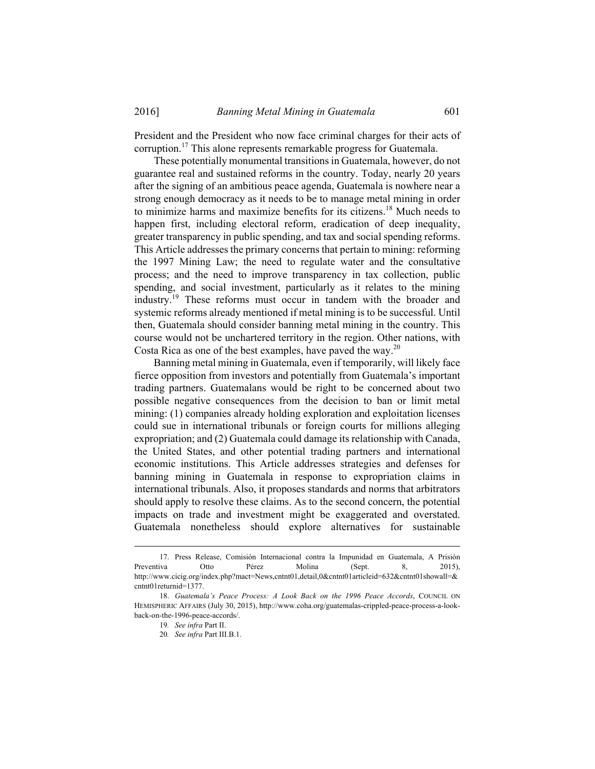President and the President who now face criminal charges for their acts of corruption.17 This alone represents remarkable progress for Guatemala.

These potentially monumental transitions in Guatemala, however, do not guarantee real and sustained reforms in the country. Today, nearly 20 years after the signing of an ambitious peace agenda, Guatemala is nowhere near a strong enough democracy as it needs to be to manage metal mining in order to minimize harms and maximize benefits for its citizens.18 Much needs to happen first, including electoral reform, eradication of deep inequality, greater transparency in public spending, and tax and social spending reforms. This Article addresses the primary concerns that pertain to mining: reforming the 1997 Mining Law; the need to regulate water and the consultative process; and the need to improve transparency in tax collection, public spending, and social investment, particularly as it relates to the mining industry.19 These reforms must occur in tandem with the broader and systemic reforms already mentioned if metal mining is to be successful. Until then, Guatemala should consider banning metal mining in the country. This course would not be unchartered territory in the region. Other nations, with Costa Rica as one of the best examples, have paved the way. $^{20}$ 

Banning metal mining in Guatemala, even if temporarily, will likely face fierce opposition from investors and potentially from Guatemala's important trading partners. Guatemalans would be right to be concerned about two possible negative consequences from the decision to ban or limit metal mining: (1) companies already holding exploration and exploitation licenses could sue in international tribunals or foreign courts for millions alleging expropriation; and (2) Guatemala could damage its relationship with Canada, the United States, and other potential trading partners and international economic institutions. This Article addresses strategies and defenses for banning mining in Guatemala in response to expropriation claims in international tribunals. Also, it proposes standards and norms that arbitrators should apply to resolve these claims. As to the second concern, the potential impacts on trade and investment might be exaggerated and overstated. Guatemala nonetheless should explore alternatives for sustainable

 <sup>17.</sup> Press Release, Comisión Internacional contra la Impunidad en Guatemala, A Prisión Preventiva Otto Pérez Molina (Sept. 8, 2015), http://www.cicig.org/index.php?mact=News,cntnt01,detail,0&cntnt01articleid=632&cntnt01showall=& cntnt01returnid=1377.

 <sup>18.</sup> *Guatemala's Peace Process: A Look Back on the 1996 Peace Accords*, COUNCIL ON HEMISPHERIC AFFAIRS (July 30, 2015), http://www.coha.org/guatemalas-crippled-peace-process-a-lookback-on-the-1996-peace-accords/.

<sup>19</sup>*. See infra* Part II.

<sup>20</sup>*. See infra* Part III.B.1.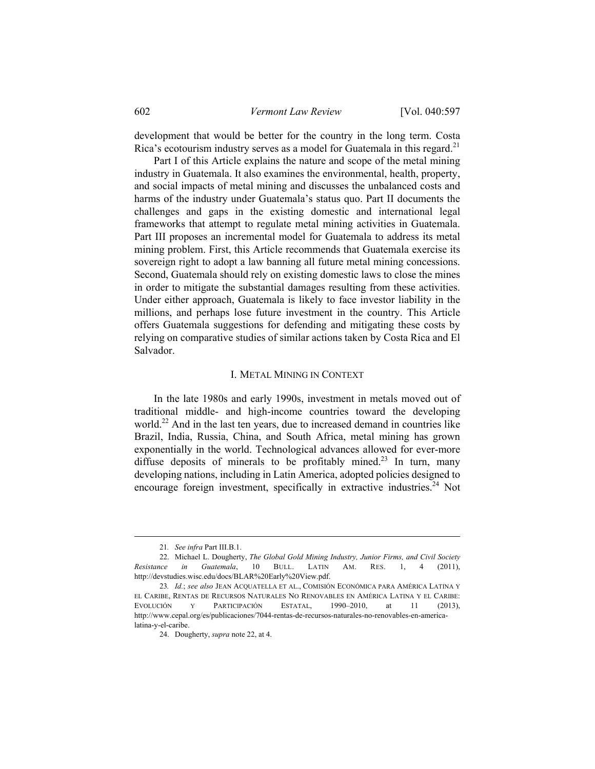development that would be better for the country in the long term. Costa Rica's ecotourism industry serves as a model for Guatemala in this regard.<sup>21</sup>

Part I of this Article explains the nature and scope of the metal mining industry in Guatemala. It also examines the environmental, health, property, and social impacts of metal mining and discusses the unbalanced costs and harms of the industry under Guatemala's status quo. Part II documents the challenges and gaps in the existing domestic and international legal frameworks that attempt to regulate metal mining activities in Guatemala. Part III proposes an incremental model for Guatemala to address its metal mining problem. First, this Article recommends that Guatemala exercise its sovereign right to adopt a law banning all future metal mining concessions. Second, Guatemala should rely on existing domestic laws to close the mines in order to mitigate the substantial damages resulting from these activities. Under either approach, Guatemala is likely to face investor liability in the millions, and perhaps lose future investment in the country. This Article offers Guatemala suggestions for defending and mitigating these costs by relying on comparative studies of similar actions taken by Costa Rica and El Salvador.

## I. METAL MINING IN CONTEXT

In the late 1980s and early 1990s, investment in metals moved out of traditional middle- and high-income countries toward the developing world.<sup>22</sup> And in the last ten years, due to increased demand in countries like Brazil, India, Russia, China, and South Africa, metal mining has grown exponentially in the world. Technological advances allowed for ever-more diffuse deposits of minerals to be profitably mined.<sup>23</sup> In turn, many developing nations, including in Latin America, adopted policies designed to encourage foreign investment, specifically in extractive industries.<sup>24</sup> Not

 <sup>21</sup>*. See infra* Part III.B.1.

 <sup>22.</sup> Michael L. Dougherty, *The Global Gold Mining Industry, Junior Firms, and Civil Society Resistance in Guatemala*, 10 BULL. LATIN AM. RES. 1, 4 (2011), http://devstudies.wisc.edu/docs/BLAR%20Early%20View.pdf.

<sup>23</sup>*. Id.*; *see also* JEAN ACQUATELLA ET AL., COMISIÓN ECONÓMICA PARA AMÉRICA LATINA Y EL CARIBE, RENTAS DE RECURSOS NATURALES NO RENOVABLES EN AMÉRICA LATINA Y EL CARIBE: EVOLUCIÓN Y PARTICIPACIÓN ESTATAL, 1990–2010, at 11 (2013), http://www.cepal.org/es/publicaciones/7044-rentas-de-recursos-naturales-no-renovables-en-americalatina-y-el-caribe.

 <sup>24.</sup> Dougherty, *supra* note 22, at 4.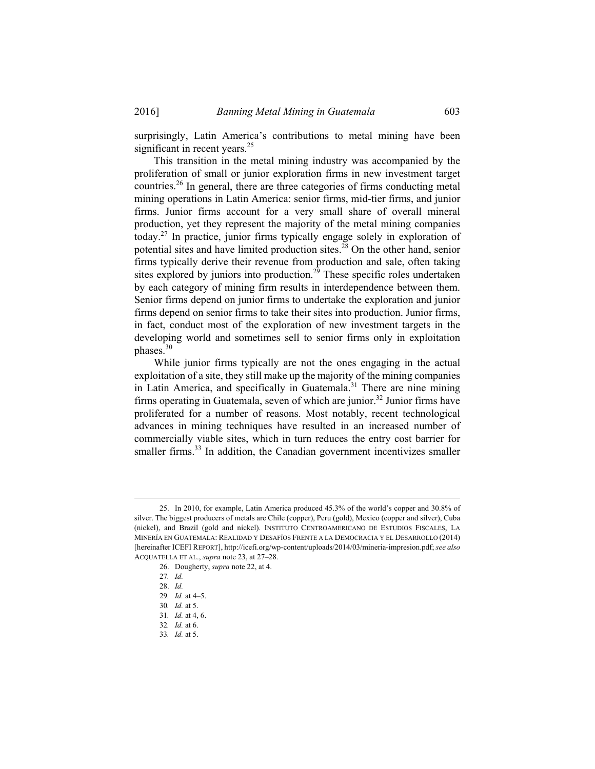surprisingly, Latin America's contributions to metal mining have been significant in recent years.<sup>25</sup>

This transition in the metal mining industry was accompanied by the proliferation of small or junior exploration firms in new investment target countries.26 In general, there are three categories of firms conducting metal mining operations in Latin America: senior firms, mid-tier firms, and junior firms. Junior firms account for a very small share of overall mineral production, yet they represent the majority of the metal mining companies today.27 In practice, junior firms typically engage solely in exploration of potential sites and have limited production sites.<sup>28</sup> On the other hand, senior firms typically derive their revenue from production and sale, often taking sites explored by juniors into production.<sup>29</sup> These specific roles undertaken by each category of mining firm results in interdependence between them. Senior firms depend on junior firms to undertake the exploration and junior firms depend on senior firms to take their sites into production. Junior firms, in fact, conduct most of the exploration of new investment targets in the developing world and sometimes sell to senior firms only in exploitation phases.<sup>30</sup>

While junior firms typically are not the ones engaging in the actual exploitation of a site, they still make up the majority of the mining companies in Latin America, and specifically in Guatemala.31 There are nine mining firms operating in Guatemala, seven of which are junior.<sup>32</sup> Junior firms have proliferated for a number of reasons. Most notably, recent technological advances in mining techniques have resulted in an increased number of commercially viable sites, which in turn reduces the entry cost barrier for smaller firms.<sup>33</sup> In addition, the Canadian government incentivizes smaller

 <sup>25.</sup> In 2010, for example, Latin America produced 45.3% of the world's copper and 30.8% of silver. The biggest producers of metals are Chile (copper), Peru (gold), Mexico (copper and silver), Cuba (nickel), and Brazil (gold and nickel). INSTITUTO CENTROAMERICANO DE ESTUDIOS FISCALES, LA MINERÍA EN GUATEMALA: REALIDAD Y DESAFÍOS FRENTE A LA DEMOCRACIA Y EL DESARROLLO (2014) [hereinafter ICEFI REPORT], http://icefi.org/wp-content/uploads/2014/03/mineria-impresion.pdf; *see also*  ACQUATELLA ET AL., *supra* note 23, at 27–28.

 <sup>26.</sup> Dougherty, *supra* note 22, at 4.

<sup>27</sup>*. Id.*

 <sup>28.</sup> *Id.*

<sup>29</sup>*. Id.* at 4–5.

<sup>30</sup>*. Id.* at 5.

<sup>31</sup>*. Id.* at 4, 6.

<sup>32</sup>*. Id.* at 6.

<sup>33</sup>*. Id.* at 5.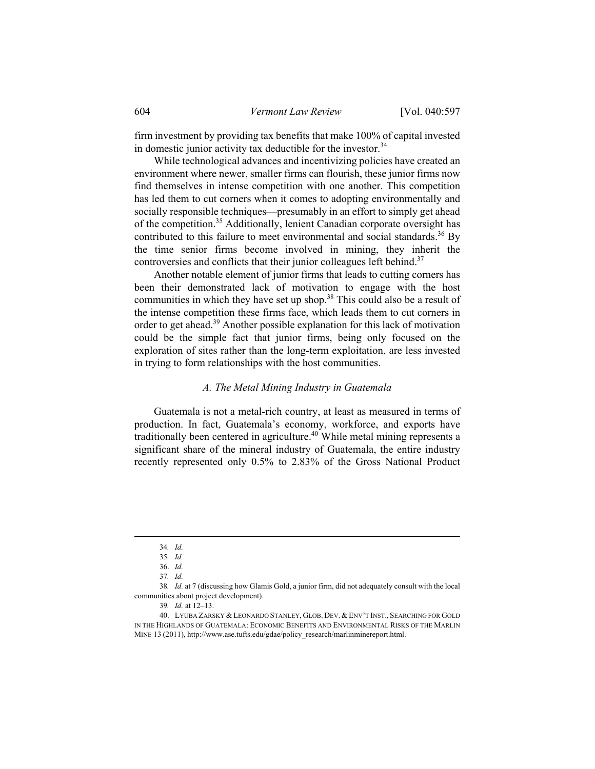firm investment by providing tax benefits that make 100% of capital invested in domestic junior activity tax deductible for the investor. $34$ 

While technological advances and incentivizing policies have created an environment where newer, smaller firms can flourish, these junior firms now find themselves in intense competition with one another. This competition has led them to cut corners when it comes to adopting environmentally and socially responsible techniques—presumably in an effort to simply get ahead of the competition.35 Additionally, lenient Canadian corporate oversight has contributed to this failure to meet environmental and social standards.<sup>36</sup> By the time senior firms become involved in mining, they inherit the controversies and conflicts that their junior colleagues left behind.<sup>37</sup>

Another notable element of junior firms that leads to cutting corners has been their demonstrated lack of motivation to engage with the host communities in which they have set up shop.<sup>38</sup> This could also be a result of the intense competition these firms face, which leads them to cut corners in order to get ahead.39 Another possible explanation for this lack of motivation could be the simple fact that junior firms, being only focused on the exploration of sites rather than the long-term exploitation, are less invested in trying to form relationships with the host communities.

### *A. The Metal Mining Industry in Guatemala*

Guatemala is not a metal-rich country, at least as measured in terms of production. In fact, Guatemala's economy, workforce, and exports have traditionally been centered in agriculture.40 While metal mining represents a significant share of the mineral industry of Guatemala, the entire industry recently represented only 0.5% to 2.83% of the Gross National Product

 <sup>34</sup>*. Id.*

<sup>35</sup>*. Id.*

 <sup>36.</sup> *Id.*

<sup>37</sup>*. Id.*

<sup>38</sup>*. Id.* at 7 (discussing how Glamis Gold, a junior firm, did not adequately consult with the local communities about project development).

<sup>39</sup>*. Id.* at 12–13.

 <sup>40.</sup> LYUBA ZARSKY & LEONARDO STANLEY, GLOB. DEV. & ENV'T INST., SEARCHING FOR GOLD IN THE HIGHLANDS OF GUATEMALA: ECONOMIC BENEFITS AND ENVIRONMENTAL RISKS OF THE MARLIN MINE 13 (2011), http://www.ase.tufts.edu/gdae/policy\_research/marlinminereport.html.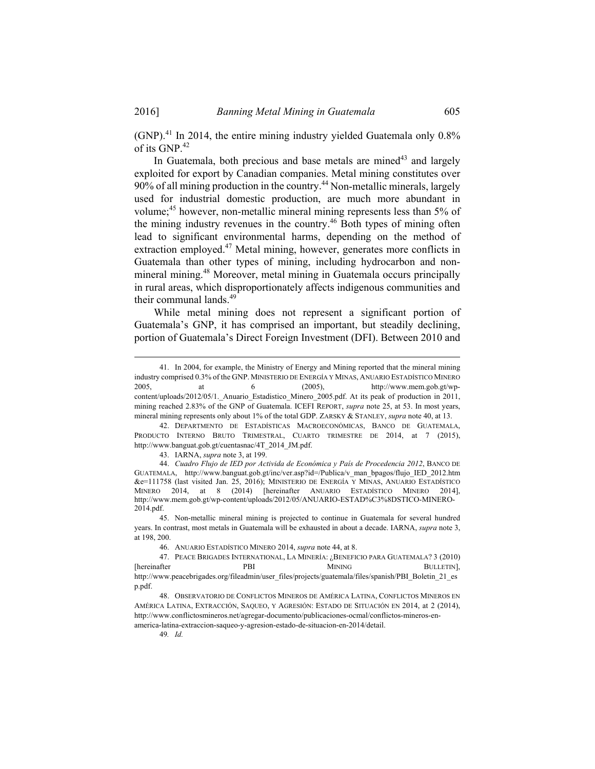(GNP).41 In 2014, the entire mining industry yielded Guatemala only 0.8% of its GNP.<sup>42</sup>

In Guatemala, both precious and base metals are mined<sup>43</sup> and largely exploited for export by Canadian companies. Metal mining constitutes over  $90\%$  of all mining production in the country.<sup>44</sup> Non-metallic minerals, largely used for industrial domestic production, are much more abundant in volume;<sup>45</sup> however, non-metallic mineral mining represents less than 5% of the mining industry revenues in the country.<sup>46</sup> Both types of mining often lead to significant environmental harms, depending on the method of extraction employed.<sup>47</sup> Metal mining, however, generates more conflicts in Guatemala than other types of mining, including hydrocarbon and nonmineral mining.48 Moreover, metal mining in Guatemala occurs principally in rural areas, which disproportionately affects indigenous communities and their communal lands.49

While metal mining does not represent a significant portion of Guatemala's GNP, it has comprised an important, but steadily declining, portion of Guatemala's Direct Foreign Investment (DFI). Between 2010 and

 42. DEPARTMENTO DE ESTADÍSTICAS MACROECONÓMICAS, BANCO DE GUATEMALA, PRODUCTO INTERNO BRUTO TRIMESTRAL, CUARTO TRIMESTRE DE 2014, at 7 (2015), http://www.banguat.gob.gt/cuentasnac/4T\_2014\_JM.pdf.

43. IARNA, *supra* note 3, at 199.

 <sup>41.</sup> In 2004, for example, the Ministry of Energy and Mining reported that the mineral mining industry comprised 0.3% of the GNP. MINISTERIO DE ENERGÍA Y MINAS, ANUARIO ESTADÍSTICO MINERO 2005, at 6 (2005), http://www.mem.gob.gt/wpcontent/uploads/2012/05/1. Anuario Estadistico Minero 2005.pdf. At its peak of production in 2011, mining reached 2.83% of the GNP of Guatemala. ICEFI REPORT, *supra* note 25, at 53. In most years, mineral mining represents only about 1% of the total GDP. ZARSKY & STANLEY, *supra* note 40, at 13.

 <sup>44.</sup> *Cuadro Flujo de IED por Activida de Económica y País de Procedencia 2012*, BANCO DE GUATEMALA, http://www.banguat.gob.gt/inc/ver.asp?id=/Publica/v\_man\_bpagos/flujo\_IED\_2012.htm &e=111758 (last visited Jan. 25, 2016); MINISTERIO DE ENERGÍA Y MINAS, ANUARIO ESTADÍSTICO MINERO 2014, at 8 (2014) [hereinafter ANUARIO ESTADÍSTICO MINERO 2014], http://www.mem.gob.gt/wp-content/uploads/2012/05/ANUARIO-ESTAD%C3%8DSTICO-MINERO-2014.pdf.

 <sup>45.</sup> Non-metallic mineral mining is projected to continue in Guatemala for several hundred years. In contrast, most metals in Guatemala will be exhausted in about a decade. IARNA, *supra* note 3, at 198, 200.

 <sup>46.</sup> ANUARIO ESTADÍSTICO MINERO 2014, *supra* note 44, at 8.

 <sup>47.</sup> PEACE BRIGADES INTERNATIONAL, LA MINERÍA: ¿BENEFICIO PARA GUATEMALA? 3 (2010) [hereinafter PBI MINING BULLETIN], http://www.peacebrigades.org/fileadmin/user\_files/projects/guatemala/files/spanish/PBI\_Boletin\_21\_es p.pdf.

 <sup>48.</sup> OBSERVATORIO DE CONFLICTOS MINEROS DE AMÉRICA LATINA, CONFLICTOS MINEROS EN AMÉRICA LATINA, EXTRACCIÓN, SAQUEO, Y AGRESIÓN: ESTADO DE SITUACIÓN EN 2014, at 2 (2014), http://www.conflictosmineros.net/agregar-documento/publicaciones-ocmal/conflictos-mineros-enamerica-latina-extraccion-saqueo-y-agresion-estado-de-situacion-en-2014/detail.

<sup>49</sup>*. Id.*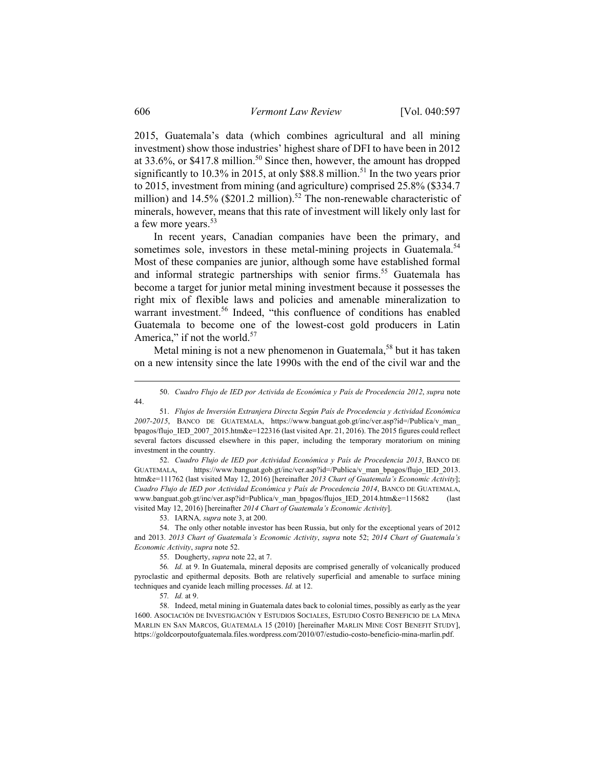2015, Guatemala's data (which combines agricultural and all mining investment) show those industries' highest share of DFI to have been in 2012 at 33.6%, or \$417.8 million.<sup>50</sup> Since then, however, the amount has dropped significantly to 10.3% in 2015, at only \$88.8 million.<sup>51</sup> In the two years prior to 2015, investment from mining (and agriculture) comprised 25.8% (\$334.7 million) and 14.5% (\$201.2 million).<sup>52</sup> The non-renewable characteristic of minerals, however, means that this rate of investment will likely only last for a few more years.<sup>53</sup>

In recent years, Canadian companies have been the primary, and sometimes sole, investors in these metal-mining projects in Guatemala.<sup>54</sup> Most of these companies are junior, although some have established formal and informal strategic partnerships with senior firms.<sup>55</sup> Guatemala has become a target for junior metal mining investment because it possesses the right mix of flexible laws and policies and amenable mineralization to warrant investment.<sup>56</sup> Indeed, "this confluence of conditions has enabled Guatemala to become one of the lowest-cost gold producers in Latin America," if not the world.<sup>57</sup>

Metal mining is not a new phenomenon in Guatemala,<sup>58</sup> but it has taken on a new intensity since the late 1990s with the end of the civil war and the

 51. *Flujos de Inversión Extranjera Directa Según País de Procedencia y Actividad Económica 2007-2015*, BANCO DE GUATEMALA, https://www.banguat.gob.gt/inc/ver.asp?id=/Publica/v\_man\_ bpagos/flujo\_IED\_2007\_2015.htm&e=122316 (last visited Apr. 21, 2016). The 2015 figures could reflect several factors discussed elsewhere in this paper, including the temporary moratorium on mining investment in the country.

 52. *Cuadro Flujo de IED por Actividad Económica y País de Procedencia 2013*, BANCO DE GUATEMALA, https://www.banguat.gob.gt/inc/ver.asp?id=/Publica/v\_man\_bpagos/flujo\_IED\_2013. htm&e=111762 (last visited May 12, 2016) [hereinafter *2013 Chart of Guatemala's Economic Activity*]; *Cuadro Flujo de IED por Actividad Económica y País de Procedencia 2014*, BANCO DE GUATEMALA, www.banguat.gob.gt/inc/ver.asp?id=Publica/v\_man\_bpagos/flujos\_IED\_2014.htm&e=115682 (last visited May 12, 2016) [hereinafter *2014 Chart of Guatemala's Economic Activity*].

53. IARNA*, supra* note 3, at 200.

 54. The only other notable investor has been Russia, but only for the exceptional years of 2012 and 2013. *2013 Chart of Guatemala's Economic Activity*, *supra* note 52; *2014 Chart of Guatemala's Economic Activity*, *supra* note 52.

55. Dougherty, *supra* note 22, at 7.

56*. Id.* at 9. In Guatemala, mineral deposits are comprised generally of volcanically produced pyroclastic and epithermal deposits. Both are relatively superficial and amenable to surface mining techniques and cyanide leach milling processes. *Id.* at 12.

57*. Id.* at 9.

 58. Indeed, metal mining in Guatemala dates back to colonial times, possibly as early as the year 1600. ASOCIACIÓN DE INVESTIGACIÓN Y ESTUDIOS SOCIALES, ESTUDIO COSTO BENEFICIO DE LA MINA MARLIN EN SAN MARCOS, GUATEMALA 15 (2010) [hereinafter MARLIN MINE COST BENEFIT STUDY], https://goldcorpoutofguatemala.files.wordpress.com/2010/07/estudio-costo-beneficio-mina-marlin.pdf.

 <sup>50.</sup> *Cuadro Flujo de IED por Activida de Económica y País de Procedencia 2012*, *supra* note 44.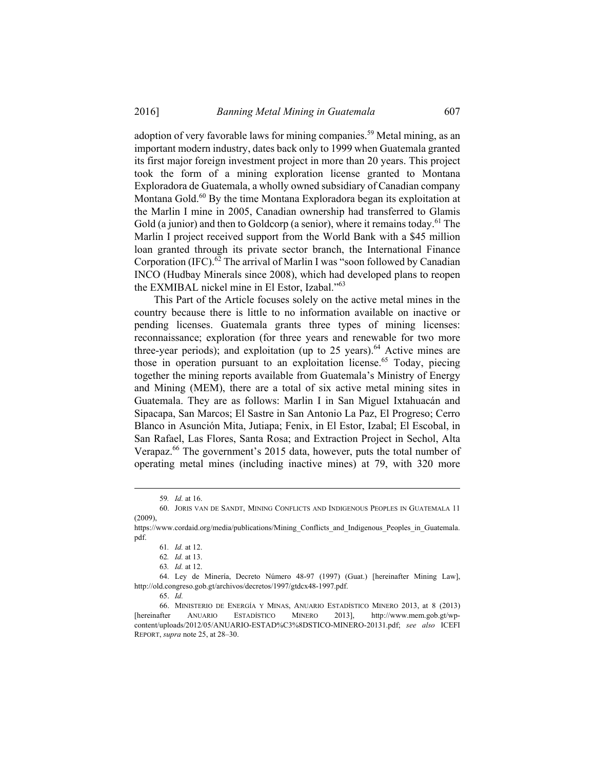adoption of very favorable laws for mining companies.<sup>59</sup> Metal mining, as an important modern industry, dates back only to 1999 when Guatemala granted its first major foreign investment project in more than 20 years. This project took the form of a mining exploration license granted to Montana Exploradora de Guatemala, a wholly owned subsidiary of Canadian company Montana Gold.<sup>60</sup> By the time Montana Exploradora began its exploitation at the Marlin I mine in 2005, Canadian ownership had transferred to Glamis Gold (a junior) and then to Goldcorp (a senior), where it remains today.<sup>61</sup> The Marlin I project received support from the World Bank with a \$45 million loan granted through its private sector branch, the International Finance Corporation (IFC).<sup>62</sup> The arrival of Marlin I was "soon followed by Canadian INCO (Hudbay Minerals since 2008), which had developed plans to reopen the EXMIBAL nickel mine in El Estor, Izabal."<sup>63</sup>

This Part of the Article focuses solely on the active metal mines in the country because there is little to no information available on inactive or pending licenses. Guatemala grants three types of mining licenses: reconnaissance; exploration (for three years and renewable for two more three-year periods); and exploitation (up to  $25$  years).<sup>64</sup> Active mines are those in operation pursuant to an exploitation license.<sup>65</sup> Today, piecing together the mining reports available from Guatemala's Ministry of Energy and Mining (MEM), there are a total of six active metal mining sites in Guatemala. They are as follows: Marlin I in San Miguel Ixtahuacán and Sipacapa, San Marcos; El Sastre in San Antonio La Paz, El Progreso; Cerro Blanco in Asunción Mita, Jutiapa; Fenix, in El Estor, Izabal; El Escobal, in San Rafael, Las Flores, Santa Rosa; and Extraction Project in Sechol, Alta Verapaz.<sup>66</sup> The government's 2015 data, however, puts the total number of operating metal mines (including inactive mines) at 79, with 320 more

 <sup>59</sup>*. Id.* at 16.

 <sup>60.</sup> JORIS VAN DE SANDT, MINING CONFLICTS AND INDIGENOUS PEOPLES IN GUATEMALA 11 (2009),

https://www.cordaid.org/media/publications/Mining\_Conflicts\_and\_Indigenous\_Peoples\_in\_Guatemala. pdf.

<sup>61</sup>*. Id.* at 12.

<sup>62</sup>*. Id.* at 13.

<sup>63</sup>*. Id.* at 12.

 <sup>64.</sup> Ley de Minería, Decreto Número 48-97 (1997) (Guat.) [hereinafter Mining Law], http://old.congreso.gob.gt/archivos/decretos/1997/gtdcx48-1997.pdf.

 <sup>65.</sup> *Id.*

 <sup>66.</sup> MINISTERIO DE ENERGÍA Y MINAS, ANUARIO ESTADÍSTICO MINERO 2013, at 8 (2013) [hereinafter ANUARIO ESTADÍSTICO MINERO 2013], http://www.mem.gob.gt/wpcontent/uploads/2012/05/ANUARIO-ESTAD%C3%8DSTICO-MINERO-20131.pdf; *see also* ICEFI REPORT, *supra* note 25, at 28–30.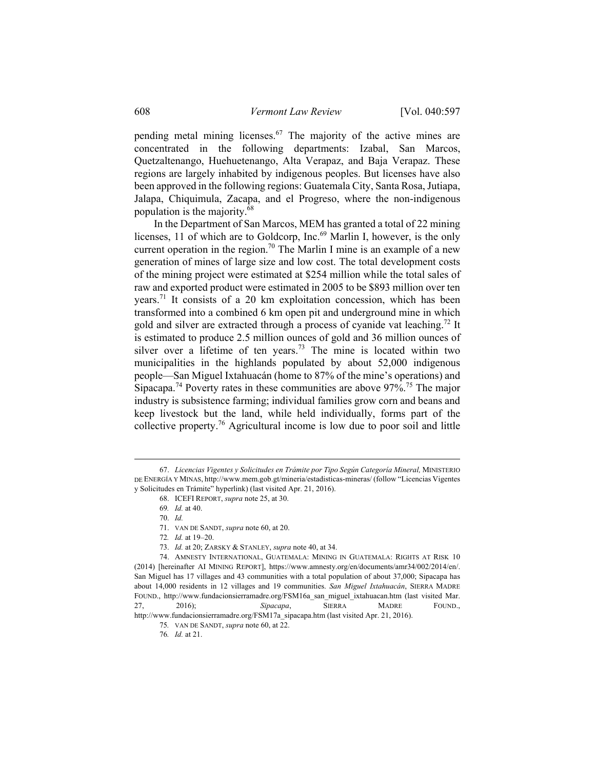pending metal mining licenses.<sup>67</sup> The majority of the active mines are concentrated in the following departments: Izabal, San Marcos, Quetzaltenango, Huehuetenango, Alta Verapaz, and Baja Verapaz. These regions are largely inhabited by indigenous peoples. But licenses have also been approved in the following regions: Guatemala City, Santa Rosa, Jutiapa, Jalapa, Chiquimula, Zacapa, and el Progreso, where the non-indigenous population is the majority.68

In the Department of San Marcos, MEM has granted a total of 22 mining licenses, 11 of which are to Goldcorp, Inc.<sup>69</sup> Marlin I, however, is the only current operation in the region.<sup>70</sup> The Marlin I mine is an example of a new generation of mines of large size and low cost. The total development costs of the mining project were estimated at \$254 million while the total sales of raw and exported product were estimated in 2005 to be \$893 million over ten years.71 It consists of a 20 km exploitation concession, which has been transformed into a combined 6 km open pit and underground mine in which gold and silver are extracted through a process of cyanide vat leaching.<sup>72</sup> It is estimated to produce 2.5 million ounces of gold and 36 million ounces of silver over a lifetime of ten years.<sup>73</sup> The mine is located within two municipalities in the highlands populated by about 52,000 indigenous people—San Miguel Ixtahuacán (home to 87% of the mine's operations) and Sipacapa.<sup>74</sup> Poverty rates in these communities are above  $97\%$ .<sup>75</sup> The major industry is subsistence farming; individual families grow corn and beans and keep livestock but the land, while held individually, forms part of the collective property.76 Agricultural income is low due to poor soil and little

73. *Id.* at 20; ZARSKY & STANLEY, *supra* note 40, at 34.

 <sup>67.</sup> *Licencias Vigentes y Solicitudes en Trámite por Tipo Según Categoría Mineral,* MINISTERIO DE ENERGÍA Y MINAS, http://www.mem.gob.gt/mineria/estadisticas-mineras/ (follow "Licencias Vigentes y Solicitudes en Trámite" hyperlink) (last visited Apr. 21, 2016).

 <sup>68.</sup> ICEFI REPORT, *supra* note 25, at 30.

<sup>69</sup>*. Id.* at 40.

 <sup>70.</sup> *Id.* 

 <sup>71.</sup> VAN DE SANDT, *supra* note 60, at 20.

<sup>72</sup>*. Id.* at 19–20.

 <sup>74.</sup> AMNESTY INTERNATIONAL, GUATEMALA: MINING IN GUATEMALA: RIGHTS AT RISK 10 (2014) [hereinafter AI MINING REPORT], https://www.amnesty.org/en/documents/amr34/002/2014/en/. San Miguel has 17 villages and 43 communities with a total population of about 37,000; Sipacapa has about 14,000 residents in 12 villages and 19 communities. *San Miguel Ixtahuacán*, SIERRA MADRE FOUND., http://www.fundacionsierramadre.org/FSM16a\_san\_miguel\_ixtahuacan.htm (last visited Mar. 27, 2016); *Sipacapa*, SIERRA MADRE FOUND., http://www.fundacionsierramadre.org/FSM17a\_sipacapa.htm (last visited Apr. 21, 2016).

<sup>75</sup>*.* VAN DE SANDT, *supra* note 60, at 22.

<sup>76</sup>*. Id.* at 21.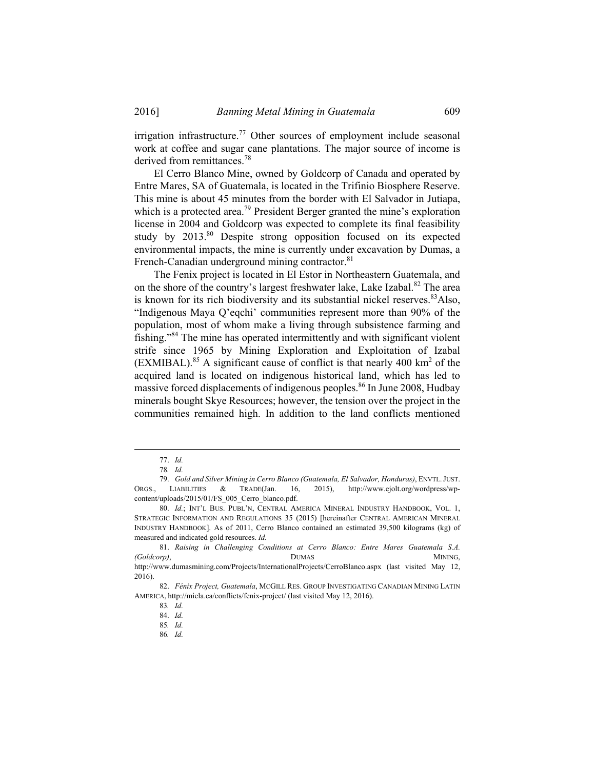irrigation infrastructure.<sup>77</sup> Other sources of employment include seasonal work at coffee and sugar cane plantations. The major source of income is derived from remittances.<sup>78</sup>

El Cerro Blanco Mine, owned by Goldcorp of Canada and operated by Entre Mares, SA of Guatemala, is located in the Trifinio Biosphere Reserve. This mine is about 45 minutes from the border with El Salvador in Jutiapa, which is a protected area.<sup>79</sup> President Berger granted the mine's exploration license in 2004 and Goldcorp was expected to complete its final feasibility study by 2013.<sup>80</sup> Despite strong opposition focused on its expected environmental impacts, the mine is currently under excavation by Dumas, a French-Canadian underground mining contractor.<sup>81</sup>

The Fenix project is located in El Estor in Northeastern Guatemala, and on the shore of the country's largest freshwater lake, Lake Izabal.<sup>82</sup> The area is known for its rich biodiversity and its substantial nickel reserves.  $83$ Also, "Indigenous Maya Q'eqchi' communities represent more than 90% of the population, most of whom make a living through subsistence farming and fishing."84 The mine has operated intermittently and with significant violent strife since 1965 by Mining Exploration and Exploitation of Izabal  $(EXMIBAL).$ <sup>85</sup> A significant cause of conflict is that nearly 400 km<sup>2</sup> of the acquired land is located on indigenous historical land, which has led to massive forced displacements of indigenous peoples.<sup>86</sup> In June 2008, Hudbay minerals bought Skye Resources; however, the tension over the project in the communities remained high. In addition to the land conflicts mentioned

 <sup>77.</sup> *Id.*

<sup>78</sup>*. Id.*

 <sup>79.</sup> *Gold and Silver Mining in Cerro Blanco (Guatemala, El Salvador, Honduras)*, ENVTL.JUST. ORGS., LIABILITIES & TRADE(Jan. 16, 2015), http://www.ejolt.org/wordpress/wpcontent/uploads/2015/01/FS\_005\_Cerro\_blanco.pdf.

<sup>80.</sup> *Id.*; INT'L BUS. PUBL'N, CENTRAL AMERICA MINERAL INDUSTRY HANDBOOK, VOL. 1, STRATEGIC INFORMATION AND REGULATIONS 35 (2015) [hereinafter CENTRAL AMERICAN MINERAL INDUSTRY HANDBOOK]. As of 2011, Cerro Blanco contained an estimated 39,500 kilograms (kg) of measured and indicated gold resources. *Id.*

 <sup>81.</sup> *Raising in Challenging Conditions at Cerro Blanco: Entre Mares Guatemala S.A. (Goldcorp)*, **DUMAS** DUMAS MINING, http://www.dumasmining.com/Projects/InternationalProjects/CerroBlanco.aspx (last visited May 12, 2016).

 <sup>82.</sup> *Fénix Project, Guatemala*, MCGILL RES. GROUP INVESTIGATING CANADIAN MINING LATIN AMERICA, http://micla.ca/conflicts/fenix-project/ (last visited May 12, 2016).

<sup>83</sup>*. Id.*

 <sup>84.</sup> *Id.*

<sup>85</sup>*. Id.*

<sup>86</sup>*. Id.*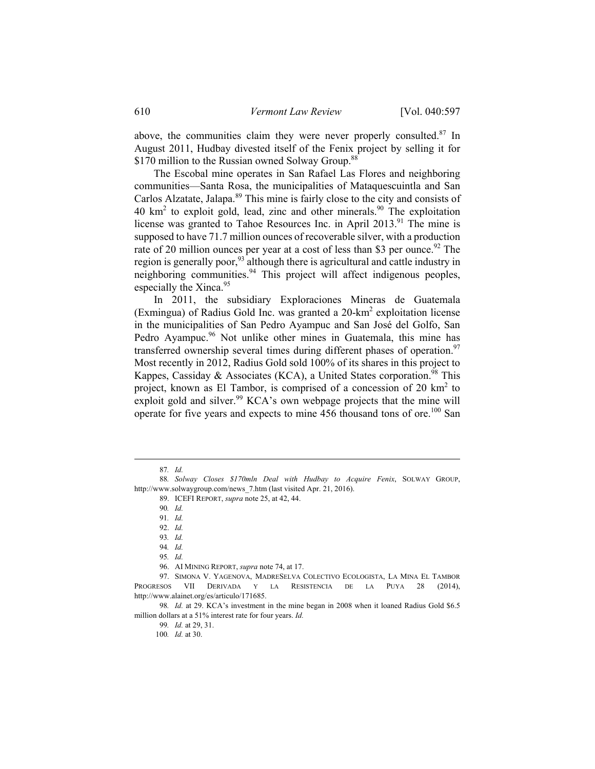above, the communities claim they were never properly consulted.<sup>87</sup> In August 2011, Hudbay divested itself of the Fenix project by selling it for \$170 million to the Russian owned Solway Group.<sup>88</sup>

The Escobal mine operates in San Rafael Las Flores and neighboring communities—Santa Rosa, the municipalities of Mataquescuintla and San Carlos Alzatate, Jalapa.<sup>89</sup> This mine is fairly close to the city and consists of  $40 \text{ km}^2$  to exploit gold, lead, zinc and other minerals.<sup>90</sup> The exploitation license was granted to Tahoe Resources Inc. in April 2013.<sup>91</sup> The mine is supposed to have 71.7 million ounces of recoverable silver, with a production rate of 20 million ounces per year at a cost of less than \$3 per ounce.<sup>92</sup> The region is generally poor,<sup>93</sup> although there is agricultural and cattle industry in neighboring communities.<sup>94</sup> This project will affect indigenous peoples, especially the Xinca.<sup>95</sup>

In 2011, the subsidiary Exploraciones Mineras de Guatemala (Exmingua) of Radius Gold Inc. was granted a 20-km<sup>2</sup> exploitation license in the municipalities of San Pedro Ayampuc and San José del Golfo, San Pedro Ayampuc.<sup>96</sup> Not unlike other mines in Guatemala, this mine has transferred ownership several times during different phases of operation. $97$ Most recently in 2012, Radius Gold sold 100% of its shares in this project to Kappes, Cassiday & Associates (KCA), a United States corporation.<sup>98</sup> This project, known as El Tambor, is comprised of a concession of 20  $km^2$  to exploit gold and silver.<sup>99</sup> KCA's own webpage projects that the mine will operate for five years and expects to mine  $456$  thousand tons of ore.<sup>100</sup> San

 <sup>87</sup>*. Id.*

<sup>88</sup>*. Solway Closes \$170mln Deal with Hudbay to Acquire Fenix*, SOLWAY GROUP, http://www.solwaygroup.com/news\_7.htm (last visited Apr. 21, 2016).

 <sup>89.</sup> ICEFI REPORT, *supra* note 25, at 42, 44.

<sup>90</sup>*. Id.*

<sup>91</sup>*. Id.*

 <sup>92.</sup> *Id.*

<sup>93</sup>*. Id.*

<sup>94</sup>*. Id.*

<sup>95</sup>*. Id.*

 <sup>96.</sup> AI MINING REPORT, *supra* note 74, at 17.

 <sup>97.</sup> SIMONA V. YAGENOVA, MADRESELVA COLECTIVO ECOLOGISTA, LA MINA EL TAMBOR PROGRESOS VII DERIVADA Y LA RESISTENCIA DE LA PUYA 28 (2014), http://www.alainet.org/es/articulo/171685.

<sup>98</sup>*. Id.* at 29. KCA's investment in the mine began in 2008 when it loaned Radius Gold \$6.5 million dollars at a 51% interest rate for four years. *Id.*

<sup>99</sup>*. Id.* at 29, 31.

<sup>100</sup>*. Id.* at 30.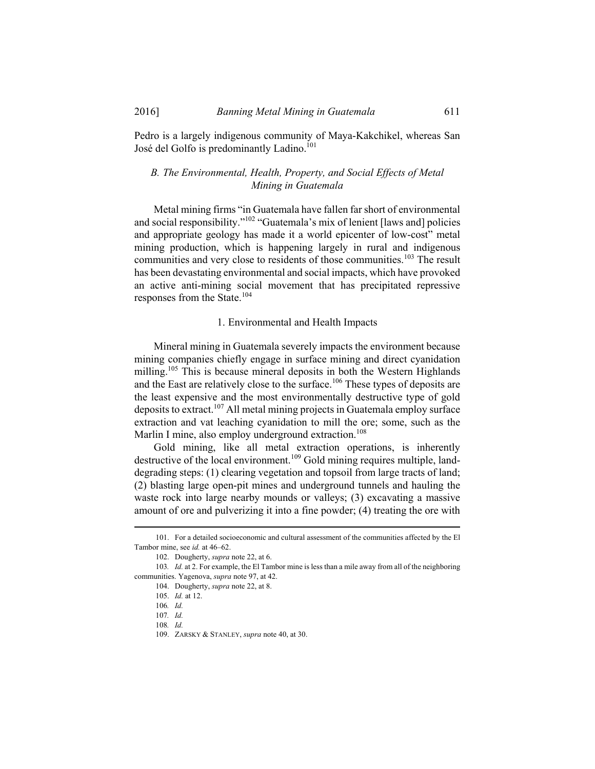Pedro is a largely indigenous community of Maya-Kakchikel, whereas San José del Golfo is predominantly Ladino.<sup>101</sup>

# *B. The Environmental, Health, Property, and Social Effects of Metal Mining in Guatemala*

Metal mining firms "in Guatemala have fallen far short of environmental and social responsibility."102 "Guatemala's mix of lenient [laws and] policies and appropriate geology has made it a world epicenter of low-cost" metal mining production, which is happening largely in rural and indigenous communities and very close to residents of those communities.<sup>103</sup> The result has been devastating environmental and social impacts, which have provoked an active anti-mining social movement that has precipitated repressive responses from the State.<sup>104</sup>

## 1. Environmental and Health Impacts

Mineral mining in Guatemala severely impacts the environment because mining companies chiefly engage in surface mining and direct cyanidation milling.<sup>105</sup> This is because mineral deposits in both the Western Highlands and the East are relatively close to the surface.<sup>106</sup> These types of deposits are the least expensive and the most environmentally destructive type of gold deposits to extract.107 All metal mining projects in Guatemala employ surface extraction and vat leaching cyanidation to mill the ore; some, such as the Marlin I mine, also employ underground extraction.<sup>108</sup>

Gold mining, like all metal extraction operations, is inherently destructive of the local environment.109 Gold mining requires multiple, landdegrading steps: (1) clearing vegetation and topsoil from large tracts of land; (2) blasting large open-pit mines and underground tunnels and hauling the waste rock into large nearby mounds or valleys; (3) excavating a massive amount of ore and pulverizing it into a fine powder; (4) treating the ore with

 <sup>101.</sup> For a detailed socioeconomic and cultural assessment of the communities affected by the El Tambor mine, see *id.* at 46–62.

 <sup>102.</sup> Dougherty, *supra* note 22, at 6.

<sup>103</sup>*. Id.* at 2. For example, the El Tambor mine is less than a mile away from all of the neighboring communities. Yagenova, *supra* note 97, at 42.

 <sup>104.</sup> Dougherty, *supra* note 22, at 8.

 <sup>105.</sup> *Id.* at 12.

<sup>106</sup>*. Id.*

<sup>107</sup>*. Id.*

<sup>108</sup>*. Id.*

 <sup>109.</sup> ZARSKY & STANLEY, *supra* note 40, at 30.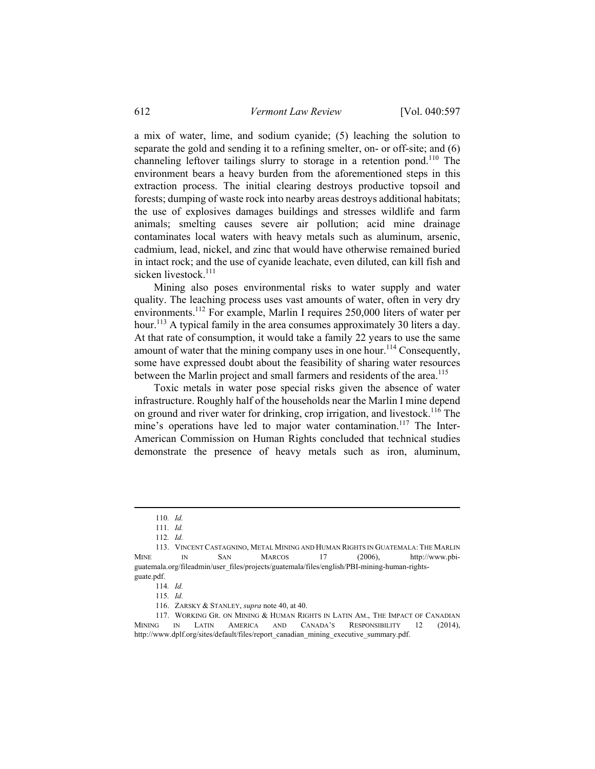a mix of water, lime, and sodium cyanide; (5) leaching the solution to separate the gold and sending it to a refining smelter, on- or off-site; and (6) channeling leftover tailings slurry to storage in a retention pond.<sup>110</sup> The environment bears a heavy burden from the aforementioned steps in this extraction process. The initial clearing destroys productive topsoil and forests; dumping of waste rock into nearby areas destroys additional habitats; the use of explosives damages buildings and stresses wildlife and farm animals; smelting causes severe air pollution; acid mine drainage contaminates local waters with heavy metals such as aluminum, arsenic, cadmium, lead, nickel, and zinc that would have otherwise remained buried in intact rock; and the use of cyanide leachate, even diluted, can kill fish and sicken livestock.<sup>111</sup>

Mining also poses environmental risks to water supply and water quality. The leaching process uses vast amounts of water, often in very dry environments.<sup>112</sup> For example, Marlin I requires 250,000 liters of water per hour.<sup>113</sup> A typical family in the area consumes approximately 30 liters a day. At that rate of consumption, it would take a family 22 years to use the same amount of water that the mining company uses in one hour.<sup>114</sup> Consequently, some have expressed doubt about the feasibility of sharing water resources between the Marlin project and small farmers and residents of the area.<sup>115</sup>

Toxic metals in water pose special risks given the absence of water infrastructure. Roughly half of the households near the Marlin I mine depend on ground and river water for drinking, crop irrigation, and livestock.<sup>116</sup> The mine's operations have led to major water contamination.<sup>117</sup> The Inter-American Commission on Human Rights concluded that technical studies demonstrate the presence of heavy metals such as iron, aluminum,

 <sup>110</sup>*. Id.*

<sup>111</sup>*. Id.*

<sup>112</sup>*. Id.*

 <sup>113.</sup> VINCENT CASTAGNINO, METAL MINING AND HUMAN RIGHTS IN GUATEMALA: THE MARLIN MINE IN SAN MARCOS 17 (2006), http://www.pbiguatemala.org/fileadmin/user\_files/projects/guatemala/files/english/PBI-mining-human-rightsguate.pdf.

<sup>114</sup>*. Id.*

<sup>115</sup>*. Id.*

 <sup>116.</sup> ZARSKY & STANLEY, *supra* note 40, at 40.

 <sup>117.</sup> WORKING GR. ON MINING & HUMAN RIGHTS IN LATIN AM., THE IMPACT OF CANADIAN MINING IN LATIN AMERICA AND CANADA'S RESPONSIBILITY 12 (2014), http://www.dplf.org/sites/default/files/report\_canadian\_mining\_executive\_summary.pdf.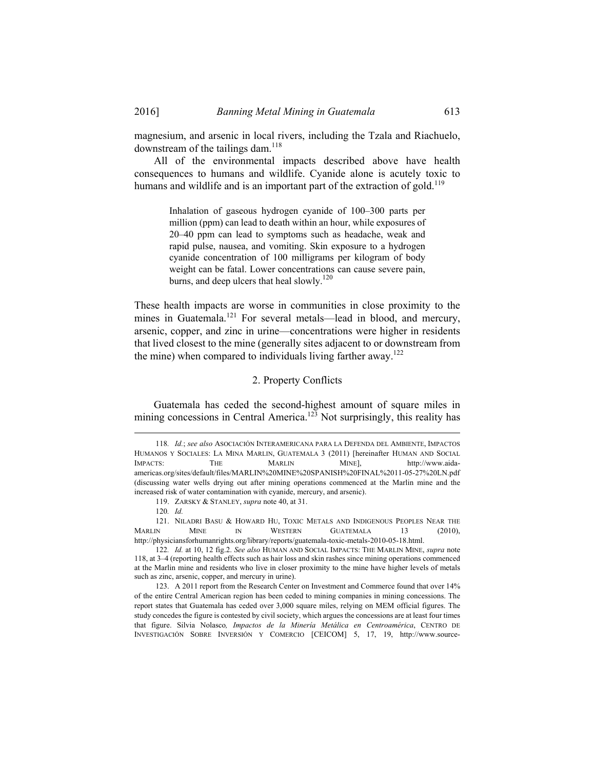magnesium, and arsenic in local rivers, including the Tzala and Riachuelo, downstream of the tailings dam. $118$ 

All of the environmental impacts described above have health consequences to humans and wildlife. Cyanide alone is acutely toxic to humans and wildlife and is an important part of the extraction of gold.<sup>119</sup>

> Inhalation of gaseous hydrogen cyanide of 100–300 parts per million (ppm) can lead to death within an hour, while exposures of 20–40 ppm can lead to symptoms such as headache, weak and rapid pulse, nausea, and vomiting. Skin exposure to a hydrogen cyanide concentration of 100 milligrams per kilogram of body weight can be fatal. Lower concentrations can cause severe pain, burns, and deep ulcers that heal slowly.<sup>120</sup>

These health impacts are worse in communities in close proximity to the mines in Guatemala.<sup>121</sup> For several metals—lead in blood, and mercury, arsenic, copper, and zinc in urine—concentrations were higher in residents that lived closest to the mine (generally sites adjacent to or downstream from the mine) when compared to individuals living farther away.<sup>122</sup>

## 2. Property Conflicts

Guatemala has ceded the second-highest amount of square miles in mining concessions in Central America.<sup>123</sup> Not surprisingly, this reality has

 <sup>118</sup>*. Id.*; *see also* ASOCIACIÓN INTERAMERICANA PARA LA DEFENDA DEL AMBIENTE, IMPACTOS HUMANOS Y SOCIALES: LA MINA MARLIN, GUATEMALA 3 (2011) [hereinafter HUMAN AND SOCIAL IMPACTS: THE MARLIN MINE], http://www.aidaamericas.org/sites/default/files/MARLIN%20MINE%20SPANISH%20FINAL%2011-05-27%20LN.pdf (discussing water wells drying out after mining operations commenced at the Marlin mine and the increased risk of water contamination with cyanide, mercury, and arsenic).

 <sup>119.</sup> ZARSKY & STANLEY, *supra* note 40, at 31.

<sup>120</sup>*. Id.*

 <sup>121.</sup> NILADRI BASU & HOWARD HU, TOXIC METALS AND INDIGENOUS PEOPLES NEAR THE MARLIN MINE IN WESTERN GUATEMALA 13 (2010), http://physiciansforhumanrights.org/library/reports/guatemala-toxic-metals-2010-05-18.html.

<sup>122</sup>*. Id.* at 10, 12 fig.2. *See also* HUMAN AND SOCIAL IMPACTS: THE MARLIN MINE, *supra* note 118, at 3–4 (reporting health effects such as hair loss and skin rashes since mining operations commenced at the Marlin mine and residents who live in closer proximity to the mine have higher levels of metals such as zinc, arsenic, copper, and mercury in urine).

 <sup>123.</sup> A 2011 report from the Research Center on Investment and Commerce found that over 14% of the entire Central American region has been ceded to mining companies in mining concessions. The report states that Guatemala has ceded over 3,000 square miles, relying on MEM official figures. The study concedes the figure is contested by civil society, which argues the concessions are at least four times that figure. Silvia Nolasco*, Impactos de la Minería Metálica en Centroamérica*, CENTRO DE INVESTIGACIÓN SOBRE INVERSIÓN Y COMERCIO [CEICOM] 5, 17, 19, http://www.source-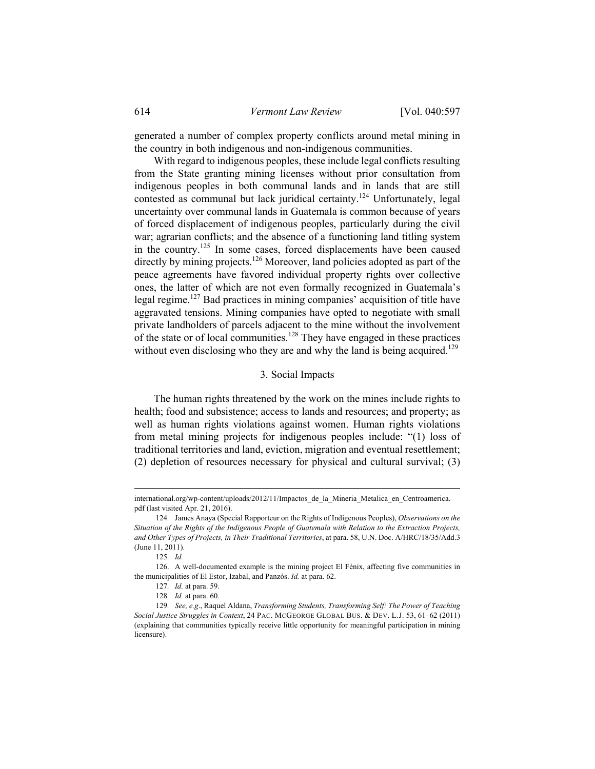generated a number of complex property conflicts around metal mining in the country in both indigenous and non-indigenous communities.

With regard to indigenous peoples, these include legal conflicts resulting from the State granting mining licenses without prior consultation from indigenous peoples in both communal lands and in lands that are still contested as communal but lack juridical certainty.<sup>124</sup> Unfortunately, legal uncertainty over communal lands in Guatemala is common because of years of forced displacement of indigenous peoples, particularly during the civil war; agrarian conflicts; and the absence of a functioning land titling system in the country.125 In some cases, forced displacements have been caused directly by mining projects.<sup>126</sup> Moreover, land policies adopted as part of the peace agreements have favored individual property rights over collective ones, the latter of which are not even formally recognized in Guatemala's legal regime.127 Bad practices in mining companies' acquisition of title have aggravated tensions. Mining companies have opted to negotiate with small private landholders of parcels adjacent to the mine without the involvement of the state or of local communities.<sup>128</sup> They have engaged in these practices without even disclosing who they are and why the land is being acquired.<sup>129</sup>

## 3. Social Impacts

The human rights threatened by the work on the mines include rights to health; food and subsistence; access to lands and resources; and property; as well as human rights violations against women. Human rights violations from metal mining projects for indigenous peoples include: "(1) loss of traditional territories and land, eviction, migration and eventual resettlement; (2) depletion of resources necessary for physical and cultural survival; (3)

international.org/wp-content/uploads/2012/11/Impactos\_de\_la\_Mineria\_Metalica\_en\_Centroamerica. pdf (last visited Apr. 21, 2016).

<sup>124</sup>*.* James Anaya (Special Rapporteur on the Rights of Indigenous Peoples), *Observations on the Situation of the Rights of the Indigenous People of Guatemala with Relation to the Extraction Projects, and Other Types of Projects, in Their Traditional Territories*, at para. 58, U.N. Doc. A/HRC/18/35/Add.3 (June 11, 2011).

<sup>125</sup>*. Id.*

 <sup>126.</sup> A well-documented example is the mining project El Fénix, affecting five communities in the municipalities of El Estor, Izabal, and Panzós. *Id.* at para. 62.

<sup>127</sup>*. Id.* at para. 59.

<sup>128</sup>*. Id.* at para. 60.

<sup>129</sup>*. See, e.g*., Raquel Aldana, *Transforming Students, Transforming Self: The Power of Teaching Social Justice Struggles in Context*, 24 PAC. MCGEORGE GLOBAL BUS. & DEV. L.J. 53, 61–62 (2011) (explaining that communities typically receive little opportunity for meaningful participation in mining licensure).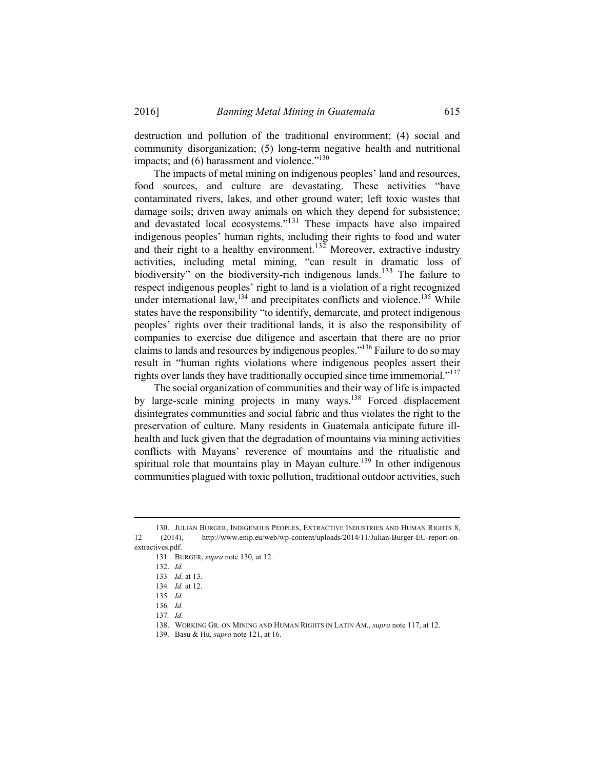destruction and pollution of the traditional environment; (4) social and community disorganization; (5) long-term negative health and nutritional impacts; and  $(6)$  harassment and violence."<sup>130</sup>

The impacts of metal mining on indigenous peoples' land and resources, food sources, and culture are devastating. These activities "have contaminated rivers, lakes, and other ground water; left toxic wastes that damage soils; driven away animals on which they depend for subsistence; and devastated local ecosystems."131 These impacts have also impaired indigenous peoples' human rights, including their rights to food and water and their right to a healthy environment.<sup>132</sup> Moreover, extractive industry activities, including metal mining, "can result in dramatic loss of biodiversity" on the biodiversity-rich indigenous lands.<sup>133</sup> The failure to respect indigenous peoples' right to land is a violation of a right recognized under international law, $^{134}$  and precipitates conflicts and violence.<sup>135</sup> While states have the responsibility "to identify, demarcate, and protect indigenous peoples' rights over their traditional lands, it is also the responsibility of companies to exercise due diligence and ascertain that there are no prior claims to lands and resources by indigenous peoples."136 Failure to do so may result in "human rights violations where indigenous peoples assert their rights over lands they have traditionally occupied since time immemorial."137

The social organization of communities and their way of life is impacted by large-scale mining projects in many ways.<sup>138</sup> Forced displacement disintegrates communities and social fabric and thus violates the right to the preservation of culture. Many residents in Guatemala anticipate future illhealth and luck given that the degradation of mountains via mining activities conflicts with Mayans' reverence of mountains and the ritualistic and spiritual role that mountains play in Mayan culture.<sup>139</sup> In other indigenous communities plagued with toxic pollution, traditional outdoor activities, such

137*. Id.*

 <sup>130.</sup> JULIAN BURGER, INDIGENOUS PEOPLES, EXTRACTIVE INDUSTRIES AND HUMAN RIGHTS 8, 12 (2014), http://www.enip.eu/web/wp-content/uploads/2014/11/Julian-Burger-EU-report-onextractives.pdf.

<sup>131</sup>*.* BURGER, *supra* note 130, at 12.

 <sup>132.</sup> *Id.*

<sup>133</sup>*. Id.* at 13.

<sup>134</sup>*. Id.* at 12.

<sup>135</sup>*. Id.*

<sup>136</sup>*. Id.*

 <sup>138.</sup> WORKING GR. ON MINING AND HUMAN RIGHTS IN LATIN AM., *supra* note 117, at 12.

 <sup>139.</sup> Basu & Hu, *supra* note 121, at 16.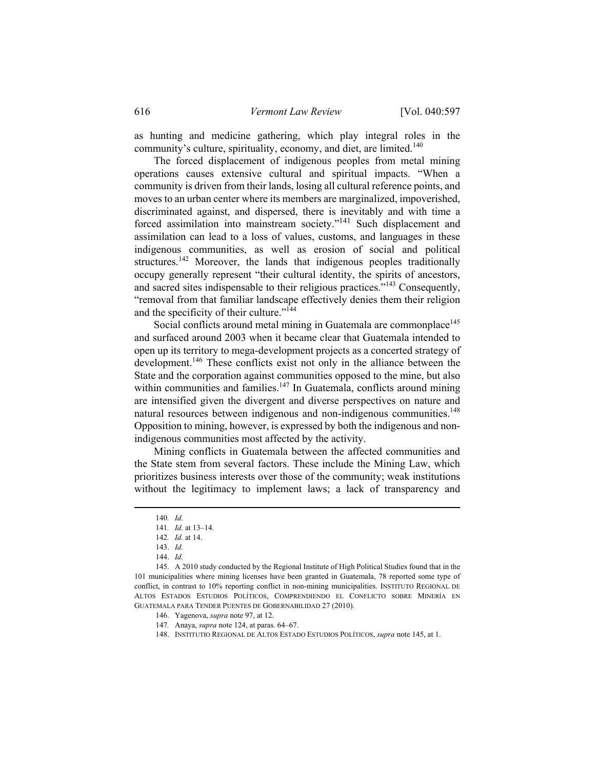as hunting and medicine gathering, which play integral roles in the community's culture, spirituality, economy, and diet, are limited.<sup>140</sup>

The forced displacement of indigenous peoples from metal mining operations causes extensive cultural and spiritual impacts. "When a community is driven from their lands, losing all cultural reference points, and moves to an urban center where its members are marginalized, impoverished, discriminated against, and dispersed, there is inevitably and with time a forced assimilation into mainstream society."<sup>141</sup> Such displacement and assimilation can lead to a loss of values, customs, and languages in these indigenous communities, as well as erosion of social and political structures.<sup>142</sup> Moreover, the lands that indigenous peoples traditionally occupy generally represent "their cultural identity, the spirits of ancestors, and sacred sites indispensable to their religious practices."143 Consequently, "removal from that familiar landscape effectively denies them their religion and the specificity of their culture."<sup>144</sup>

Social conflicts around metal mining in Guatemala are commonplace<sup>145</sup> and surfaced around 2003 when it became clear that Guatemala intended to open up its territory to mega-development projects as a concerted strategy of development.<sup>146</sup> These conflicts exist not only in the alliance between the State and the corporation against communities opposed to the mine, but also within communities and families.<sup>147</sup> In Guatemala, conflicts around mining are intensified given the divergent and diverse perspectives on nature and natural resources between indigenous and non-indigenous communities.<sup>148</sup> Opposition to mining, however, is expressed by both the indigenous and nonindigenous communities most affected by the activity.

Mining conflicts in Guatemala between the affected communities and the State stem from several factors. These include the Mining Law, which prioritizes business interests over those of the community; weak institutions without the legitimacy to implement laws; a lack of transparency and

 <sup>140</sup>*. Id.* 

<sup>141</sup>*. Id.* at 13–14.

<sup>142</sup>*. Id.* at 14.

 <sup>143.</sup> *Id.* 

 <sup>144.</sup> *Id.*

 <sup>145.</sup> A 2010 study conducted by the Regional Institute of High Political Studies found that in the 101 municipalities where mining licenses have been granted in Guatemala, 78 reported some type of conflict, in contrast to 10% reporting conflict in non-mining municipalities. INSTITUTO REGIONAL DE ALTOS ESTADOS ESTUDIOS POLÍTICOS, COMPRENDIENDO EL CONFLICTO SOBRE MINERÍA EN GUATEMALA PARA TENDER PUENTES DE GOBERNABILIDAD 27 (2010).

 <sup>146.</sup> Yagenova, *supra* note 97, at 12.

<sup>147</sup>*.* Anaya, *supra* note 124, at paras. 64–67.

 <sup>148.</sup> INSTITUTIO REGIONAL DE ALTOS ESTADO ESTUDIOS POLÍTICOS, *supra* note 145, at 1.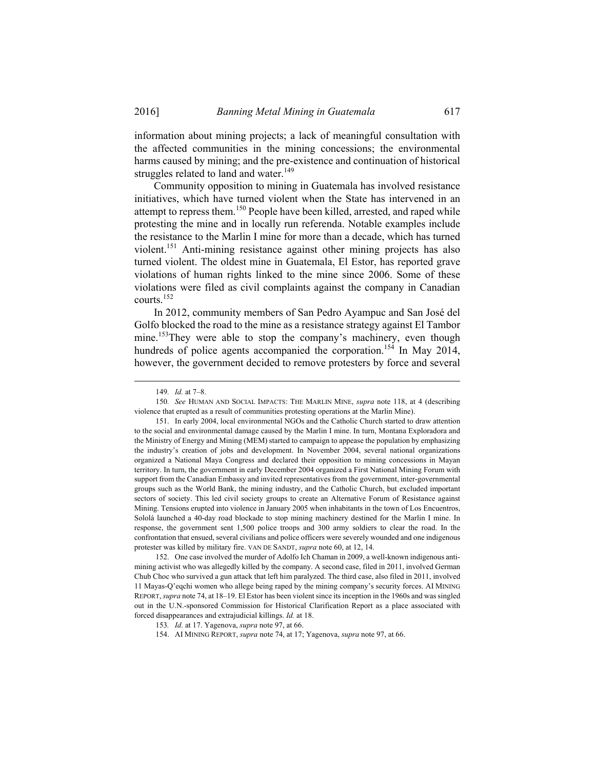information about mining projects; a lack of meaningful consultation with the affected communities in the mining concessions; the environmental harms caused by mining; and the pre-existence and continuation of historical struggles related to land and water. $149$ 

Community opposition to mining in Guatemala has involved resistance initiatives, which have turned violent when the State has intervened in an attempt to repress them.<sup>150</sup> People have been killed, arrested, and raped while protesting the mine and in locally run referenda. Notable examples include the resistance to the Marlin I mine for more than a decade, which has turned violent.151 Anti-mining resistance against other mining projects has also turned violent. The oldest mine in Guatemala, El Estor, has reported grave violations of human rights linked to the mine since 2006. Some of these violations were filed as civil complaints against the company in Canadian courts.<sup>152</sup>

In 2012, community members of San Pedro Ayampuc and San José del Golfo blocked the road to the mine as a resistance strategy against El Tambor mine.<sup>153</sup>They were able to stop the company's machinery, even though hundreds of police agents accompanied the corporation.<sup>154</sup> In May 2014, however, the government decided to remove protesters by force and several

150*. See* HUMAN AND SOCIAL IMPACTS: THE MARLIN MINE, *supra* note 118, at 4 (describing violence that erupted as a result of communities protesting operations at the Marlin Mine).

 152. One case involved the murder of Adolfo Ich Chaman in 2009, a well-known indigenous antimining activist who was allegedly killed by the company. A second case, filed in 2011, involved German Chub Choc who survived a gun attack that left him paralyzed. The third case, also filed in 2011, involved 11 Mayas-Q'eqchi women who allege being raped by the mining company's security forces. AI MINING REPORT, *supra* note 74, at 18–19. El Estor has been violent since its inception in the 1960s and was singled out in the U.N.-sponsored Commission for Historical Clarification Report as a place associated with forced disappearances and extrajudicial killings. *Id.* at 18.

 <sup>149</sup>*. Id.* at 7–8.

 <sup>151.</sup> In early 2004, local environmental NGOs and the Catholic Church started to draw attention to the social and environmental damage caused by the Marlin I mine. In turn, Montana Exploradora and the Ministry of Energy and Mining (MEM) started to campaign to appease the population by emphasizing the industry's creation of jobs and development. In November 2004, several national organizations organized a National Maya Congress and declared their opposition to mining concessions in Mayan territory. In turn, the government in early December 2004 organized a First National Mining Forum with support from the Canadian Embassy and invited representatives from the government, inter-governmental groups such as the World Bank, the mining industry, and the Catholic Church, but excluded important sectors of society. This led civil society groups to create an Alternative Forum of Resistance against Mining. Tensions erupted into violence in January 2005 when inhabitants in the town of Los Encuentros, Sololá launched a 40-day road blockade to stop mining machinery destined for the Marlin I mine. In response, the government sent 1,500 police troops and 300 army soldiers to clear the road. In the confrontation that ensued, several civilians and police officers were severely wounded and one indigenous protester was killed by military fire. VAN DE SANDT, *supra* note 60, at 12, 14.

<sup>153</sup>*. Id.* at 17. Yagenova, *supra* note 97, at 66.

 <sup>154.</sup> AI MINING REPORT, *supra* note 74, at 17; Yagenova, *supra* note 97, at 66.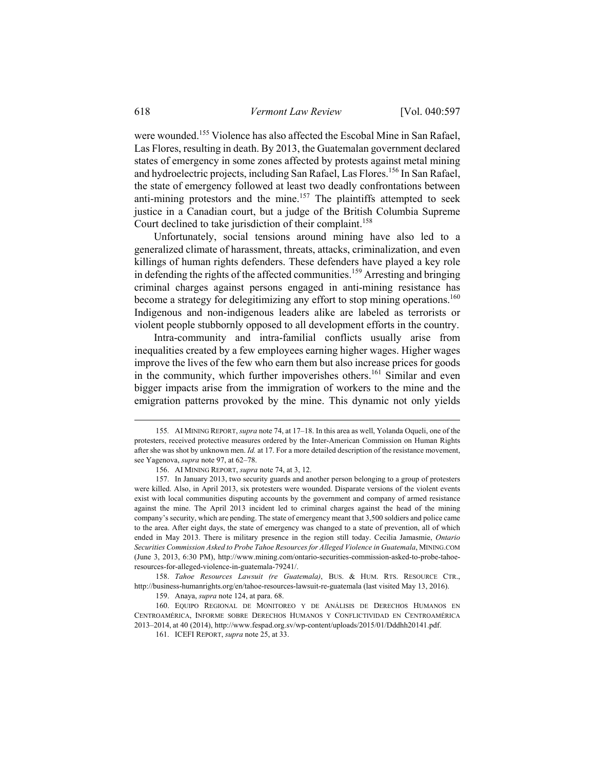were wounded.<sup>155</sup> Violence has also affected the Escobal Mine in San Rafael, Las Flores, resulting in death. By 2013, the Guatemalan government declared states of emergency in some zones affected by protests against metal mining and hydroelectric projects, including San Rafael, Las Flores.<sup>156</sup> In San Rafael, the state of emergency followed at least two deadly confrontations between anti-mining protestors and the mine.<sup>157</sup> The plaintiffs attempted to seek justice in a Canadian court, but a judge of the British Columbia Supreme Court declined to take jurisdiction of their complaint.<sup>158</sup>

Unfortunately, social tensions around mining have also led to a generalized climate of harassment, threats, attacks, criminalization, and even killings of human rights defenders. These defenders have played a key role in defending the rights of the affected communities.<sup>159</sup> Arresting and bringing criminal charges against persons engaged in anti-mining resistance has become a strategy for delegitimizing any effort to stop mining operations.<sup>160</sup> Indigenous and non-indigenous leaders alike are labeled as terrorists or violent people stubbornly opposed to all development efforts in the country.

Intra-community and intra-familial conflicts usually arise from inequalities created by a few employees earning higher wages. Higher wages improve the lives of the few who earn them but also increase prices for goods in the community, which further impoverishes others.<sup>161</sup> Similar and even bigger impacts arise from the immigration of workers to the mine and the emigration patterns provoked by the mine. This dynamic not only yields

 158. *Tahoe Resources Lawsuit (re Guatemala)*, BUS. & HUM. RTS. RESOURCE CTR., http://business-humanrights.org/en/tahoe-resources-lawsuit-re-guatemala (last visited May 13, 2016).

159. Anaya, *supra* note 124, at para. 68.

 160. EQUIPO REGIONAL DE MONITOREO Y DE ANÁLISIS DE DERECHOS HUMANOS EN CENTROAMÉRICA, INFORME SOBRE DERECHOS HUMANOS Y CONFLICTIVIDAD EN CENTROAMÉRICA 2013–2014, at 40 (2014), http://www.fespad.org.sv/wp-content/uploads/2015/01/Dddhh20141.pdf.

 <sup>155</sup>*.* AI MINING REPORT, *supra* note 74, at 17–18. In this area as well, Yolanda Oqueli, one of the protesters, received protective measures ordered by the Inter-American Commission on Human Rights after she was shot by unknown men. *Id.* at 17. For a more detailed description of the resistance movement, see Yagenova, *supra* note 97, at 62–78.

 <sup>156.</sup> AI MINING REPORT, *supra* note 74, at 3, 12.

 <sup>157.</sup> In January 2013, two security guards and another person belonging to a group of protesters were killed. Also, in April 2013, six protesters were wounded. Disparate versions of the violent events exist with local communities disputing accounts by the government and company of armed resistance against the mine. The April 2013 incident led to criminal charges against the head of the mining company's security, which are pending. The state of emergency meant that 3,500 soldiers and police came to the area. After eight days, the state of emergency was changed to a state of prevention, all of which ended in May 2013. There is military presence in the region still today. Cecilia Jamasmie, *Ontario Securities Commission Asked to Probe Tahoe Resources for Alleged Violence in Guatemala*, MINING.COM (June 3, 2013, 6:30 PM), http://www.mining.com/ontario-securities-commission-asked-to-probe-tahoeresources-for-alleged-violence-in-guatemala-79241/.

 <sup>161.</sup> ICEFI REPORT, *supra* note 25, at 33.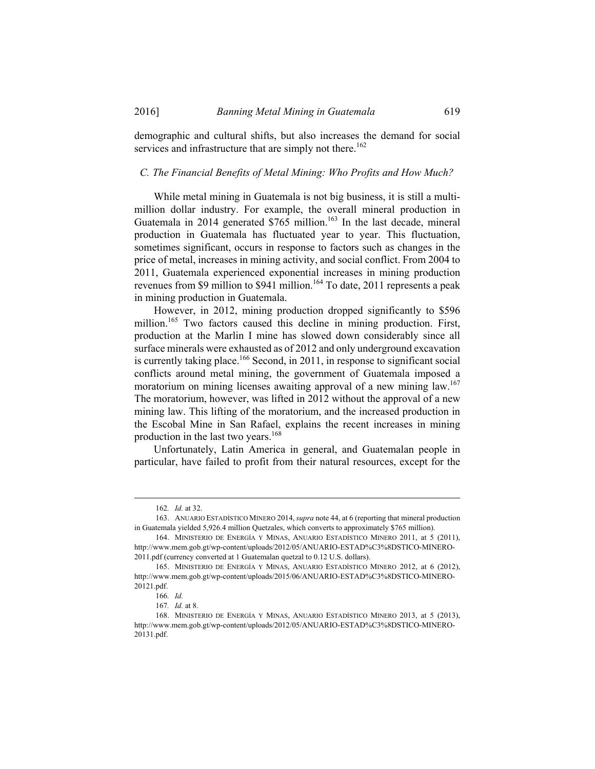demographic and cultural shifts, but also increases the demand for social services and infrastructure that are simply not there.<sup>162</sup>

#### *C. The Financial Benefits of Metal Mining: Who Profits and How Much?*

While metal mining in Guatemala is not big business, it is still a multimillion dollar industry. For example, the overall mineral production in Guatemala in 2014 generated  $$765$  million.<sup>163</sup> In the last decade, mineral production in Guatemala has fluctuated year to year. This fluctuation, sometimes significant, occurs in response to factors such as changes in the price of metal, increases in mining activity, and social conflict. From 2004 to 2011, Guatemala experienced exponential increases in mining production revenues from \$9 million to \$941 million.<sup>164</sup> To date, 2011 represents a peak in mining production in Guatemala.

However, in 2012, mining production dropped significantly to \$596 million.<sup>165</sup> Two factors caused this decline in mining production. First, production at the Marlin I mine has slowed down considerably since all surface minerals were exhausted as of 2012 and only underground excavation is currently taking place.<sup>166</sup> Second, in 2011, in response to significant social conflicts around metal mining, the government of Guatemala imposed a moratorium on mining licenses awaiting approval of a new mining law.<sup>167</sup> The moratorium, however, was lifted in 2012 without the approval of a new mining law. This lifting of the moratorium, and the increased production in the Escobal Mine in San Rafael, explains the recent increases in mining production in the last two years.168

Unfortunately, Latin America in general, and Guatemalan people in particular, have failed to profit from their natural resources, except for the

 <sup>162</sup>*. Id.* at 32.

 <sup>163.</sup> ANUARIO ESTADÍSTICO MINERO 2014,*supra* note 44, at 6 (reporting that mineral production in Guatemala yielded 5,926.4 million Quetzales, which converts to approximately \$765 million).

 <sup>164.</sup> MINISTERIO DE ENERGÍA Y MINAS, ANUARIO ESTADÍSTICO MINERO 2011, at 5 (2011), http://www.mem.gob.gt/wp-content/uploads/2012/05/ANUARIO-ESTAD%C3%8DSTICO-MINERO-2011.pdf (currency converted at 1 Guatemalan quetzal to 0.12 U.S. dollars).

 <sup>165.</sup> MINISTERIO DE ENERGÍA Y MINAS, ANUARIO ESTADÍSTICO MINERO 2012, at 6 (2012), http://www.mem.gob.gt/wp-content/uploads/2015/06/ANUARIO-ESTAD%C3%8DSTICO-MINERO-20121.pdf.

<sup>166</sup>*. Id.*

<sup>167</sup>*. Id.* at 8.

 <sup>168.</sup> MINISTERIO DE ENERGÍA Y MINAS, ANUARIO ESTADÍSTICO MINERO 2013, at 5 (2013), http://www.mem.gob.gt/wp-content/uploads/2012/05/ANUARIO-ESTAD%C3%8DSTICO-MINERO-20131.pdf.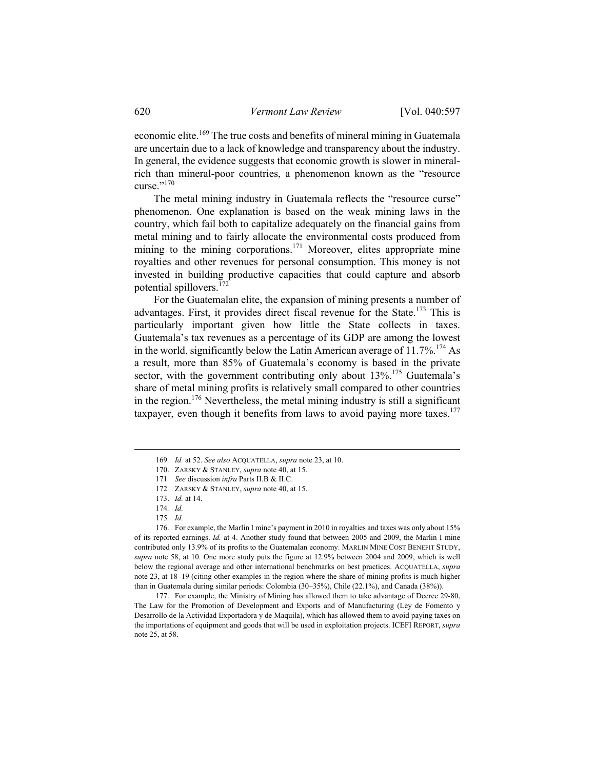economic elite.<sup>169</sup> The true costs and benefits of mineral mining in Guatemala are uncertain due to a lack of knowledge and transparency about the industry. In general, the evidence suggests that economic growth is slower in mineralrich than mineral-poor countries, a phenomenon known as the "resource curse."170

The metal mining industry in Guatemala reflects the "resource curse" phenomenon. One explanation is based on the weak mining laws in the country, which fail both to capitalize adequately on the financial gains from metal mining and to fairly allocate the environmental costs produced from mining to the mining corporations.<sup>171</sup> Moreover, elites appropriate mine royalties and other revenues for personal consumption. This money is not invested in building productive capacities that could capture and absorb potential spillovers.<sup>172</sup>

For the Guatemalan elite, the expansion of mining presents a number of advantages. First, it provides direct fiscal revenue for the State.<sup>173</sup> This is particularly important given how little the State collects in taxes. Guatemala's tax revenues as a percentage of its GDP are among the lowest in the world, significantly below the Latin American average of  $11.7\%$ <sup>174</sup> As a result, more than 85% of Guatemala's economy is based in the private sector, with the government contributing only about 13%.<sup>175</sup> Guatemala's share of metal mining profits is relatively small compared to other countries in the region.<sup>176</sup> Nevertheless, the metal mining industry is still a significant taxpayer, even though it benefits from laws to avoid paying more taxes. $177$ 

175*. Id.*

 176. For example, the Marlin I mine's payment in 2010 in royalties and taxes was only about 15% of its reported earnings. *Id.* at 4. Another study found that between 2005 and 2009, the Marlin I mine contributed only 13.9% of its profits to the Guatemalan economy. MARLIN MINE COST BENEFIT STUDY, *supra* note 58, at 10. One more study puts the figure at 12.9% between 2004 and 2009, which is well below the regional average and other international benchmarks on best practices. ACQUATELLA, *supra* note 23, at 18–19 (citing other examples in the region where the share of mining profits is much higher than in Guatemala during similar periods: Colombia (30–35%), Chile (22.1%), and Canada (38%)).

 177. For example, the Ministry of Mining has allowed them to take advantage of Decree 29-80, The Law for the Promotion of Development and Exports and of Manufacturing (Ley de Fomento y Desarrollo de la Actividad Exportadora y de Maquila), which has allowed them to avoid paying taxes on the importations of equipment and goods that will be used in exploitation projects. ICEFI REPORT, *supra*  note 25, at 58.

 <sup>169</sup>*. Id.* at 52. *See also* ACQUATELLA, *supra* note 23, at 10.

 <sup>170.</sup> ZARSKY & STANLEY, *supra* note 40, at 15.

<sup>171</sup>*. See* discussion *infra* Parts II.B & II.C.

<sup>172</sup>*.* ZARSKY & STANLEY, *supra* note 40, at 15.

 <sup>173.</sup> *Id.* at 14.

<sup>174</sup>*. Id.*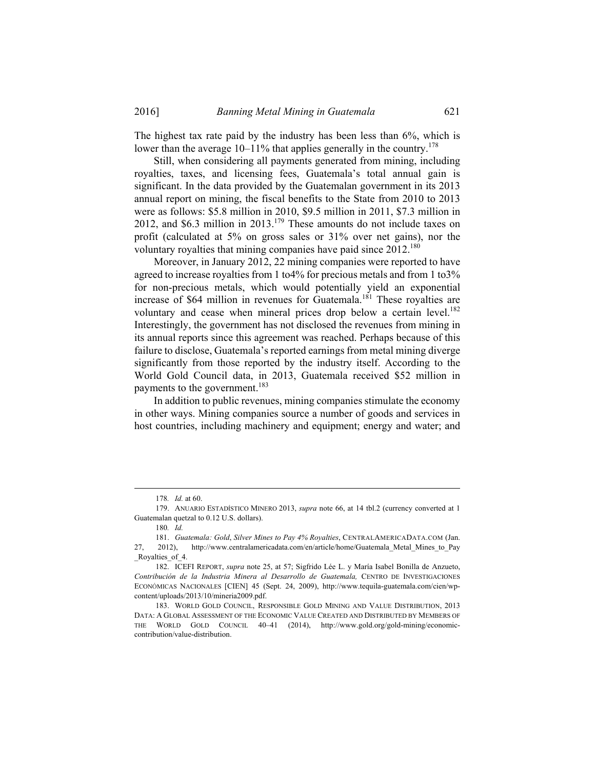The highest tax rate paid by the industry has been less than 6%, which is lower than the average  $10-11\%$  that applies generally in the country.<sup>178</sup>

Still, when considering all payments generated from mining, including royalties, taxes, and licensing fees, Guatemala's total annual gain is significant. In the data provided by the Guatemalan government in its 2013 annual report on mining, the fiscal benefits to the State from 2010 to 2013 were as follows: \$5.8 million in 2010, \$9.5 million in 2011, \$7.3 million in 2012, and \$6.3 million in 2013.179 These amounts do not include taxes on profit (calculated at 5% on gross sales or 31% over net gains), nor the voluntary royalties that mining companies have paid since  $2012^{180}$ 

Moreover, in January 2012, 22 mining companies were reported to have agreed to increase royalties from 1 to4% for precious metals and from 1 to3% for non-precious metals, which would potentially yield an exponential increase of \$64 million in revenues for Guatemala.<sup>181</sup> These royalties are voluntary and cease when mineral prices drop below a certain level.<sup>182</sup> Interestingly, the government has not disclosed the revenues from mining in its annual reports since this agreement was reached. Perhaps because of this failure to disclose, Guatemala's reported earnings from metal mining diverge significantly from those reported by the industry itself. According to the World Gold Council data, in 2013, Guatemala received \$52 million in payments to the government.<sup>183</sup>

In addition to public revenues, mining companies stimulate the economy in other ways. Mining companies source a number of goods and services in host countries, including machinery and equipment; energy and water; and

 <sup>178</sup>*. Id.* at 60.

 <sup>179.</sup> ANUARIO ESTADÍSTICO MINERO 2013, *supra* note 66, at 14 tbl.2 (currency converted at 1 Guatemalan quetzal to 0.12 U.S. dollars).

<sup>180</sup>*. Id.*

 <sup>181.</sup> *Guatemala: Gold*, *Silver Mines to Pay 4% Royalties*, CENTRALAMERICADATA.COM (Jan. 27, 2012), http://www.centralamericadata.com/en/article/home/Guatemala\_Metal\_Mines\_to\_Pay Royalties of 4.

 <sup>182.</sup> ICEFI REPORT, *supra* note 25, at 57; Sigfrido Lée L. y María Isabel Bonilla de Anzueto, *Contribución de la Industria Minera al Desarrollo de Guatemala,* CENTRO DE INVESTIGACIONES ECONÓMICAS NACIONALES [CIEN] 45 (Sept. 24, 2009), http://www.tequila-guatemala.com/cien/wpcontent/uploads/2013/10/mineria2009.pdf.

 <sup>183.</sup> WORLD GOLD COUNCIL, RESPONSIBLE GOLD MINING AND VALUE DISTRIBUTION, 2013 DATA: A GLOBAL ASSESSMENT OF THE ECONOMIC VALUE CREATED AND DISTRIBUTED BY MEMBERS OF THE WORLD GOLD COUNCIL 40–41 (2014), http://www.gold.org/gold-mining/economiccontribution/value-distribution.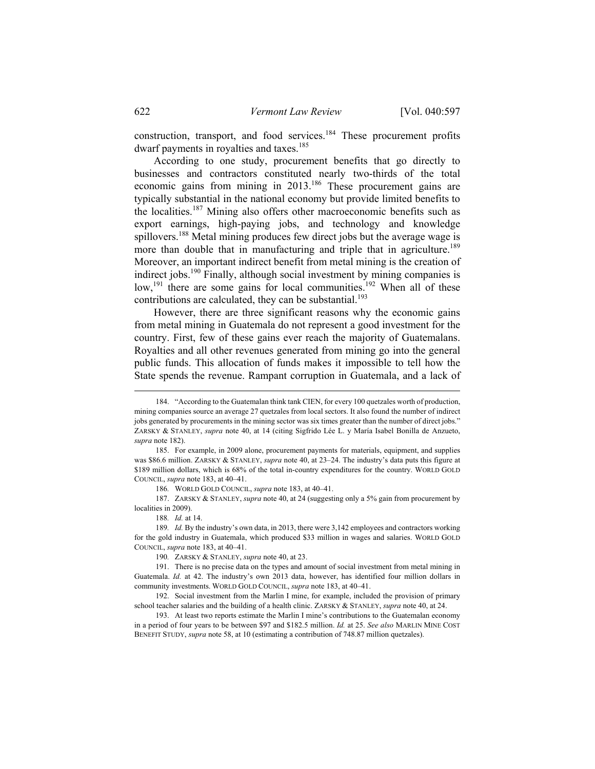construction, transport, and food services.<sup>184</sup> These procurement profits dwarf payments in royalties and taxes.<sup>185</sup>

According to one study, procurement benefits that go directly to businesses and contractors constituted nearly two-thirds of the total economic gains from mining in 2013.186 These procurement gains are typically substantial in the national economy but provide limited benefits to the localities.<sup>187</sup> Mining also offers other macroeconomic benefits such as export earnings, high-paying jobs, and technology and knowledge spillovers.<sup>188</sup> Metal mining produces few direct jobs but the average wage is more than double that in manufacturing and triple that in agriculture.<sup>189</sup> Moreover, an important indirect benefit from metal mining is the creation of indirect jobs.190 Finally, although social investment by mining companies is low,<sup>191</sup> there are some gains for local communities.<sup>192</sup> When all of these contributions are calculated, they can be substantial.<sup>193</sup>

However, there are three significant reasons why the economic gains from metal mining in Guatemala do not represent a good investment for the country. First, few of these gains ever reach the majority of Guatemalans. Royalties and all other revenues generated from mining go into the general public funds. This allocation of funds makes it impossible to tell how the State spends the revenue. Rampant corruption in Guatemala, and a lack of

186*.* WORLD GOLD COUNCIL, *supra* note 183, at 40–41.

 187. ZARSKY & STANLEY, *supra* note 40, at 24 (suggesting only a 5% gain from procurement by localities in 2009).

188*. Id.* at 14.

189*. Id.* By the industry's own data, in 2013, there were 3,142 employees and contractors working for the gold industry in Guatemala, which produced \$33 million in wages and salaries. WORLD GOLD COUNCIL, *supra* note 183, at 40–41.

190*.* ZARSKY & STANLEY, *supra* note 40, at 23.

 191. There is no precise data on the types and amount of social investment from metal mining in Guatemala. *Id.* at 42. The industry's own 2013 data, however, has identified four million dollars in community investments. WORLD GOLD COUNCIL, *supra* note 183, at 40–41.

 192. Social investment from the Marlin I mine, for example, included the provision of primary school teacher salaries and the building of a health clinic. ZARSKY & STANLEY, *supra* note 40, at 24.

 193. At least two reports estimate the Marlin I mine's contributions to the Guatemalan economy in a period of four years to be between \$97 and \$182.5 million. *Id.* at 25. *See also* MARLIN MINE COST BENEFIT STUDY, *supra* note 58, at 10 (estimating a contribution of 748.87 million quetzales).

 <sup>184. &</sup>quot;According to the Guatemalan think tank CIEN, for every 100 quetzales worth of production, mining companies source an average 27 quetzales from local sectors. It also found the number of indirect jobs generated by procurements in the mining sector was six times greater than the number of direct jobs." ZARSKY & STANLEY, *supra* note 40, at 14 (citing Sigfrido Lée L. y María Isabel Bonilla de Anzueto, *supra* note 182).

 <sup>185.</sup> For example, in 2009 alone, procurement payments for materials, equipment, and supplies was \$86.6 million. ZARSKY & STANLEY, *supra* note 40, at 23–24. The industry's data puts this figure at \$189 million dollars, which is 68% of the total in-country expenditures for the country. WORLD GOLD COUNCIL, *supra* note 183, at 40–41.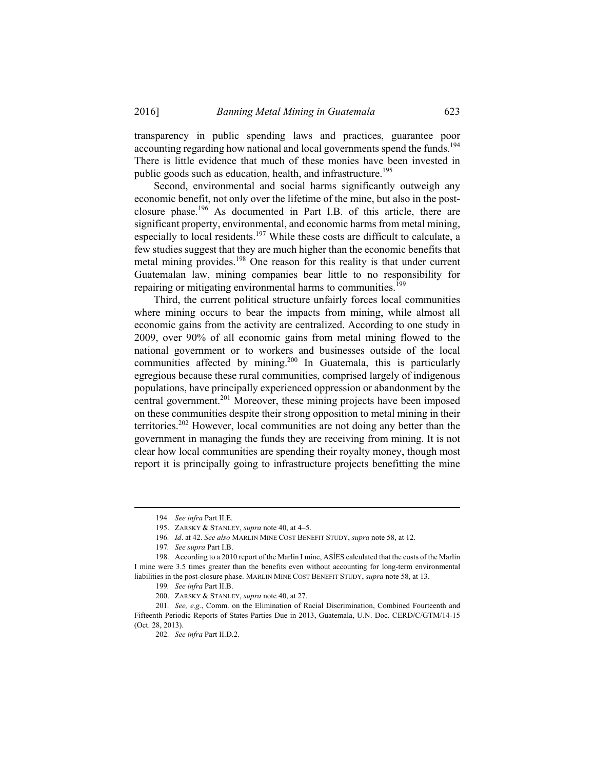transparency in public spending laws and practices, guarantee poor accounting regarding how national and local governments spend the funds.<sup>194</sup> There is little evidence that much of these monies have been invested in public goods such as education, health, and infrastructure.<sup>195</sup>

Second, environmental and social harms significantly outweigh any economic benefit, not only over the lifetime of the mine, but also in the postclosure phase.<sup>196</sup> As documented in Part I.B. of this article, there are significant property, environmental, and economic harms from metal mining, especially to local residents.<sup>197</sup> While these costs are difficult to calculate, a few studies suggest that they are much higher than the economic benefits that metal mining provides.<sup>198</sup> One reason for this reality is that under current Guatemalan law, mining companies bear little to no responsibility for repairing or mitigating environmental harms to communities.<sup>199</sup>

Third, the current political structure unfairly forces local communities where mining occurs to bear the impacts from mining, while almost all economic gains from the activity are centralized. According to one study in 2009, over 90% of all economic gains from metal mining flowed to the national government or to workers and businesses outside of the local communities affected by mining.<sup>200</sup> In Guatemala, this is particularly egregious because these rural communities, comprised largely of indigenous populations, have principally experienced oppression or abandonment by the central government.<sup>201</sup> Moreover, these mining projects have been imposed on these communities despite their strong opposition to metal mining in their territories.202 However, local communities are not doing any better than the government in managing the funds they are receiving from mining. It is not clear how local communities are spending their royalty money, though most report it is principally going to infrastructure projects benefitting the mine

 <sup>194</sup>*. See infra* Part II.E.

 <sup>195.</sup> ZARSKY & STANLEY, *supra* note 40, at 4–5.

<sup>196</sup>*. Id*. at 42. *See also* MARLIN MINE COST BENEFIT STUDY, *supra* note 58, at 12.

<sup>197</sup>*. See supra* Part I.B.

 <sup>198.</sup> According to a 2010 report of the Marlin I mine, ASĺES calculated that the costs of the Marlin I mine were 3.5 times greater than the benefits even without accounting for long-term environmental liabilities in the post-closure phase. MARLIN MINE COST BENEFIT STUDY, *supra* note 58, at 13.

<sup>199</sup>*. See infra* Part II.B.

 <sup>200.</sup> ZARSKY & STANLEY, *supra* note 40, at 27.

<sup>201</sup>*. See, e.g.*, Comm. on the Elimination of Racial Discrimination, Combined Fourteenth and Fifteenth Periodic Reports of States Parties Due in 2013, Guatemala, U.N. Doc. CERD/C/GTM/14-15 (Oct. 28, 2013).

<sup>202</sup>*. See infra* Part II.D.2.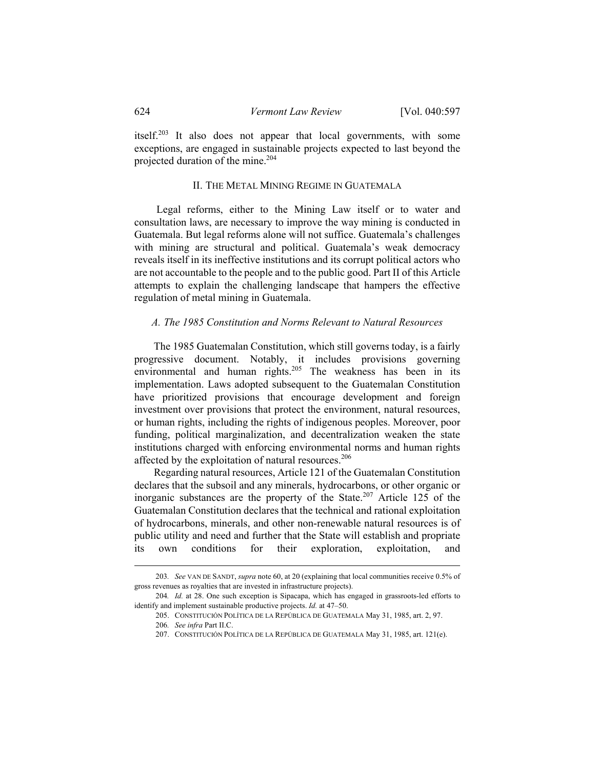itself.203 It also does not appear that local governments, with some exceptions, are engaged in sustainable projects expected to last beyond the projected duration of the mine.204

## II. THE METAL MINING REGIME IN GUATEMALA

 Legal reforms, either to the Mining Law itself or to water and consultation laws, are necessary to improve the way mining is conducted in Guatemala. But legal reforms alone will not suffice. Guatemala's challenges with mining are structural and political. Guatemala's weak democracy reveals itself in its ineffective institutions and its corrupt political actors who are not accountable to the people and to the public good. Part II of this Article attempts to explain the challenging landscape that hampers the effective regulation of metal mining in Guatemala.

#### *A. The 1985 Constitution and Norms Relevant to Natural Resources*

The 1985 Guatemalan Constitution, which still governs today, is a fairly progressive document. Notably, it includes provisions governing environmental and human rights.<sup>205</sup> The weakness has been in its implementation. Laws adopted subsequent to the Guatemalan Constitution have prioritized provisions that encourage development and foreign investment over provisions that protect the environment, natural resources, or human rights, including the rights of indigenous peoples. Moreover, poor funding, political marginalization, and decentralization weaken the state institutions charged with enforcing environmental norms and human rights affected by the exploitation of natural resources.<sup>206</sup>

Regarding natural resources, Article 121 of the Guatemalan Constitution declares that the subsoil and any minerals, hydrocarbons, or other organic or inorganic substances are the property of the State.<sup>207</sup> Article 125 of the Guatemalan Constitution declares that the technical and rational exploitation of hydrocarbons, minerals, and other non-renewable natural resources is of public utility and need and further that the State will establish and propriate its own conditions for their exploration, exploitation, and

 <sup>203</sup>*. See* VAN DE SANDT, *supra* note 60, at 20 (explaining that local communities receive 0.5% of gross revenues as royalties that are invested in infrastructure projects).

<sup>204</sup>*. Id.* at 28. One such exception is Sipacapa, which has engaged in grassroots-led efforts to identify and implement sustainable productive projects. *Id.* at 47–50.

 <sup>205.</sup> CONSTITUCIÓN POLÍTICA DE LA REPÚBLICA DE GUATEMALA May 31, 1985, art. 2, 97.

<sup>206</sup>*. See infra* Part II.C.

 <sup>207.</sup> CONSTITUCIÓN POLÍTICA DE LA REPÚBLICA DE GUATEMALA May 31, 1985, art. 121(e).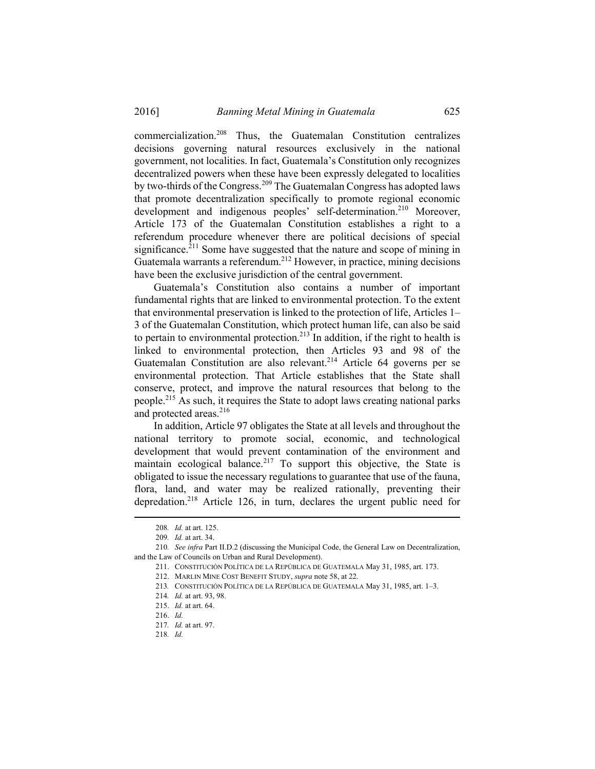commercialization.208 Thus, the Guatemalan Constitution centralizes decisions governing natural resources exclusively in the national government, not localities. In fact, Guatemala's Constitution only recognizes decentralized powers when these have been expressly delegated to localities by two-thirds of the Congress.209 The Guatemalan Congress has adopted laws that promote decentralization specifically to promote regional economic development and indigenous peoples' self-determination.<sup>210</sup> Moreover, Article 173 of the Guatemalan Constitution establishes a right to a referendum procedure whenever there are political decisions of special significance.<sup>211</sup> Some have suggested that the nature and scope of mining in Guatemala warrants a referendum.<sup>212</sup> However, in practice, mining decisions have been the exclusive jurisdiction of the central government.

Guatemala's Constitution also contains a number of important fundamental rights that are linked to environmental protection. To the extent that environmental preservation is linked to the protection of life, Articles 1– 3 of the Guatemalan Constitution, which protect human life, can also be said to pertain to environmental protection.<sup>213</sup> In addition, if the right to health is linked to environmental protection, then Articles 93 and 98 of the Guatemalan Constitution are also relevant.<sup>214</sup> Article 64 governs per se environmental protection. That Article establishes that the State shall conserve, protect, and improve the natural resources that belong to the people.215 As such, it requires the State to adopt laws creating national parks and protected areas.<sup>216</sup>

In addition, Article 97 obligates the State at all levels and throughout the national territory to promote social, economic, and technological development that would prevent contamination of the environment and maintain ecological balance.<sup>217</sup> To support this objective, the State is obligated to issue the necessary regulations to guarantee that use of the fauna, flora, land, and water may be realized rationally, preventing their depredation.218 Article 126, in turn, declares the urgent public need for

218*. Id.*

 <sup>208</sup>*. Id.* at art. 125.

<sup>209</sup>*. Id.* at art. 34.

<sup>210</sup>*. See infra* Part II.D.2 (discussing the Municipal Code, the General Law on Decentralization, and the Law of Councils on Urban and Rural Development).

 <sup>211.</sup> CONSTITUCIÓN POLÍTICA DE LA REPÚBLICA DE GUATEMALA May 31, 1985, art. 173.

 <sup>212.</sup> MARLIN MINE COST BENEFIT STUDY, *supra* note 58, at 22.

<sup>213</sup>*.* CONSTITUCIÓN POLÍTICA DE LA REPÚBLICA DE GUATEMALA May 31, 1985, art. 1–3.

<sup>214</sup>*. Id.* at art. 93, 98.

 <sup>215.</sup> *Id.* at art. 64.

 <sup>216.</sup> *Id.*

<sup>217</sup>*. Id.* at art. 97.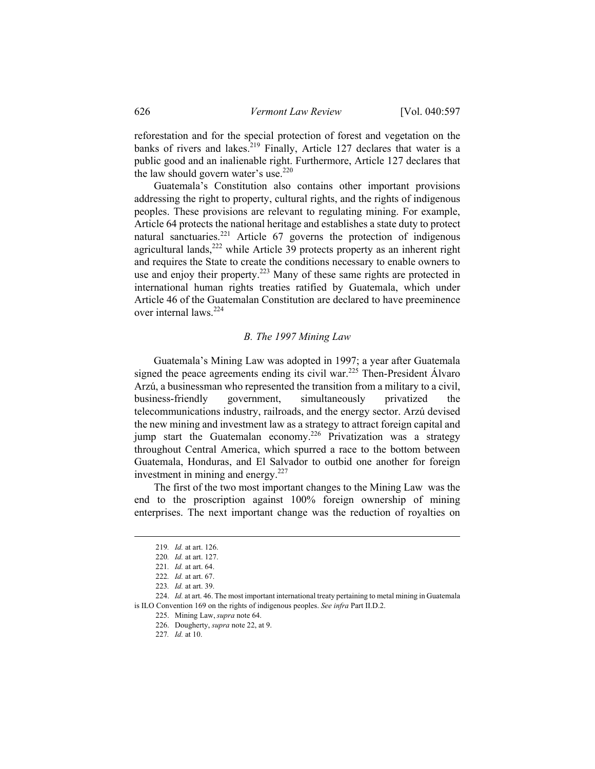reforestation and for the special protection of forest and vegetation on the banks of rivers and lakes.<sup>219</sup> Finally, Article 127 declares that water is a public good and an inalienable right. Furthermore, Article 127 declares that the law should govern water's use. $220$ 

Guatemala's Constitution also contains other important provisions addressing the right to property, cultural rights, and the rights of indigenous peoples. These provisions are relevant to regulating mining. For example, Article 64 protects the national heritage and establishes a state duty to protect natural sanctuaries.<sup>221</sup> Article 67 governs the protection of indigenous agricultural lands,  $222$  while Article 39 protects property as an inherent right and requires the State to create the conditions necessary to enable owners to use and enjoy their property.<sup>223</sup> Many of these same rights are protected in international human rights treaties ratified by Guatemala, which under Article 46 of the Guatemalan Constitution are declared to have preeminence over internal laws.<sup>224</sup>

# *B. The 1997 Mining Law*

Guatemala's Mining Law was adopted in 1997; a year after Guatemala signed the peace agreements ending its civil war.<sup>225</sup> Then-President Álvaro Arzú, a businessman who represented the transition from a military to a civil, business-friendly government, simultaneously privatized the telecommunications industry, railroads, and the energy sector. Arzú devised the new mining and investment law as a strategy to attract foreign capital and jump start the Guatemalan economy.<sup>226</sup> Privatization was a strategy throughout Central America, which spurred a race to the bottom between Guatemala, Honduras, and El Salvador to outbid one another for foreign investment in mining and energy. $227$ 

The first of the two most important changes to the Mining Law was the end to the proscription against 100% foreign ownership of mining enterprises. The next important change was the reduction of royalties on

 <sup>219</sup>*. Id.* at art. 126.

<sup>220</sup>*. Id.* at art. 127.

<sup>221</sup>*. Id.* at art. 64.

<sup>222</sup>*. Id.* at art. 67.

<sup>223</sup>*. Id.* at art. 39.

 <sup>224.</sup> *Id.* at art. 46. The most important international treaty pertaining to metal mining in Guatemala is ILO Convention 169 on the rights of indigenous peoples. *See infra* Part II.D.2.

 <sup>225.</sup> Mining Law, *supra* note 64.

 <sup>226.</sup> Dougherty, *supra* note 22, at 9.

<sup>227</sup>*. Id.* at 10.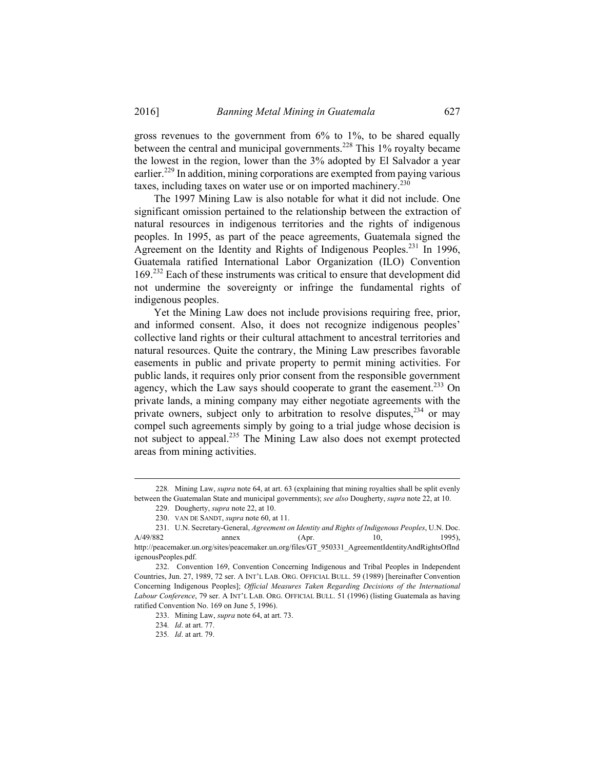gross revenues to the government from 6% to 1%, to be shared equally between the central and municipal governments.<sup>228</sup> This 1% royalty became the lowest in the region, lower than the 3% adopted by El Salvador a year earlier.<sup>229</sup> In addition, mining corporations are exempted from paying various taxes, including taxes on water use or on imported machinery.<sup>230</sup>

The 1997 Mining Law is also notable for what it did not include. One significant omission pertained to the relationship between the extraction of natural resources in indigenous territories and the rights of indigenous peoples. In 1995, as part of the peace agreements, Guatemala signed the Agreement on the Identity and Rights of Indigenous Peoples.<sup>231</sup> In 1996, Guatemala ratified International Labor Organization (ILO) Convention 169.<sup>232</sup> Each of these instruments was critical to ensure that development did not undermine the sovereignty or infringe the fundamental rights of indigenous peoples.

Yet the Mining Law does not include provisions requiring free, prior, and informed consent. Also, it does not recognize indigenous peoples' collective land rights or their cultural attachment to ancestral territories and natural resources. Quite the contrary, the Mining Law prescribes favorable easements in public and private property to permit mining activities. For public lands, it requires only prior consent from the responsible government agency, which the Law says should cooperate to grant the easement.<sup>233</sup> On private lands, a mining company may either negotiate agreements with the private owners, subject only to arbitration to resolve disputes,  $234$  or may compel such agreements simply by going to a trial judge whose decision is not subject to appeal.235 The Mining Law also does not exempt protected areas from mining activities.

 <sup>228</sup>*.* Mining Law, *supra* note 64, at art. 63 (explaining that mining royalties shall be split evenly between the Guatemalan State and municipal governments); *see also* Dougherty, *supra* note 22, at 10.

 <sup>229.</sup> Dougherty, *supra* note 22, at 10.

 <sup>230.</sup> VAN DE SANDT, *supra* note 60, at 11.

 <sup>231.</sup> U.N. Secretary-General, *Agreement on Identity and Rights of Indigenous Peoples*, U.N. Doc. A/49/882 annex (Apr. 10, 1995), http://peacemaker.un.org/sites/peacemaker.un.org/files/GT\_950331\_AgreementIdentityAndRightsOfInd igenousPeoples.pdf.

 <sup>232.</sup> Convention 169, Convention Concerning Indigenous and Tribal Peoples in Independent Countries, Jun. 27, 1989, 72 ser. A INT'L LAB. ORG. OFFICIAL BULL. 59 (1989) [hereinafter Convention Concerning Indigenous Peoples]; *Official Measures Taken Regarding Decisions of the International Labour Conference*, 79 ser. A INT'L LAB. ORG. OFFICIAL BULL. 51 (1996) (listing Guatemala as having ratified Convention No. 169 on June 5, 1996).

 <sup>233.</sup> Mining Law, *supra* note 64, at art. 73.

<sup>234</sup>*. Id*. at art. 77.

<sup>235</sup>*. Id*. at art. 79.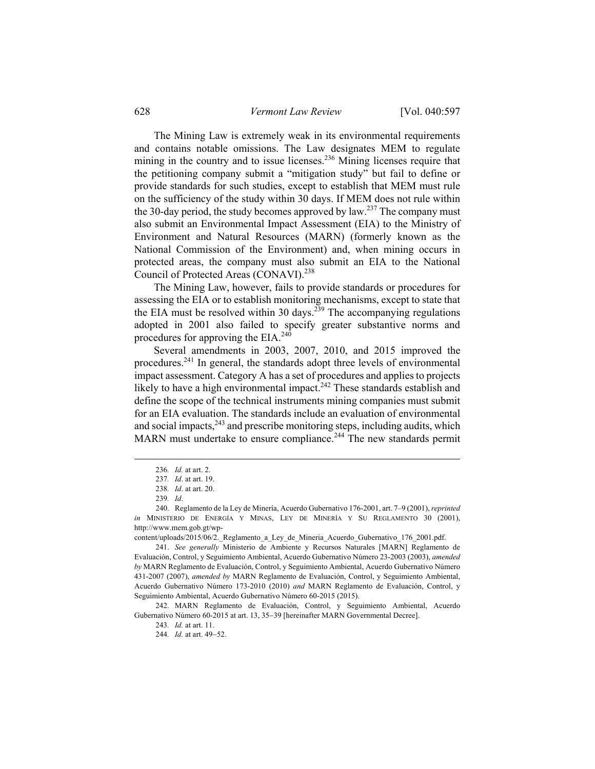The Mining Law is extremely weak in its environmental requirements and contains notable omissions. The Law designates MEM to regulate mining in the country and to issue licenses.<sup>236</sup> Mining licenses require that the petitioning company submit a "mitigation study" but fail to define or provide standards for such studies, except to establish that MEM must rule on the sufficiency of the study within 30 days. If MEM does not rule within the 30-day period, the study becomes approved by law.<sup>237</sup> The company must also submit an Environmental Impact Assessment (EIA) to the Ministry of Environment and Natural Resources (MARN) (formerly known as the National Commission of the Environment) and, when mining occurs in protected areas, the company must also submit an EIA to the National Council of Protected Areas (CONAVI).<sup>238</sup>

The Mining Law, however, fails to provide standards or procedures for assessing the EIA or to establish monitoring mechanisms, except to state that the EIA must be resolved within 30 days.<sup>239</sup> The accompanying regulations adopted in 2001 also failed to specify greater substantive norms and procedures for approving the EIA. $^{240}$ 

Several amendments in 2003, 2007, 2010, and 2015 improved the procedures.241 In general, the standards adopt three levels of environmental impact assessment. Category A has a set of procedures and applies to projects likely to have a high environmental impact.<sup>242</sup> These standards establish and define the scope of the technical instruments mining companies must submit for an EIA evaluation. The standards include an evaluation of environmental and social impacts, $243$  and prescribe monitoring steps, including audits, which MARN must undertake to ensure compliance.<sup>244</sup> The new standards permit

 <sup>236</sup>*. Id.* at art. 2.

<sup>237</sup>*. Id*. at art. 19.

<sup>238</sup>*. Id*. at art. 20.

<sup>239</sup>*. Id*.

 <sup>240.</sup> Reglamento de la Ley de Minería, Acuerdo Gubernativo 176-2001, art. 7–9 (2001), *reprinted in* MINISTERIO DE ENERGÍA Y MINAS, LEY DE MINERÍA Y SU REGLAMENTO 30 (2001), http://www.mem.gob.gt/wp-

content/uploads/2015/06/2. Reglamento a Ley de Mineria Acuerdo Gubernativo 176 2001.pdf.

 <sup>241.</sup> *See generally* Ministerio de Ambiente y Recursos Naturales [MARN] Reglamento de Evaluación, Control, y Seguimiento Ambiental, Acuerdo Gubernativo Número 23-2003 (2003), *amended by* MARN Reglamento de Evaluación, Control, y Seguimiento Ambiental, Acuerdo Gubernativo Número 431-2007 (2007), *amended by* MARN Reglamento de Evaluación, Control, y Seguimiento Ambiental, Acuerdo Gubernativo Número 173-2010 (2010) *and* MARN Reglamento de Evaluación, Control, y Seguimiento Ambiental, Acuerdo Gubernativo Número 60-2015 (2015).

 <sup>242.</sup> MARN Reglamento de Evaluación, Control, y Seguimiento Ambiental, Acuerdo Gubernativo Número 60-2015 at art. 13, 35-39 [hereinafter MARN Governmental Decree].

<sup>243</sup>*. Id.* at art. 11.

<sup>244.</sup> *Id.* at art. 49-52.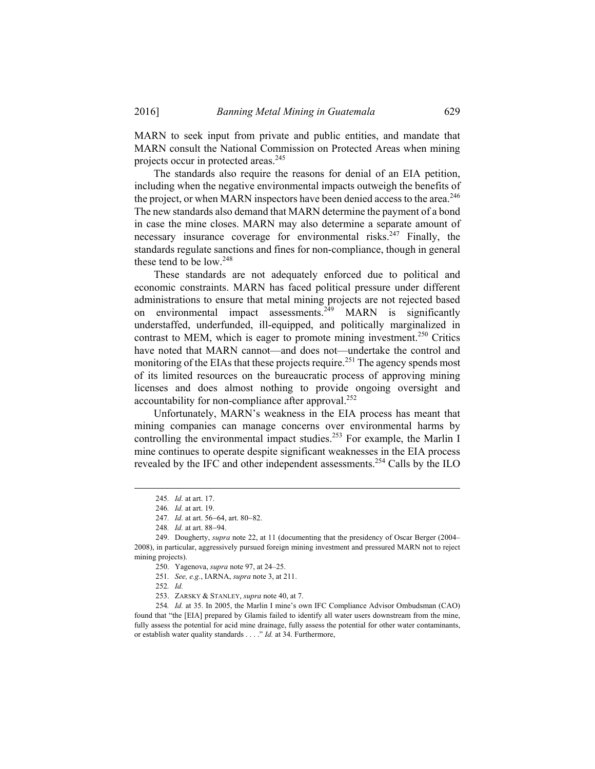MARN to seek input from private and public entities, and mandate that MARN consult the National Commission on Protected Areas when mining projects occur in protected areas.<sup>245</sup>

The standards also require the reasons for denial of an EIA petition, including when the negative environmental impacts outweigh the benefits of the project, or when MARN inspectors have been denied access to the area.<sup>246</sup> The new standards also demand that MARN determine the payment of a bond in case the mine closes. MARN may also determine a separate amount of necessary insurance coverage for environmental risks.<sup>247</sup> Finally, the standards regulate sanctions and fines for non-compliance, though in general these tend to be low.<sup>248</sup>

These standards are not adequately enforced due to political and economic constraints. MARN has faced political pressure under different administrations to ensure that metal mining projects are not rejected based on environmental impact assessments.<sup>249</sup> MARN is significantly understaffed, underfunded, ill-equipped, and politically marginalized in contrast to MEM, which is eager to promote mining investment.<sup>250</sup> Critics have noted that MARN cannot—and does not—undertake the control and monitoring of the EIAs that these projects require.<sup>251</sup> The agency spends most of its limited resources on the bureaucratic process of approving mining licenses and does almost nothing to provide ongoing oversight and accountability for non-compliance after approval.<sup>252</sup>

Unfortunately, MARN's weakness in the EIA process has meant that mining companies can manage concerns over environmental harms by controlling the environmental impact studies.<sup>253</sup> For example, the Marlin I mine continues to operate despite significant weaknesses in the EIA process revealed by the IFC and other independent assessments.<sup>254</sup> Calls by the ILO

252*. Id.*

254*. Id.* at 35. In 2005, the Marlin I mine's own IFC Compliance Advisor Ombudsman (CAO) found that "the [EIA] prepared by Glamis failed to identify all water users downstream from the mine, fully assess the potential for acid mine drainage, fully assess the potential for other water contaminants, or establish water quality standards . . . ." *Id.* at 34. Furthermore,

 <sup>245</sup>*. Id.* at art. 17.

<sup>246</sup>*. Id.* at art. 19.

<sup>247.</sup> *Id.* at art. 56-64, art. 80-82.

<sup>248.</sup> *Id.* at art. 88-94.

 <sup>249.</sup> Dougherty, *supra* note 22, at 11 (documenting that the presidency of Oscar Berger (2004– 2008), in particular, aggressively pursued foreign mining investment and pressured MARN not to reject mining projects).

 <sup>250.</sup> Yagenova, *supra* note 97, at 24–25.

<sup>251</sup>*. See, e.g.*, IARNA, *supra* note 3, at 211.

 <sup>253.</sup> ZARSKY & STANLEY, *supra* note 40, at 7.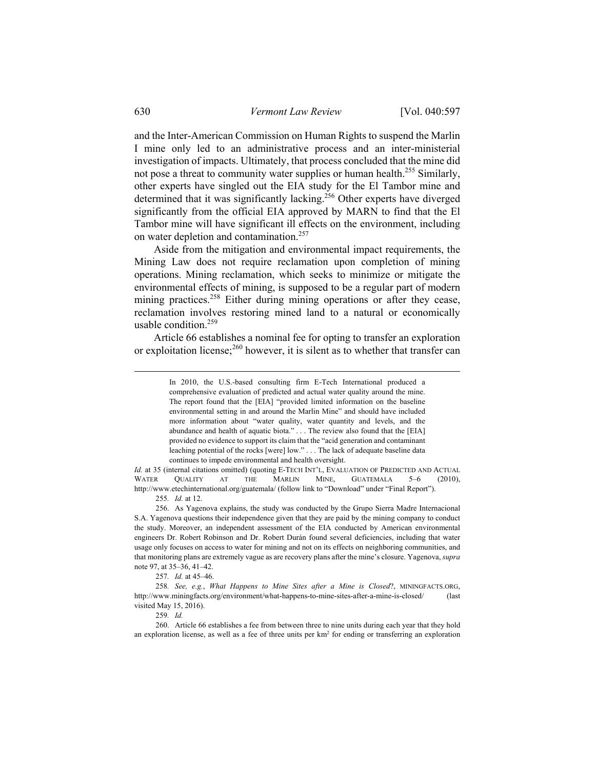and the Inter-American Commission on Human Rights to suspend the Marlin I mine only led to an administrative process and an inter-ministerial investigation of impacts. Ultimately, that process concluded that the mine did not pose a threat to community water supplies or human health.<sup>255</sup> Similarly, other experts have singled out the EIA study for the El Tambor mine and determined that it was significantly lacking.<sup>256</sup> Other experts have diverged significantly from the official EIA approved by MARN to find that the El Tambor mine will have significant ill effects on the environment, including on water depletion and contamination.<sup>257</sup>

Aside from the mitigation and environmental impact requirements, the Mining Law does not require reclamation upon completion of mining operations. Mining reclamation, which seeks to minimize or mitigate the environmental effects of mining, is supposed to be a regular part of modern mining practices.<sup>258</sup> Either during mining operations or after they cease, reclamation involves restoring mined land to a natural or economically usable condition. $259$ 

Article 66 establishes a nominal fee for opting to transfer an exploration or exploitation license;<sup>260</sup> however, it is silent as to whether that transfer can

*Id.* at 35 (internal citations omitted) (quoting E-TECH INT'L, EVALUATION OF PREDICTED AND ACTUAL WATER QUALITY AT THE MARLIN MINE, GUATEMALA 5–6 (2010), http://www.etechinternational.org/guatemala/ (follow link to "Download" under "Final Report").

255*. Id.* at 12.

 256. As Yagenova explains, the study was conducted by the Grupo Sierra Madre Internacional S.A. Yagenova questions their independence given that they are paid by the mining company to conduct the study. Moreover, an independent assessment of the EIA conducted by American environmental engineers Dr. Robert Robinson and Dr. Robert Durán found several deficiencies, including that water usage only focuses on access to water for mining and not on its effects on neighboring communities, and that monitoring plans are extremely vague as are recovery plans after the mine's closure. Yagenova, *supra* note 97, at 35–36, 41–42.

257*. Id.* at 45–46.

258*. See, e.g.*, *What Happens to Mine Sites after a Mine is Closed*?, MININGFACTS.ORG, http://www.miningfacts.org/environment/what-happens-to-mine-sites-after-a-mine-is-closed/ (last visited May 15, 2016).

259*. Id.*

 260. Article 66 establishes a fee from between three to nine units during each year that they hold an exploration license, as well as a fee of three units per  $km<sup>2</sup>$  for ending or transferring an exploration

In 2010, the U.S.-based consulting firm E-Tech International produced a comprehensive evaluation of predicted and actual water quality around the mine. The report found that the [EIA] "provided limited information on the baseline environmental setting in and around the Marlin Mine" and should have included more information about "water quality, water quantity and levels, and the abundance and health of aquatic biota." . . . The review also found that the [EIA] provided no evidence to support its claim that the "acid generation and contaminant leaching potential of the rocks [were] low." . . . The lack of adequate baseline data continues to impede environmental and health oversight.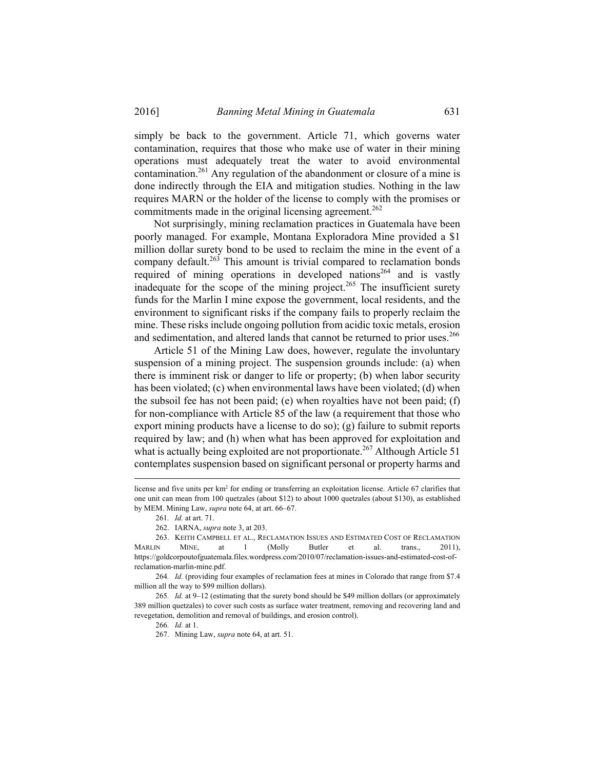simply be back to the government. Article 71, which governs water contamination, requires that those who make use of water in their mining operations must adequately treat the water to avoid environmental contamination.<sup>261</sup> Any regulation of the abandonment or closure of a mine is done indirectly through the EIA and mitigation studies. Nothing in the law requires MARN or the holder of the license to comply with the promises or commitments made in the original licensing agreement.<sup>262</sup>

Not surprisingly, mining reclamation practices in Guatemala have been poorly managed. For example, Montana Exploradora Mine provided a \$1 million dollar surety bond to be used to reclaim the mine in the event of a company default. $263$  This amount is trivial compared to reclamation bonds required of mining operations in developed nations<sup>264</sup> and is vastly inadequate for the scope of the mining project.<sup>265</sup> The insufficient surety funds for the Marlin I mine expose the government, local residents, and the environment to significant risks if the company fails to properly reclaim the mine. These risks include ongoing pollution from acidic toxic metals, erosion and sedimentation, and altered lands that cannot be returned to prior uses.<sup>266</sup>

Article 51 of the Mining Law does, however, regulate the involuntary suspension of a mining project. The suspension grounds include: (a) when there is imminent risk or danger to life or property; (b) when labor security has been violated; (c) when environmental laws have been violated; (d) when the subsoil fee has not been paid; (e) when royalties have not been paid; (f) for non-compliance with Article 85 of the law (a requirement that those who export mining products have a license to do so); (g) failure to submit reports required by law; and (h) when what has been approved for exploitation and what is actually being exploited are not proportionate.<sup>267</sup> Although Article 51 contemplates suspension based on significant personal or property harms and

license and five units per km2 for ending or transferring an exploitation license. Article 67 clarifies that one unit can mean from 100 quetzales (about \$12) to about 1000 quetzales (about \$130), as established by MEM. Mining Law, *supra* note 64, at art. 66–67.

<sup>261</sup>*. Id.* at art. 71.

 <sup>262.</sup> IARNA, *supra* note 3, at 203.

 <sup>263.</sup> KEITH CAMPBELL ET AL., RECLAMATION ISSUES AND ESTIMATED COST OF RECLAMATION MARLIN MINE, at 1 (Molly Butler et al. trans., 2011), https://goldcorpoutofguatemala.files.wordpress.com/2010/07/reclamation-issues-and-estimated-cost-ofreclamation-marlin-mine.pdf.

<sup>264</sup>*. Id.* (providing four examples of reclamation fees at mines in Colorado that range from \$7.4 million all the way to \$99 million dollars).

<sup>265</sup>*. Id.* at 9–12 (estimating that the surety bond should be \$49 million dollars (or approximately 389 million quetzales) to cover such costs as surface water treatment, removing and recovering land and revegetation, demolition and removal of buildings, and erosion control).

<sup>266</sup>*. Id.* at 1.

 <sup>267.</sup> Mining Law, *supra* note 64, at art. 51.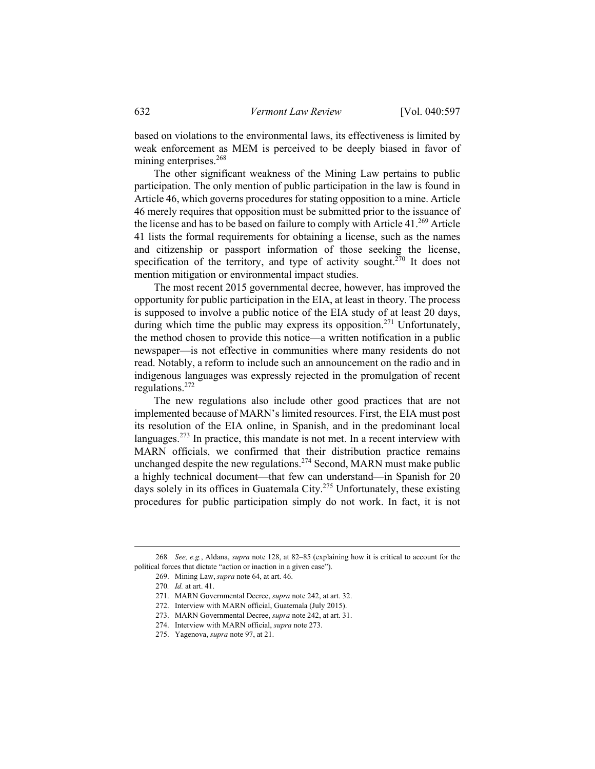based on violations to the environmental laws, its effectiveness is limited by weak enforcement as MEM is perceived to be deeply biased in favor of mining enterprises.<sup>268</sup>

The other significant weakness of the Mining Law pertains to public participation. The only mention of public participation in the law is found in Article 46, which governs procedures for stating opposition to a mine. Article 46 merely requires that opposition must be submitted prior to the issuance of the license and has to be based on failure to comply with Article 41.<sup>269</sup> Article 41 lists the formal requirements for obtaining a license, such as the names and citizenship or passport information of those seeking the license, specification of the territory, and type of activity sought.<sup>270</sup> It does not mention mitigation or environmental impact studies.

The most recent 2015 governmental decree, however, has improved the opportunity for public participation in the EIA, at least in theory. The process is supposed to involve a public notice of the EIA study of at least 20 days, during which time the public may express its opposition.<sup>271</sup> Unfortunately, the method chosen to provide this notice—a written notification in a public newspaper—is not effective in communities where many residents do not read. Notably, a reform to include such an announcement on the radio and in indigenous languages was expressly rejected in the promulgation of recent regulations.272

The new regulations also include other good practices that are not implemented because of MARN's limited resources. First, the EIA must post its resolution of the EIA online, in Spanish, and in the predominant local languages.<sup>273</sup> In practice, this mandate is not met. In a recent interview with MARN officials, we confirmed that their distribution practice remains unchanged despite the new regulations.<sup>274</sup> Second, MARN must make public a highly technical document—that few can understand—in Spanish for 20 days solely in its offices in Guatemala City.<sup>275</sup> Unfortunately, these existing procedures for public participation simply do not work. In fact, it is not

 <sup>268</sup>*. See, e.g.*, Aldana, *supra* note 128, at 82–85 (explaining how it is critical to account for the political forces that dictate "action or inaction in a given case").

 <sup>269.</sup> Mining Law, *supra* note 64, at art. 46.

<sup>270</sup>*. Id.* at art. 41.

 <sup>271.</sup> MARN Governmental Decree, *supra* note 242, at art. 32.

 <sup>272.</sup> Interview with MARN official, Guatemala (July 2015).

 <sup>273.</sup> MARN Governmental Decree, *supra* note 242, at art. 31.

 <sup>274.</sup> Interview with MARN official, *supra* note 273.

 <sup>275.</sup> Yagenova, *supra* note 97, at 21.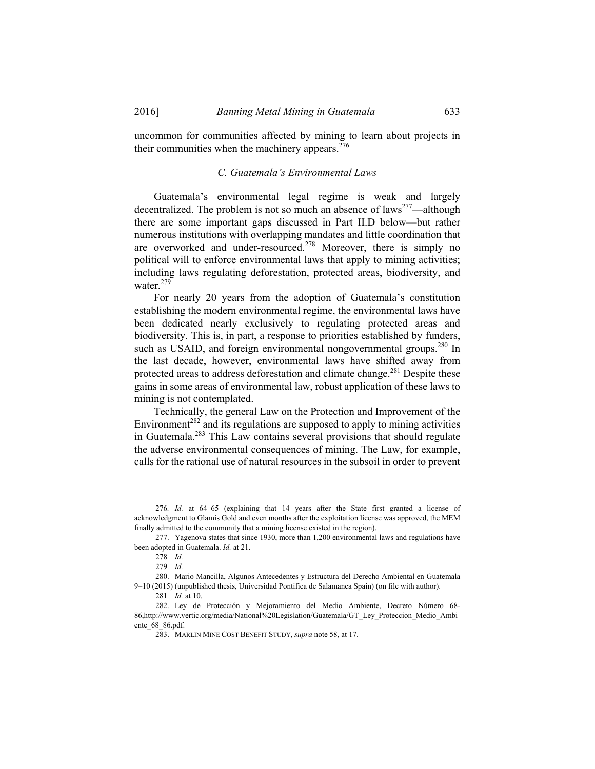uncommon for communities affected by mining to learn about projects in their communities when the machinery appears. $276$ 

#### *C. Guatemala's Environmental Laws*

Guatemala's environmental legal regime is weak and largely decentralized. The problem is not so much an absence of laws<sup>277</sup>—although there are some important gaps discussed in Part II.D below—but rather numerous institutions with overlapping mandates and little coordination that are overworked and under-resourced.<sup>278</sup> Moreover, there is simply no political will to enforce environmental laws that apply to mining activities; including laws regulating deforestation, protected areas, biodiversity, and water.<sup>279</sup>

For nearly 20 years from the adoption of Guatemala's constitution establishing the modern environmental regime, the environmental laws have been dedicated nearly exclusively to regulating protected areas and biodiversity. This is, in part, a response to priorities established by funders, such as USAID, and foreign environmental nongovernmental groups.<sup>280</sup> In the last decade, however, environmental laws have shifted away from protected areas to address deforestation and climate change.<sup>281</sup> Despite these gains in some areas of environmental law, robust application of these laws to mining is not contemplated.

Technically, the general Law on the Protection and Improvement of the Environment<sup>282</sup> and its regulations are supposed to apply to mining activities in Guatemala.283 This Law contains several provisions that should regulate the adverse environmental consequences of mining. The Law, for example, calls for the rational use of natural resources in the subsoil in order to prevent

 <sup>276</sup>*. Id.* at 64–65 (explaining that 14 years after the State first granted a license of acknowledgment to Glamis Gold and even months after the exploitation license was approved, the MEM finally admitted to the community that a mining license existed in the region).

 <sup>277.</sup> Yagenova states that since 1930, more than 1,200 environmental laws and regulations have been adopted in Guatemala. *Id.* at 21.

<sup>278</sup>*. Id.*

<sup>279</sup>*. Id.*

 <sup>280.</sup> Mario Mancilla, Algunos Antecedentes y Estructura del Derecho Ambiental en Guatemala 9-10 (2015) (unpublished thesis, Universidad Pontifica de Salamanca Spain) (on file with author).

<sup>281</sup>*. Id.* at 10.

 <sup>282.</sup> Ley de Protección y Mejoramiento del Medio Ambiente, Decreto Número 68- 86,http://www.vertic.org/media/National%20Legislation/Guatemala/GT\_Ley\_Proteccion\_Medio\_Ambi ente\_68\_86.pdf.

 <sup>283.</sup> MARLIN MINE COST BENEFIT STUDY, *supra* note 58, at 17.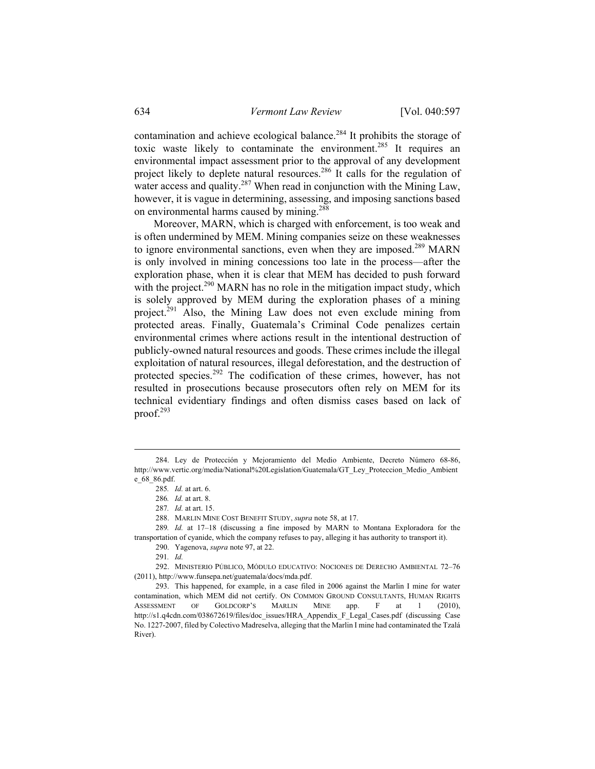contamination and achieve ecological balance.<sup>284</sup> It prohibits the storage of toxic waste likely to contaminate the environment.<sup>285</sup> It requires an environmental impact assessment prior to the approval of any development project likely to deplete natural resources.<sup>286</sup> It calls for the regulation of water access and quality.<sup>287</sup> When read in conjunction with the Mining Law, however, it is vague in determining, assessing, and imposing sanctions based on environmental harms caused by mining.288

Moreover, MARN, which is charged with enforcement, is too weak and is often undermined by MEM. Mining companies seize on these weaknesses to ignore environmental sanctions, even when they are imposed.<sup>289</sup> MARN is only involved in mining concessions too late in the process—after the exploration phase, when it is clear that MEM has decided to push forward with the project.<sup>290</sup> MARN has no role in the mitigation impact study, which is solely approved by MEM during the exploration phases of a mining project.<sup>291</sup> Also, the Mining Law does not even exclude mining from protected areas. Finally, Guatemala's Criminal Code penalizes certain environmental crimes where actions result in the intentional destruction of publicly-owned natural resources and goods. These crimes include the illegal exploitation of natural resources, illegal deforestation, and the destruction of protected species.<sup>292</sup> The codification of these crimes, however, has not resulted in prosecutions because prosecutors often rely on MEM for its technical evidentiary findings and often dismiss cases based on lack of proof.293

289*. Id.* at 17–18 (discussing a fine imposed by MARN to Montana Exploradora for the transportation of cyanide, which the company refuses to pay, alleging it has authority to transport it).

290. Yagenova, *supra* note 97, at 22.

 292. MINISTERIO PÚBLICO, MÓDULO EDUCATIVO: NOCIONES DE DERECHO AMBIENTAL 72–76 (2011), http://www.funsepa.net/guatemala/docs/mda.pdf.

 293. This happened, for example, in a case filed in 2006 against the Marlin I mine for water contamination, which MEM did not certify. ON COMMON GROUND CONSULTANTS, HUMAN RIGHTS ASSESSMENT OF GOLDCORP'S MARLIN MINE app. F at 1 (2010), http://s1.q4cdn.com/038672619/files/doc\_issues/HRA\_Appendix\_F\_Legal\_Cases.pdf (discussing Case No. 1227-2007, filed by Colectivo Madreselva, alleging that the Marlin I mine had contaminated the Tzalá River).

 <sup>284.</sup> Ley de Protección y Mejoramiento del Medio Ambiente, Decreto Número 68-86, http://www.vertic.org/media/National%20Legislation/Guatemala/GT\_Ley\_Proteccion\_Medio\_Ambient e\_68\_86.pdf.

<sup>285</sup>*. Id.* at art. 6.

<sup>286</sup>*. Id.* at art. 8.

<sup>287</sup>*. Id.* at art. 15.

 <sup>288.</sup> MARLIN MINE COST BENEFIT STUDY, *supra* note 58, at 17.

<sup>291</sup>*. Id.*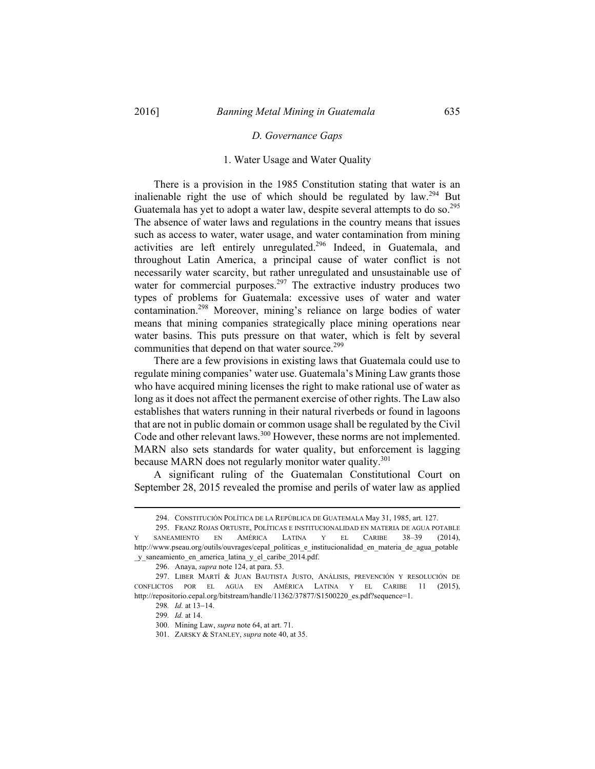### *D. Governance Gaps*

## 1. Water Usage and Water Quality

There is a provision in the 1985 Constitution stating that water is an inalienable right the use of which should be regulated by law.<sup>294</sup> But Guatemala has yet to adopt a water law, despite several attempts to do so.<sup>295</sup> The absence of water laws and regulations in the country means that issues such as access to water, water usage, and water contamination from mining activities are left entirely unregulated.<sup>296</sup> Indeed, in Guatemala, and throughout Latin America, a principal cause of water conflict is not necessarily water scarcity, but rather unregulated and unsustainable use of water for commercial purposes.<sup>297</sup> The extractive industry produces two types of problems for Guatemala: excessive uses of water and water contamination.298 Moreover, mining's reliance on large bodies of water means that mining companies strategically place mining operations near water basins. This puts pressure on that water, which is felt by several communities that depend on that water source.<sup>299</sup>

There are a few provisions in existing laws that Guatemala could use to regulate mining companies' water use. Guatemala's Mining Law grants those who have acquired mining licenses the right to make rational use of water as long as it does not affect the permanent exercise of other rights. The Law also establishes that waters running in their natural riverbeds or found in lagoons that are not in public domain or common usage shall be regulated by the Civil Code and other relevant laws.<sup>300</sup> However, these norms are not implemented. MARN also sets standards for water quality, but enforcement is lagging because MARN does not regularly monitor water quality.<sup>301</sup>

A significant ruling of the Guatemalan Constitutional Court on September 28, 2015 revealed the promise and perils of water law as applied

 <sup>294.</sup> CONSTITUCIÓN POLÍTICA DE LA REPÚBLICA DE GUATEMALA May 31, 1985, art. 127.

 <sup>295.</sup> FRANZ ROJAS ORTUSTE, POLÍTICAS E INSTITUCIONALIDAD EN MATERIA DE AGUA POTABLE SANEAMIENTO EN AMÉRICA LATINA Y EL CARIBE 38-39 (2014), http://www.pseau.org/outils/ouvrages/cepal\_politicas\_e\_institucionalidad\_en\_materia\_de\_agua\_potable \_y\_saneamiento\_en\_america\_latina\_y\_el\_caribe\_2014.pdf.

 <sup>296.</sup> Anaya, *supra* note 124, at para. 53.

 <sup>297.</sup> LIBER MARTÍ & JUAN BAUTISTA JUSTO, ANÁLISIS, PREVENCIÓN Y RESOLUCIÓN DE CONFLICTOS POR EL AGUA EN AMÉRICA LATINA Y EL CARIBE 11 (2015), http://repositorio.cepal.org/bitstream/handle/11362/37877/S1500220\_es.pdf?sequence=1.

<sup>298.</sup> *Id.* at 13-14.

<sup>299</sup>*. Id.* at 14.

 <sup>300.</sup> Mining Law, *supra* note 64, at art. 71.

 <sup>301.</sup> ZARSKY & STANLEY, *supra* note 40, at 35.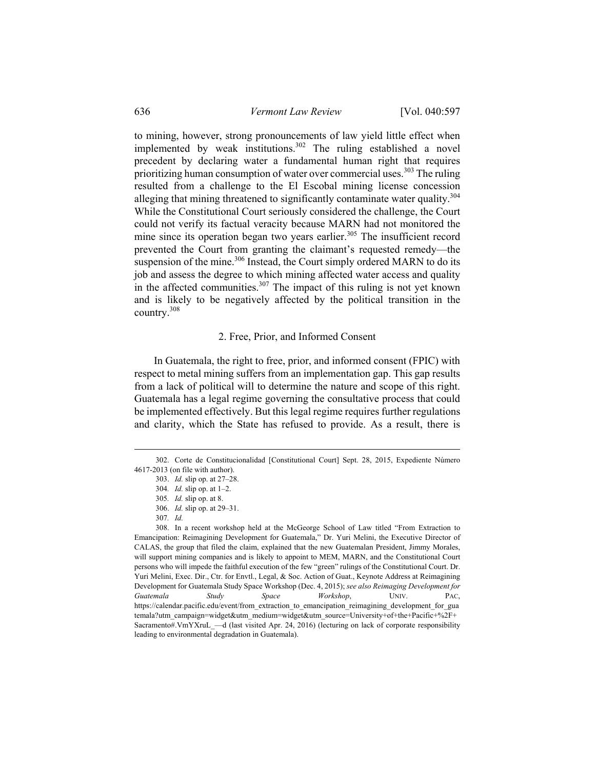to mining, however, strong pronouncements of law yield little effect when implemented by weak institutions.<sup>302</sup> The ruling established a novel precedent by declaring water a fundamental human right that requires prioritizing human consumption of water over commercial uses.<sup>303</sup> The ruling resulted from a challenge to the El Escobal mining license concession alleging that mining threatened to significantly contaminate water quality.<sup>304</sup> While the Constitutional Court seriously considered the challenge, the Court could not verify its factual veracity because MARN had not monitored the mine since its operation began two years earlier.<sup>305</sup> The insufficient record prevented the Court from granting the claimant's requested remedy—the suspension of the mine. $306$  Instead, the Court simply ordered MARN to do its job and assess the degree to which mining affected water access and quality in the affected communities.<sup>307</sup> The impact of this ruling is not yet known and is likely to be negatively affected by the political transition in the country.308

## 2. Free, Prior, and Informed Consent

In Guatemala, the right to free, prior, and informed consent (FPIC) with respect to metal mining suffers from an implementation gap. This gap results from a lack of political will to determine the nature and scope of this right. Guatemala has a legal regime governing the consultative process that could be implemented effectively. But this legal regime requires further regulations and clarity, which the State has refused to provide. As a result, there is

 <sup>302.</sup> Corte de Constitucionalidad [Constitutional Court] Sept. 28, 2015, Expediente Número 4617-2013 (on file with author).

 <sup>303.</sup> *Id.* slip op. at 27–28.

<sup>304</sup>*. Id.* slip op. at 1–2.

<sup>305</sup>*. Id.* slip op. at 8.

 <sup>306.</sup> *Id.* slip op. at 29–31.

<sup>307</sup>*. Id.*

 <sup>308.</sup> In a recent workshop held at the McGeorge School of Law titled "From Extraction to Emancipation: Reimagining Development for Guatemala," Dr. Yuri Melini, the Executive Director of CALAS, the group that filed the claim, explained that the new Guatemalan President, Jimmy Morales, will support mining companies and is likely to appoint to MEM, MARN, and the Constitutional Court persons who will impede the faithful execution of the few "green" rulings of the Constitutional Court. Dr. Yuri Melini, Exec. Dir., Ctr. for Envtl., Legal, & Soc. Action of Guat., Keynote Address at Reimagining Development for Guatemala Study Space Workshop (Dec. 4, 2015); *see also Reimaging Development for Guatemala Study Space Workshop*, UNIV. PAC, https://calendar.pacific.edu/event/from\_extraction\_to\_emancipation\_reimagining\_development\_for\_gua temala?utm\_campaign=widget&utm\_medium=widget&utm\_source=University+of+the+Pacific+%2F+ Sacramento#.VmYXruL\_—d (last visited Apr. 24, 2016) (lecturing on lack of corporate responsibility leading to environmental degradation in Guatemala).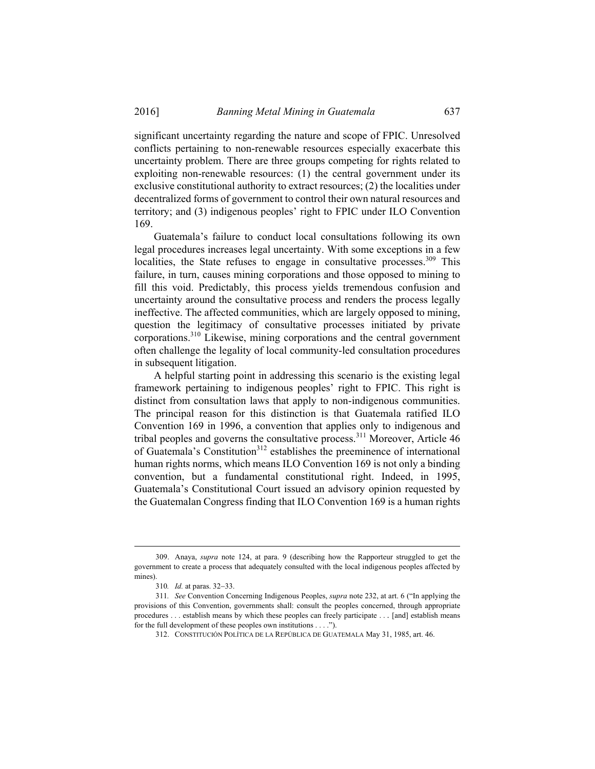significant uncertainty regarding the nature and scope of FPIC. Unresolved conflicts pertaining to non-renewable resources especially exacerbate this uncertainty problem. There are three groups competing for rights related to exploiting non-renewable resources: (1) the central government under its exclusive constitutional authority to extract resources; (2) the localities under decentralized forms of government to control their own natural resources and territory; and (3) indigenous peoples' right to FPIC under ILO Convention 169.

Guatemala's failure to conduct local consultations following its own legal procedures increases legal uncertainty. With some exceptions in a few localities, the State refuses to engage in consultative processes.<sup>309</sup> This failure, in turn, causes mining corporations and those opposed to mining to fill this void. Predictably, this process yields tremendous confusion and uncertainty around the consultative process and renders the process legally ineffective. The affected communities, which are largely opposed to mining, question the legitimacy of consultative processes initiated by private corporations.310 Likewise, mining corporations and the central government often challenge the legality of local community-led consultation procedures in subsequent litigation.

A helpful starting point in addressing this scenario is the existing legal framework pertaining to indigenous peoples' right to FPIC. This right is distinct from consultation laws that apply to non-indigenous communities. The principal reason for this distinction is that Guatemala ratified ILO Convention 169 in 1996, a convention that applies only to indigenous and tribal peoples and governs the consultative process.311 Moreover, Article 46 of Guatemala's Constitution<sup>312</sup> establishes the preeminence of international human rights norms, which means ILO Convention 169 is not only a binding convention, but a fundamental constitutional right. Indeed, in 1995, Guatemala's Constitutional Court issued an advisory opinion requested by the Guatemalan Congress finding that ILO Convention 169 is a human rights

 <sup>309.</sup> Anaya, *supra* note 124, at para. 9 (describing how the Rapporteur struggled to get the government to create a process that adequately consulted with the local indigenous peoples affected by mines).

<sup>310.</sup> *Id.* at paras. 32-33.

<sup>311</sup>*. See* Convention Concerning Indigenous Peoples, *supra* note 232, at art. 6 ("In applying the provisions of this Convention, governments shall: consult the peoples concerned, through appropriate procedures . . . establish means by which these peoples can freely participate . . . [and] establish means for the full development of these peoples own institutions . . . .").

 <sup>312.</sup> CONSTITUCIÓN POLÍTICA DE LA REPÚBLICA DE GUATEMALA May 31, 1985, art. 46.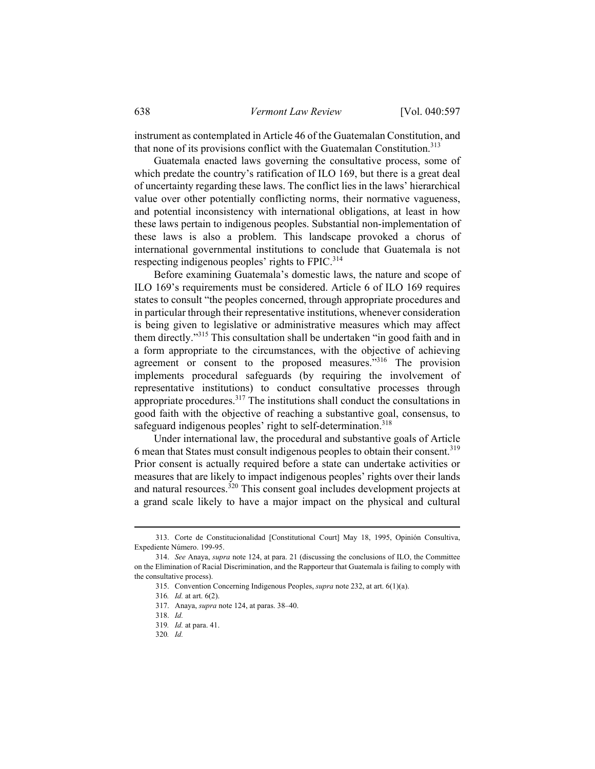instrument as contemplated in Article 46 of the Guatemalan Constitution, and that none of its provisions conflict with the Guatemalan Constitution.<sup>313</sup>

Guatemala enacted laws governing the consultative process, some of which predate the country's ratification of ILO 169, but there is a great deal of uncertainty regarding these laws. The conflict lies in the laws' hierarchical value over other potentially conflicting norms, their normative vagueness, and potential inconsistency with international obligations, at least in how these laws pertain to indigenous peoples. Substantial non-implementation of these laws is also a problem. This landscape provoked a chorus of international governmental institutions to conclude that Guatemala is not respecting indigenous peoples' rights to FPIC.<sup>314</sup>

Before examining Guatemala's domestic laws, the nature and scope of ILO 169's requirements must be considered. Article 6 of ILO 169 requires states to consult "the peoples concerned, through appropriate procedures and in particular through their representative institutions, whenever consideration is being given to legislative or administrative measures which may affect them directly."315 This consultation shall be undertaken "in good faith and in a form appropriate to the circumstances, with the objective of achieving agreement or consent to the proposed measures."<sup>316</sup> The provision implements procedural safeguards (by requiring the involvement of representative institutions) to conduct consultative processes through appropriate procedures.317 The institutions shall conduct the consultations in good faith with the objective of reaching a substantive goal, consensus, to safeguard indigenous peoples' right to self-determination.<sup>318</sup>

Under international law, the procedural and substantive goals of Article 6 mean that States must consult indigenous peoples to obtain their consent.319 Prior consent is actually required before a state can undertake activities or measures that are likely to impact indigenous peoples' rights over their lands and natural resources.320 This consent goal includes development projects at a grand scale likely to have a major impact on the physical and cultural

 <sup>313.</sup> Corte de Constitucionalidad [Constitutional Court] May 18, 1995, Opinión Consultiva, Expediente Número. 199-95.

 <sup>314.</sup> *See* Anaya, *supra* note 124, at para. 21 (discussing the conclusions of ILO, the Committee on the Elimination of Racial Discrimination, and the Rapporteur that Guatemala is failing to comply with the consultative process).

 <sup>315.</sup> Convention Concerning Indigenous Peoples, *supra* note 232, at art. 6(1)(a).

<sup>316</sup>*. Id.* at art. 6(2).

 <sup>317.</sup> Anaya, *supra* note 124, at paras. 38–40.

 <sup>318.</sup> *Id.*

<sup>319</sup>*. Id.* at para. 41.

<sup>320</sup>*. Id.*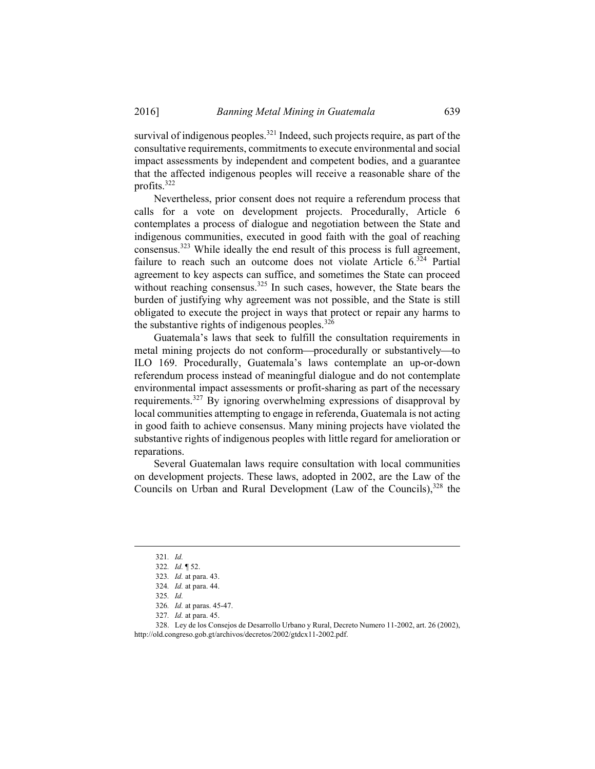survival of indigenous peoples.<sup>321</sup> Indeed, such projects require, as part of the consultative requirements, commitments to execute environmental and social impact assessments by independent and competent bodies, and a guarantee that the affected indigenous peoples will receive a reasonable share of the profits.322

Nevertheless, prior consent does not require a referendum process that calls for a vote on development projects. Procedurally, Article 6 contemplates a process of dialogue and negotiation between the State and indigenous communities, executed in good faith with the goal of reaching consensus.323 While ideally the end result of this process is full agreement, failure to reach such an outcome does not violate Article  $6^{324}$  Partial agreement to key aspects can suffice, and sometimes the State can proceed without reaching consensus.<sup>325</sup> In such cases, however, the State bears the burden of justifying why agreement was not possible, and the State is still obligated to execute the project in ways that protect or repair any harms to the substantive rights of indigenous peoples. $326$ 

Guatemala's laws that seek to fulfill the consultation requirements in metal mining projects do not conform—procedurally or substantively—to ILO 169. Procedurally, Guatemala's laws contemplate an up-or-down referendum process instead of meaningful dialogue and do not contemplate environmental impact assessments or profit-sharing as part of the necessary requirements.327 By ignoring overwhelming expressions of disapproval by local communities attempting to engage in referenda, Guatemala is not acting in good faith to achieve consensus. Many mining projects have violated the substantive rights of indigenous peoples with little regard for amelioration or reparations.

Several Guatemalan laws require consultation with local communities on development projects. These laws, adopted in 2002, are the Law of the Councils on Urban and Rural Development (Law of the Councils), $328$  the

 328. Ley de los Consejos de Desarrollo Urbano y Rural, Decreto Numero 11-2002, art. 26 (2002), http://old.congreso.gob.gt/archivos/decretos/2002/gtdcx11-2002.pdf.

 <sup>321</sup>*. Id.*

<sup>322</sup>*. Id.* ¶ 52.

<sup>323</sup>*. Id.* at para. 43.

<sup>324</sup>*. Id.* at para. 44.

<sup>325</sup>*. Id.*

<sup>326</sup>*. Id.* at paras. 45-47.

<sup>327</sup>*. Id.* at para. 45.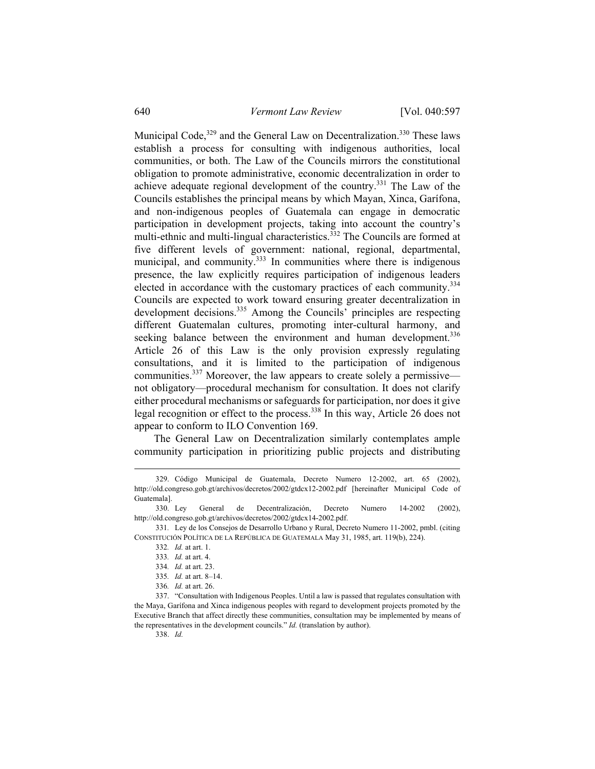Municipal Code, $329$  and the General Law on Decentralization. $330$  These laws establish a process for consulting with indigenous authorities, local communities, or both. The Law of the Councils mirrors the constitutional obligation to promote administrative, economic decentralization in order to achieve adequate regional development of the country.331 The Law of the Councils establishes the principal means by which Mayan, Xinca, Garífona, and non-indigenous peoples of Guatemala can engage in democratic participation in development projects, taking into account the country's multi-ethnic and multi-lingual characteristics.<sup>332</sup> The Councils are formed at five different levels of government: national, regional, departmental, municipal, and community.<sup>333</sup> In communities where there is indigenous presence, the law explicitly requires participation of indigenous leaders elected in accordance with the customary practices of each community.<sup>334</sup> Councils are expected to work toward ensuring greater decentralization in development decisions.<sup>335</sup> Among the Councils' principles are respecting different Guatemalan cultures, promoting inter-cultural harmony, and seeking balance between the environment and human development.<sup>336</sup> Article 26 of this Law is the only provision expressly regulating consultations, and it is limited to the participation of indigenous communities.<sup>337</sup> Moreover, the law appears to create solely a permissive not obligatory—procedural mechanism for consultation. It does not clarify either procedural mechanisms or safeguards for participation, nor does it give legal recognition or effect to the process.338 In this way, Article 26 does not appear to conform to ILO Convention 169.

The General Law on Decentralization similarly contemplates ample community participation in prioritizing public projects and distributing

338. *Id.*

 <sup>329.</sup> Código Municipal de Guatemala, Decreto Numero 12-2002, art. 65 (2002), http://old.congreso.gob.gt/archivos/decretos/2002/gtdcx12-2002.pdf [hereinafter Municipal Code of Guatemala].

 <sup>330.</sup> Ley General de Decentralización, Decreto Numero 14-2002 (2002), http://old.congreso.gob.gt/archivos/decretos/2002/gtdcx14-2002.pdf.

<sup>331</sup>*.* Ley de los Consejos de Desarrollo Urbano y Rural, Decreto Numero 11-2002, pmbl. (citing CONSTITUCIÓN POLÍTICA DE LA REPÚBLICA DE GUATEMALA May 31, 1985, art. 119(b), 224).

<sup>332</sup>*. Id.* at art. 1.

<sup>333</sup>*. Id.* at art. 4.

<sup>334</sup>*. Id.* at art. 23.

<sup>335</sup>*. Id.* at art. 8–14.

<sup>336</sup>*. Id.* at art. 26.

 <sup>337. &</sup>quot;Consultation with Indigenous Peoples. Until a law is passed that regulates consultation with the Maya, Garífona and Xinca indigenous peoples with regard to development projects promoted by the Executive Branch that affect directly these communities, consultation may be implemented by means of the representatives in the development councils." *Id.* (translation by author).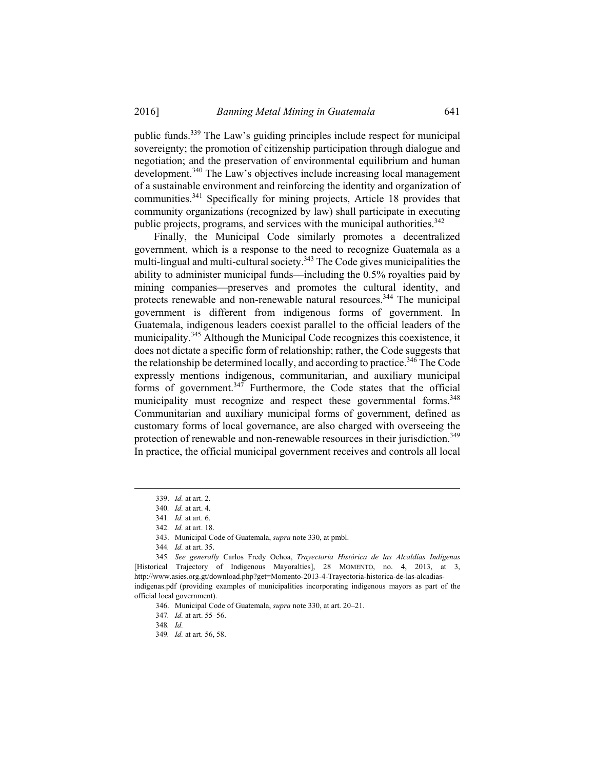public funds.339 The Law's guiding principles include respect for municipal sovereignty; the promotion of citizenship participation through dialogue and negotiation; and the preservation of environmental equilibrium and human development.<sup>340</sup> The Law's objectives include increasing local management of a sustainable environment and reinforcing the identity and organization of communities.341 Specifically for mining projects, Article 18 provides that community organizations (recognized by law) shall participate in executing public projects, programs, and services with the municipal authorities.<sup>342</sup>

Finally, the Municipal Code similarly promotes a decentralized government, which is a response to the need to recognize Guatemala as a multi-lingual and multi-cultural society.<sup>343</sup> The Code gives municipalities the ability to administer municipal funds––including the 0.5% royalties paid by mining companies—preserves and promotes the cultural identity, and protects renewable and non-renewable natural resources.<sup>344</sup> The municipal government is different from indigenous forms of government. In Guatemala, indigenous leaders coexist parallel to the official leaders of the municipality.345 Although the Municipal Code recognizes this coexistence, it does not dictate a specific form of relationship; rather, the Code suggests that the relationship be determined locally, and according to practice.<sup>346</sup> The Code expressly mentions indigenous, communitarian, and auxiliary municipal forms of government. $347$  Furthermore, the Code states that the official municipality must recognize and respect these governmental forms.<sup>348</sup> Communitarian and auxiliary municipal forms of government, defined as customary forms of local governance, are also charged with overseeing the protection of renewable and non-renewable resources in their jurisdiction.<sup>349</sup> In practice, the official municipal government receives and controls all local

 <sup>339.</sup> *Id.* at art. 2.

<sup>340</sup>*. Id.* at art. 4.

<sup>341</sup>*. Id.* at art. 6.

<sup>342</sup>*. Id.* at art. 18.

 <sup>343.</sup> Municipal Code of Guatemala, *supra* note 330, at pmbl.

<sup>344</sup>*. Id.* at art. 35.

<sup>345</sup>*. See generally* Carlos Fredy Ochoa, *Trayectoria Histórica de las Alcaldías Indígenas*  [Historical Trajectory of Indigenous Mayoralties], 28 MOMENTO, no. 4, 2013, at 3, http://www.asies.org.gt/download.php?get=Momento-2013-4-Trayectoria-historica-de-las-alcadiasindigenas.pdf (providing examples of municipalities incorporating indigenous mayors as part of the official local government).

 <sup>346.</sup> Municipal Code of Guatemala, *supra* note 330, at art. 20–21.

<sup>347</sup>*. Id.* at art. 55–56.

<sup>348</sup>*. Id.*

<sup>349</sup>*. Id.* at art. 56, 58.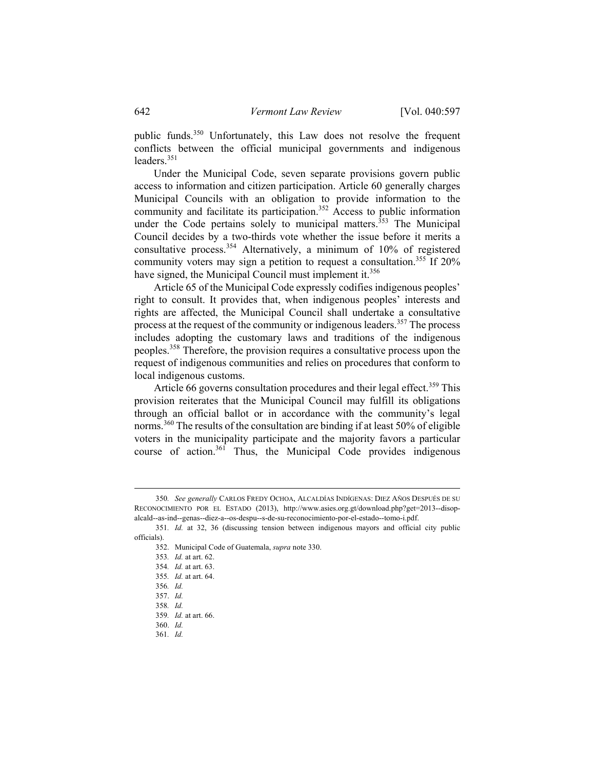public funds.350 Unfortunately, this Law does not resolve the frequent conflicts between the official municipal governments and indigenous leaders.<sup>351</sup>

Under the Municipal Code, seven separate provisions govern public access to information and citizen participation. Article 60 generally charges Municipal Councils with an obligation to provide information to the community and facilitate its participation.<sup>352</sup> Access to public information under the Code pertains solely to municipal matters.<sup>353</sup> The Municipal Council decides by a two-thirds vote whether the issue before it merits a consultative process.354 Alternatively, a minimum of 10% of registered community voters may sign a petition to request a consultation.<sup>355</sup> If  $20\%$ have signed, the Municipal Council must implement it.<sup>356</sup>

Article 65 of the Municipal Code expressly codifies indigenous peoples' right to consult. It provides that, when indigenous peoples' interests and rights are affected, the Municipal Council shall undertake a consultative process at the request of the community or indigenous leaders.<sup>357</sup> The process includes adopting the customary laws and traditions of the indigenous peoples.358 Therefore, the provision requires a consultative process upon the request of indigenous communities and relies on procedures that conform to local indigenous customs.

Article 66 governs consultation procedures and their legal effect.<sup>359</sup> This provision reiterates that the Municipal Council may fulfill its obligations through an official ballot or in accordance with the community's legal norms.<sup>360</sup> The results of the consultation are binding if at least 50% of eligible voters in the municipality participate and the majority favors a particular course of action.<sup>361</sup> Thus, the Municipal Code provides indigenous

352. Municipal Code of Guatemala, *supra* note 330.

 360. *Id.* 361*. Id.*

 <sup>350</sup>*. See generally* CARLOS FREDY OCHOA, ALCALDÍAS INDÍGENAS: DIEZ AÑOS DESPUÉS DE SU RECONOCIMIENTO POR EL ESTADO (2013), http://www.asies.org.gt/download.php?get=2013--disopalcald--as-ind--genas--diez-a--os-despu--s-de-su-reconocimiento-por-el-estado--tomo-i.pdf.

<sup>351</sup>*. Id.* at 32, 36 (discussing tension between indigenous mayors and official city public officials).

<sup>353</sup>*. Id.* at art. 62.

<sup>354</sup>*. Id.* at art. 63.

<sup>355</sup>*. Id.* at art. 64.

<sup>356</sup>*. Id.*

 <sup>357.</sup> *Id.*

<sup>358</sup>*. Id.*

<sup>359</sup>*. Id.* at art. 66.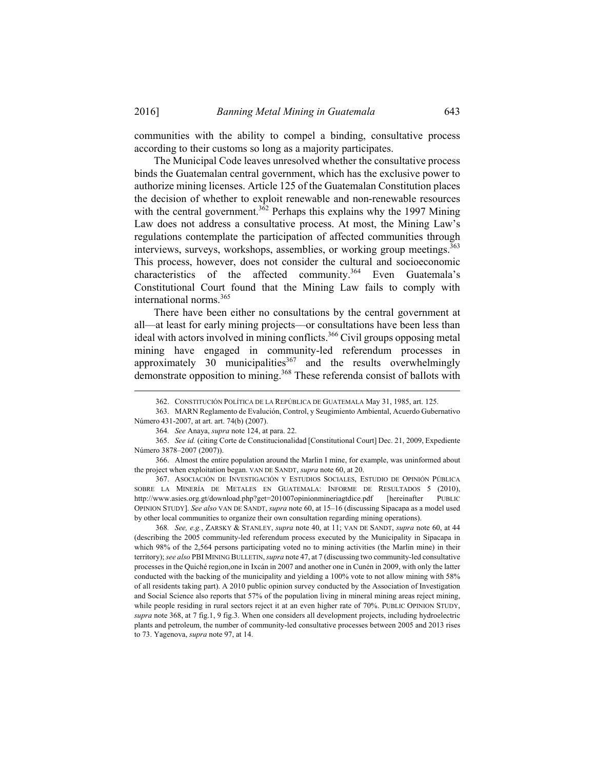communities with the ability to compel a binding, consultative process according to their customs so long as a majority participates.

The Municipal Code leaves unresolved whether the consultative process binds the Guatemalan central government, which has the exclusive power to authorize mining licenses. Article 125 of the Guatemalan Constitution places the decision of whether to exploit renewable and non-renewable resources with the central government.<sup>3 $\delta$ 2</sup> Perhaps this explains why the 1997 Mining Law does not address a consultative process. At most, the Mining Law's regulations contemplate the participation of affected communities through interviews, surveys, workshops, assemblies, or working group meetings.<sup>363</sup> This process, however, does not consider the cultural and socioeconomic characteristics of the affected community.<sup>364</sup> Even Guatemala's Constitutional Court found that the Mining Law fails to comply with international norms.<sup>365</sup>

There have been either no consultations by the central government at all––at least for early mining projects––or consultations have been less than ideal with actors involved in mining conflicts.<sup>366</sup> Civil groups opposing metal mining have engaged in community-led referendum processes in approximately 30 municipalities<sup>367</sup> and the results overwhelmingly demonstrate opposition to mining.<sup>368</sup> These referenda consist of ballots with

 367. ASOCIACIÓN DE INVESTIGACIÓN Y ESTUDIOS SOCIALES, ESTUDIO DE OPINIÓN PÚBLICA SOBRE LA MINERÍA DE METALES EN GUATEMALA: INFORME DE RESULTADOS 5 (2010), http://www.asies.org.gt/download.php?get=201007opinionmineriagtdice.pdf [hereinafter PUBLIC OPINION STUDY]. *See also* VAN DE SANDT, *supra* note 60, at 15–16 (discussing Sipacapa as a model used by other local communities to organize their own consultation regarding mining operations).

368*. See, e.g.*, ZARSKY & STANLEY, *supra* note 40, at 11; VAN DE SANDT, *supra* note 60, at 44 (describing the 2005 community-led referendum process executed by the Municipality in Sipacapa in which 98% of the 2,564 persons participating voted no to mining activities (the Marlin mine) in their territory); *see also* PBI MINING BULLETIN, *supra* note 47, at 7 (discussing two community-led consultative processes in the Quiché region,one in Ixcán in 2007 and another one in Cunén in 2009, with only the latter conducted with the backing of the municipality and yielding a 100% vote to not allow mining with 58% of all residents taking part). A 2010 public opinion survey conducted by the Association of Investigation and Social Science also reports that 57% of the population living in mineral mining areas reject mining, while people residing in rural sectors reject it at an even higher rate of 70%. PUBLIC OPINION STUDY, *supra* note 368, at 7 fig.1, 9 fig.3. When one considers all development projects, including hydroelectric plants and petroleum, the number of community-led consultative processes between 2005 and 2013 rises to 73. Yagenova, *supra* note 97, at 14.

 <sup>362.</sup> CONSTITUCIÓN POLÍTICA DE LA REPÚBLICA DE GUATEMALA May 31, 1985, art. 125.

 <sup>363.</sup> MARN Reglamento de Evalución, Control, y Seugimiento Ambiental, Acuerdo Gubernativo Número 431-2007, at art. art. 74(b) (2007).

<sup>364</sup>*. See* Anaya, *supra* note 124, at para. 22.

 <sup>365.</sup> *See id.* (citing Corte de Constitucionalidad [Constitutional Court] Dec. 21, 2009, Expediente Número 3878–2007 (2007)).

 <sup>366.</sup> Almost the entire population around the Marlin I mine, for example, was uninformed about the project when exploitation began. VAN DE SANDT, *supra* note 60, at 20.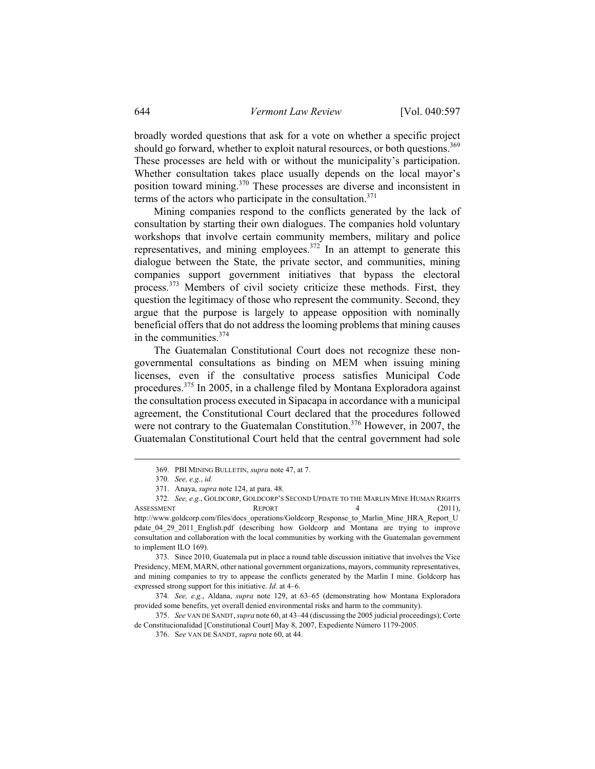broadly worded questions that ask for a vote on whether a specific project should go forward, whether to exploit natural resources, or both questions.<sup>369</sup> These processes are held with or without the municipality's participation. Whether consultation takes place usually depends on the local mayor's position toward mining.370 These processes are diverse and inconsistent in terms of the actors who participate in the consultation. $371$ 

Mining companies respond to the conflicts generated by the lack of consultation by starting their own dialogues. The companies hold voluntary workshops that involve certain community members, military and police representatives, and mining employees.372 In an attempt to generate this dialogue between the State, the private sector, and communities, mining companies support government initiatives that bypass the electoral process.373 Members of civil society criticize these methods. First, they question the legitimacy of those who represent the community. Second, they argue that the purpose is largely to appease opposition with nominally beneficial offers that do not address the looming problems that mining causes in the communities.<sup>374</sup>

The Guatemalan Constitutional Court does not recognize these nongovernmental consultations as binding on MEM when issuing mining licenses, even if the consultative process satisfies Municipal Code procedures.375 In 2005, in a challenge filed by Montana Exploradora against the consultation process executed in Sipacapa in accordance with a municipal agreement, the Constitutional Court declared that the procedures followed were not contrary to the Guatemalan Constitution.<sup>376</sup> However, in 2007, the Guatemalan Constitutional Court held that the central government had sole

372*. See, e.g.*, GOLDCORP, GOLDCORP'S SECOND UPDATE TO THE MARLIN MINE HUMAN RIGHTS ASSESSMENT REPORT 4 (2011), http://www.goldcorp.com/files/docs\_operations/Goldcorp\_Response\_to\_Marlin\_Mine\_HRA\_Report\_U pdate\_04\_29\_2011\_English.pdf (describing how Goldcorp and Montana are trying to improve consultation and collaboration with the local communities by working with the Guatemalan government to implement ILO 169).

 373. Since 2010, Guatemala put in place a round table discussion initiative that involves the Vice Presidency, MEM, MARN, other national government organizations, mayors, community representatives, and mining companies to try to appease the conflicts generated by the Marlin I mine. Goldcorp has expressed strong support for this initiative. *Id*. at 4–6.

374*. See, e.g.*, Aldana, *supra* note 129, at 63–65 (demonstrating how Montana Exploradora provided some benefits, yet overall denied environmental risks and harm to the community).

 375. *See* VAN DE SANDT, *supra* note 60, at 43–44 (discussing the 2005 judicial proceedings); Corte de Constitucionalidad [Constitutional Court] May 8, 2007, Expediente Número 1179-2005.

 <sup>369.</sup> PBI MINING BULLETIN, *supra* note 47, at 7.

<sup>370</sup>*. See, e.g.*, *id.*

 <sup>371.</sup> Anaya, *supra* note 124, at para. 48.

 <sup>376.</sup> S*ee* VAN DE SANDT, *supra* note 60, at 44.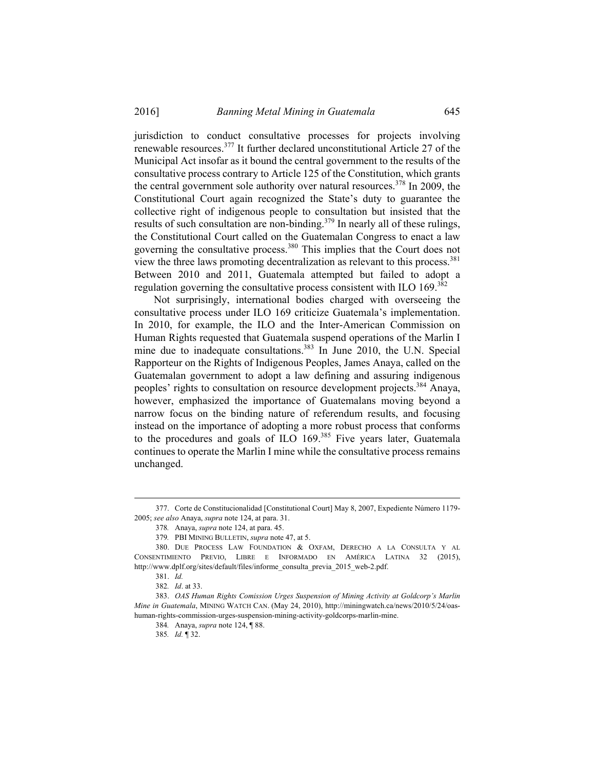jurisdiction to conduct consultative processes for projects involving renewable resources.377 It further declared unconstitutional Article 27 of the Municipal Act insofar as it bound the central government to the results of the consultative process contrary to Article 125 of the Constitution, which grants the central government sole authority over natural resources.<sup>378</sup> In 2009, the Constitutional Court again recognized the State's duty to guarantee the collective right of indigenous people to consultation but insisted that the results of such consultation are non-binding.<sup>379</sup> In nearly all of these rulings, the Constitutional Court called on the Guatemalan Congress to enact a law governing the consultative process.380 This implies that the Court does not view the three laws promoting decentralization as relevant to this process.<sup>381</sup> Between 2010 and 2011, Guatemala attempted but failed to adopt a regulation governing the consultative process consistent with ILO 169.<sup>382</sup>

Not surprisingly, international bodies charged with overseeing the consultative process under ILO 169 criticize Guatemala's implementation. In 2010, for example, the ILO and the Inter-American Commission on Human Rights requested that Guatemala suspend operations of the Marlin I mine due to inadequate consultations.<sup>383</sup> In June 2010, the U.N. Special Rapporteur on the Rights of Indigenous Peoples, James Anaya, called on the Guatemalan government to adopt a law defining and assuring indigenous peoples' rights to consultation on resource development projects.384 Anaya, however, emphasized the importance of Guatemalans moving beyond a narrow focus on the binding nature of referendum results, and focusing instead on the importance of adopting a more robust process that conforms to the procedures and goals of ILO 169.<sup>385</sup> Five years later, Guatemala continues to operate the Marlin I mine while the consultative process remains unchanged.

 <sup>377.</sup> Corte de Constitucionalidad [Constitutional Court] May 8, 2007, Expediente Número 1179- 2005; *see also* Anaya, *supra* note 124, at para. 31.

<sup>378</sup>*.* Anaya, *supra* note 124, at para. 45.

<sup>379</sup>*.* PBI MINING BULLETIN, *supra* note 47, at 5.

 <sup>380.</sup> DUE PROCESS LAW FOUNDATION & OXFAM, DERECHO A LA CONSULTA Y AL CONSENTIMIENTO PREVIO, LIBRE E INFORMADO EN AMÉRICA LATINA 32 (2015), http://www.dplf.org/sites/default/files/informe\_consulta\_previa\_2015\_web-2.pdf.

 <sup>381.</sup> *Id.*

<sup>382</sup>*. Id*. at 33.

 <sup>383.</sup> *OAS Human Rights Comission Urges Suspension of Mining Activity at Goldcorp's Marlin Mine in Guatemala*, MINING WATCH CAN. (May 24, 2010), http://miningwatch.ca/news/2010/5/24/oashuman-rights-commission-urges-suspension-mining-activity-goldcorps-marlin-mine.

<sup>384</sup>*.* Anaya, *supra* note 124, ¶ 88.

<sup>385</sup>*. Id.* ¶ 32.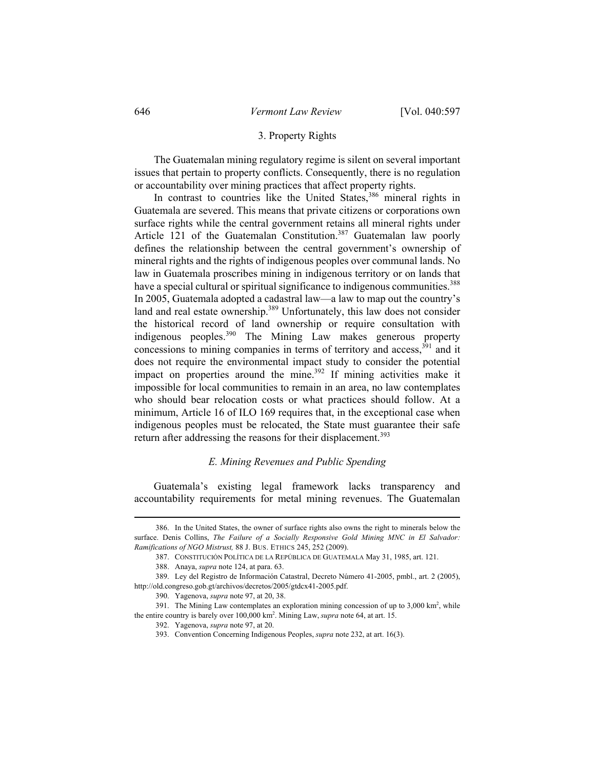### 3. Property Rights

The Guatemalan mining regulatory regime is silent on several important issues that pertain to property conflicts. Consequently, there is no regulation or accountability over mining practices that affect property rights.

In contrast to countries like the United States,<sup>386</sup> mineral rights in Guatemala are severed. This means that private citizens or corporations own surface rights while the central government retains all mineral rights under Article 121 of the Guatemalan Constitution.<sup>387</sup> Guatemalan law poorly defines the relationship between the central government's ownership of mineral rights and the rights of indigenous peoples over communal lands. No law in Guatemala proscribes mining in indigenous territory or on lands that have a special cultural or spiritual significance to indigenous communities.<sup>388</sup> In 2005, Guatemala adopted a cadastral law—a law to map out the country's land and real estate ownership.<sup>389</sup> Unfortunately, this law does not consider the historical record of land ownership or require consultation with indigenous peoples.390 The Mining Law makes generous property concessions to mining companies in terms of territory and access,  $391$  and it does not require the environmental impact study to consider the potential impact on properties around the mine.<sup>392</sup> If mining activities make it impossible for local communities to remain in an area, no law contemplates who should bear relocation costs or what practices should follow. At a minimum, Article 16 of ILO 169 requires that, in the exceptional case when indigenous peoples must be relocated, the State must guarantee their safe return after addressing the reasons for their displacement.<sup>393</sup>

### *E. Mining Revenues and Public Spending*

Guatemala's existing legal framework lacks transparency and accountability requirements for metal mining revenues. The Guatemalan

 <sup>386.</sup> In the United States, the owner of surface rights also owns the right to minerals below the surface. Denis Collins, *The Failure of a Socially Responsive Gold Mining MNC in El Salvador: Ramifications of NGO Mistrust,* 88 J. BUS. ETHICS 245, 252 (2009).

 <sup>387.</sup> CONSTITUCIÓN POLÍTICA DE LA REPÚBLICA DE GUATEMALA May 31, 1985, art. 121.

 <sup>388.</sup> Anaya, *supra* note 124, at para. 63.

 <sup>389.</sup> Ley del Registro de Información Catastral, Decreto Número 41-2005, pmbl., art. 2 (2005), http://old.congreso.gob.gt/archivos/decretos/2005/gtdcx41-2005.pdf.

 <sup>390.</sup> Yagenova, *supra* note 97, at 20, 38.

<sup>391.</sup> The Mining Law contemplates an exploration mining concession of up to 3,000 km<sup>2</sup>, while the entire country is barely over 100,000 km2 . Mining Law, *supra* note 64, at art. 15.

 <sup>392.</sup> Yagenova, *supra* note 97, at 20.

 <sup>393.</sup> Convention Concerning Indigenous Peoples, *supra* note 232, at art. 16(3).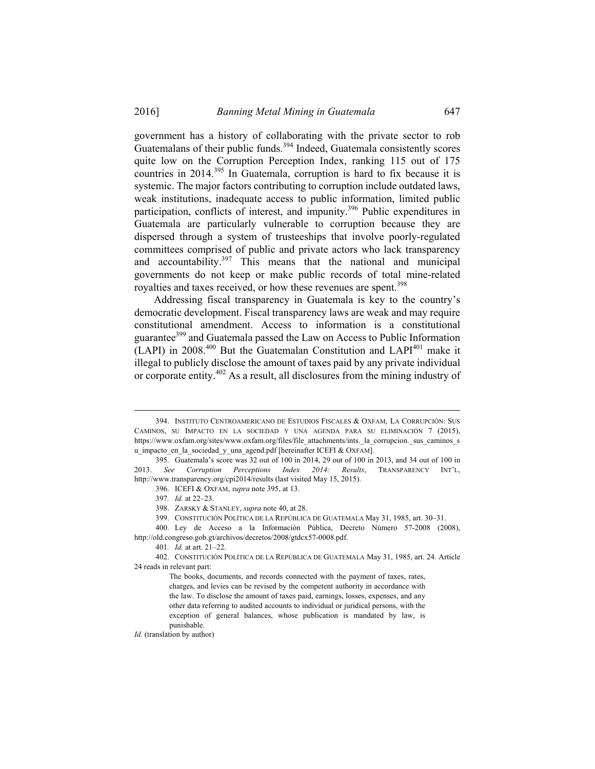government has a history of collaborating with the private sector to rob Guatemalans of their public funds.<sup>394</sup> Indeed, Guatemala consistently scores quite low on the Corruption Perception Index, ranking 115 out of 175 countries in 2014.395 In Guatemala, corruption is hard to fix because it is systemic. The major factors contributing to corruption include outdated laws, weak institutions, inadequate access to public information, limited public participation, conflicts of interest, and impunity.<sup>396</sup> Public expenditures in Guatemala are particularly vulnerable to corruption because they are dispersed through a system of trusteeships that involve poorly-regulated committees comprised of public and private actors who lack transparency and accountability.397 This means that the national and municipal governments do not keep or make public records of total mine-related royalties and taxes received, or how these revenues are spent.<sup>398</sup>

Addressing fiscal transparency in Guatemala is key to the country's democratic development. Fiscal transparency laws are weak and may require constitutional amendment. Access to information is a constitutional guarantee399 and Guatemala passed the Law on Access to Public Information  $(LAPI)$  in 2008.<sup>400</sup> But the Guatemalan Constitution and  $LAPI<sup>401</sup>$  make it illegal to publicly disclose the amount of taxes paid by any private individual or corporate entity.402 As a result, all disclosures from the mining industry of

 <sup>394.</sup> INSTITUTO CENTROAMERICANO DE ESTUDIOS FISCALES & OXFAM, LA CORRUPCIÓN: SUS CAMINOS, SU IMPACTO EN LA SOCIEDAD Y UNA AGENDA PARA SU ELIMINACIÓN 7 (2015), https://www.oxfam.org/sites/www.oxfam.org/files/file\_attachments/ints.\_la\_corrupcion.\_sus\_caminos\_s u\_impacto\_en\_la\_sociedad\_y\_una\_agend.pdf [hereinafter ICEFI & OXFAM].

 <sup>395.</sup> Guatemala's score was 32 out of 100 in 2014, 29 out of 100 in 2013, and 34 out of 100 in 2013. *See Corruption Perceptions Index 2014: Results*, TRANSPARENCY INT'L, http://www.transparency.org/cpi2014/results (last visited May 15, 2015).

 <sup>396.</sup> ICEFI & OXFAM, *supra* note 395, at 13.

<sup>397</sup>*. Id.* at 22–23.

 <sup>398.</sup> ZARSKY & STANLEY, *supra* note 40, at 28.

 <sup>399.</sup> CONSTITUCIÓN POLÍTICA DE LA REPÚBLICA DE GUATEMALA May 31, 1985, art. 30–31.

 <sup>400.</sup> Ley de Acceso a la Información Pública, Decreto Número 57-2008 (2008), http://old.congreso.gob.gt/archivos/decretos/2008/gtdcx57-0008.pdf.

<sup>401</sup>*. Id.* at art. 21–22.

 <sup>402.</sup> CONSTITUCIÓN POLÍTICA DE LA REPÚBLICA DE GUATEMALA May 31, 1985, art. 24. Article 24 reads in relevant part:

The books, documents, and records connected with the payment of taxes, rates, charges, and levies can be revised by the competent authority in accordance with the law. To disclose the amount of taxes paid, earnings, losses, expenses, and any other data referring to audited accounts to individual or juridical persons, with the exception of general balances, whose publication is mandated by law, is punishable.

*Id.* (translation by author)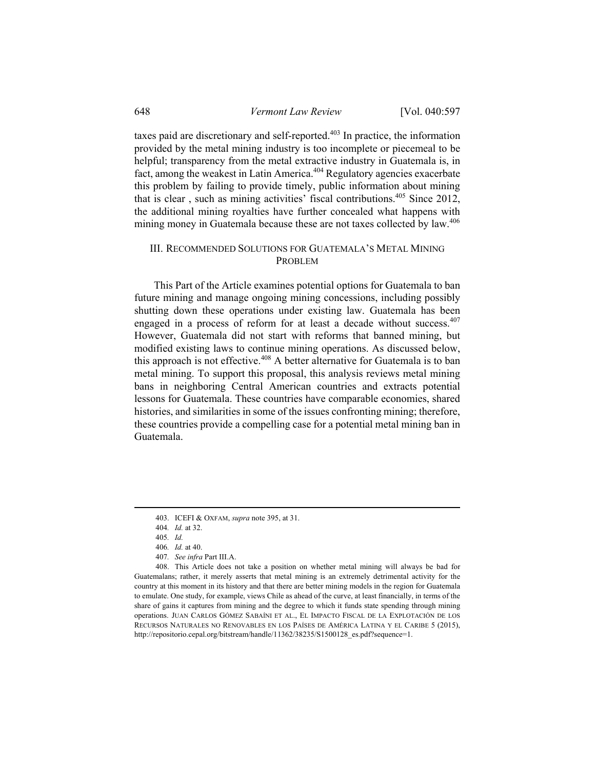taxes paid are discretionary and self-reported.<sup>403</sup> In practice, the information provided by the metal mining industry is too incomplete or piecemeal to be helpful; transparency from the metal extractive industry in Guatemala is, in fact, among the weakest in Latin America.404 Regulatory agencies exacerbate this problem by failing to provide timely, public information about mining that is clear , such as mining activities' fiscal contributions. 405 Since 2012, the additional mining royalties have further concealed what happens with mining money in Guatemala because these are not taxes collected by law.<sup>406</sup>

## III. RECOMMENDED SOLUTIONS FOR GUATEMALA'S METAL MINING PROBLEM

This Part of the Article examines potential options for Guatemala to ban future mining and manage ongoing mining concessions, including possibly shutting down these operations under existing law. Guatemala has been engaged in a process of reform for at least a decade without success.<sup>407</sup> However, Guatemala did not start with reforms that banned mining, but modified existing laws to continue mining operations. As discussed below, this approach is not effective.<sup>408</sup> A better alternative for Guatemala is to ban metal mining. To support this proposal, this analysis reviews metal mining bans in neighboring Central American countries and extracts potential lessons for Guatemala. These countries have comparable economies, shared histories, and similarities in some of the issues confronting mining; therefore, these countries provide a compelling case for a potential metal mining ban in Guatemala.

 <sup>403.</sup> ICEFI & OXFAM, *supra* note 395, at 31.

<sup>404</sup>*. Id.* at 32.

<sup>405</sup>*. Id.*

<sup>406</sup>*. Id.* at 40.

<sup>407</sup>*. See infra* Part III.A.

 <sup>408.</sup> This Article does not take a position on whether metal mining will always be bad for Guatemalans; rather, it merely asserts that metal mining is an extremely detrimental activity for the country at this moment in its history and that there are better mining models in the region for Guatemala to emulate. One study, for example, views Chile as ahead of the curve, at least financially, in terms of the share of gains it captures from mining and the degree to which it funds state spending through mining operations. JUAN CARLOS GÓMEZ SABAÍNI ET AL., EL IMPACTO FISCAL DE LA EXPLOTACIÓN DE LOS RECURSOS NATURALES NO RENOVABLES EN LOS PAÍSES DE AMÉRICA LATINA Y EL CARIBE 5 (2015), http://repositorio.cepal.org/bitstream/handle/11362/38235/S1500128\_es.pdf?sequence=1.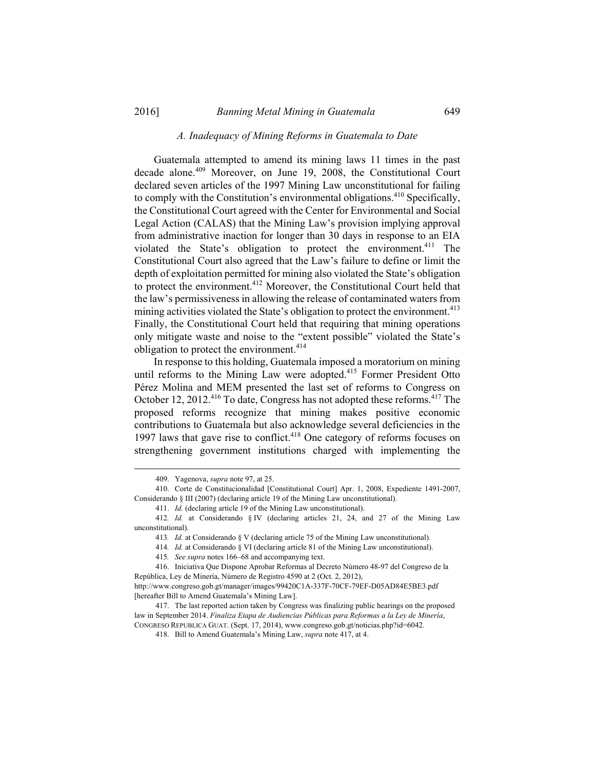# *A. Inadequacy of Mining Reforms in Guatemala to Date*

Guatemala attempted to amend its mining laws 11 times in the past decade alone.<sup>409</sup> Moreover, on June 19, 2008, the Constitutional Court declared seven articles of the 1997 Mining Law unconstitutional for failing to comply with the Constitution's environmental obligations.<sup>410</sup> Specifically, the Constitutional Court agreed with the Center for Environmental and Social Legal Action (CALAS) that the Mining Law's provision implying approval from administrative inaction for longer than 30 days in response to an EIA violated the State's obligation to protect the environment.<sup>411</sup> The Constitutional Court also agreed that the Law's failure to define or limit the depth of exploitation permitted for mining also violated the State's obligation to protect the environment.<sup>412</sup> Moreover, the Constitutional Court held that the law's permissiveness in allowing the release of contaminated waters from mining activities violated the State's obligation to protect the environment.<sup>413</sup> Finally, the Constitutional Court held that requiring that mining operations only mitigate waste and noise to the "extent possible" violated the State's obligation to protect the environment.<sup>414</sup>

In response to this holding, Guatemala imposed a moratorium on mining until reforms to the Mining Law were adopted.<sup>415</sup> Former President Otto Pérez Molina and MEM presented the last set of reforms to Congress on October 12, 2012.<sup>416</sup> To date, Congress has not adopted these reforms.<sup>417</sup> The proposed reforms recognize that mining makes positive economic contributions to Guatemala but also acknowledge several deficiencies in the 1997 laws that gave rise to conflict.<sup>418</sup> One category of reforms focuses on strengthening government institutions charged with implementing the

 <sup>409.</sup> Yagenova, *supra* note 97, at 25.

 <sup>410.</sup> Corte de Constitucionalidad [Constitutional Court] Apr. 1, 2008, Expediente 1491-2007, Considerando § III (2007) (declaring article 19 of the Mining Law unconstitutional).

 <sup>411.</sup> *Id.* (declaring article 19 of the Mining Law unconstitutional).

<sup>412</sup>*. Id.* at Considerando § IV (declaring articles 21, 24, and 27 of the Mining Law unconstitutional).

<sup>413</sup>*. Id.* at Considerando § V (declaring article 75 of the Mining Law unconstitutional).

<sup>414</sup>*. Id.* at Considerando § VI (declaring article 81 of the Mining Law unconstitutional).

<sup>415</sup>*. See supra* notes 166–68 and accompanying text.

 <sup>416.</sup> Iniciativa Que Dispone Aprobar Reformas al Decreto Número 48-97 del Congreso de la República, Ley de Minería, Número de Registro 4590 at 2 (Oct. 2, 2012),

http://www.congreso.gob.gt/manager/images/99420C1A-337F-70CF-79EF-D05AD84E5BE3.pdf [hereafter Bill to Amend Guatemala's Mining Law].

 <sup>417.</sup> The last reported action taken by Congress was finalizing public hearings on the proposed law in September 2014. *Finaliza Etapa de Audiencias Públicas para Reformas a la Ley de Minería*, CONGRESO REPUBLICA GUAT. (Sept. 17, 2014), www.congreso.gob.gt/noticias.php?id=6042.

 <sup>418.</sup> Bill to Amend Guatemala's Mining Law, *supra* note 417, at 4.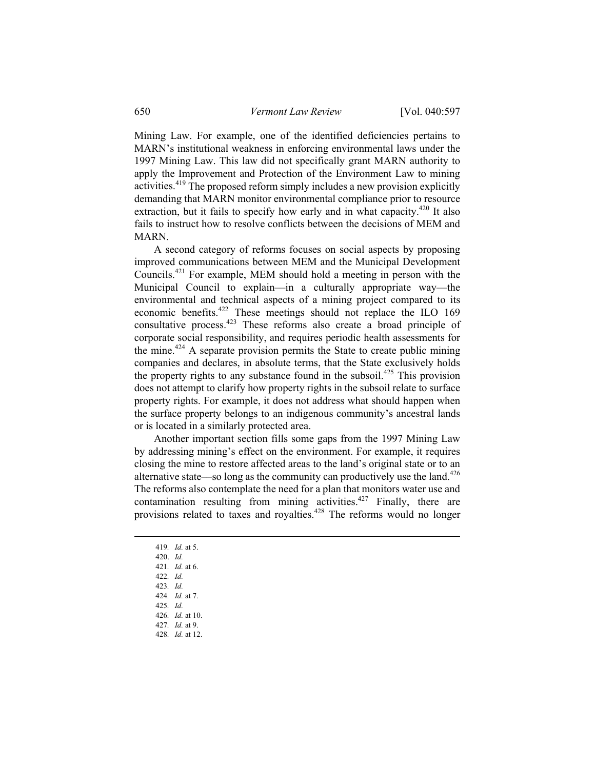Mining Law. For example, one of the identified deficiencies pertains to MARN's institutional weakness in enforcing environmental laws under the 1997 Mining Law. This law did not specifically grant MARN authority to apply the Improvement and Protection of the Environment Law to mining activities.419 The proposed reform simply includes a new provision explicitly demanding that MARN monitor environmental compliance prior to resource extraction, but it fails to specify how early and in what capacity.<sup>420</sup> It also fails to instruct how to resolve conflicts between the decisions of MEM and MARN.

A second category of reforms focuses on social aspects by proposing improved communications between MEM and the Municipal Development Councils.421 For example, MEM should hold a meeting in person with the Municipal Council to explain—in a culturally appropriate way—the environmental and technical aspects of a mining project compared to its economic benefits.422 These meetings should not replace the ILO 169 consultative process.<sup>423</sup> These reforms also create a broad principle of corporate social responsibility, and requires periodic health assessments for the mine.<sup> $424$ </sup> A separate provision permits the State to create public mining companies and declares, in absolute terms, that the State exclusively holds the property rights to any substance found in the subsoil.<sup>425</sup> This provision does not attempt to clarify how property rights in the subsoil relate to surface property rights. For example, it does not address what should happen when the surface property belongs to an indigenous community's ancestral lands or is located in a similarly protected area.

Another important section fills some gaps from the 1997 Mining Law by addressing mining's effect on the environment. For example, it requires closing the mine to restore affected areas to the land's original state or to an alternative state—so long as the community can productively use the land.<sup>426</sup> The reforms also contemplate the need for a plan that monitors water use and contamination resulting from mining activities.<sup>427</sup> Finally, there are provisions related to taxes and royalties.428 The reforms would no longer

 419*. Id.* at 5. 420. *Id.* 421*. Id.* at 6. 422*. Id.* 423*. Id.* 424*. Id.* at 7. 425*. Id.* 426*. Id.* at 10. 427*. Id.* at 9. 428*. Id.* at 12.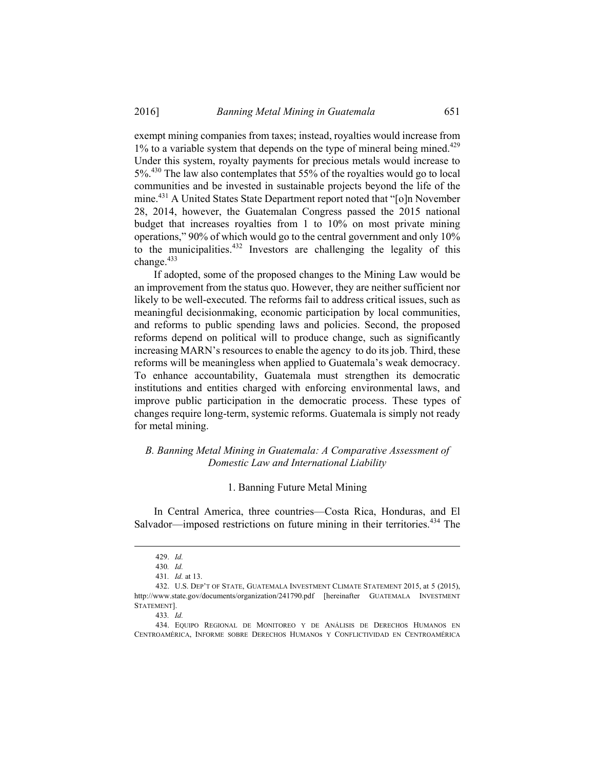exempt mining companies from taxes; instead, royalties would increase from  $1\%$  to a variable system that depends on the type of mineral being mined.<sup>429</sup> Under this system, royalty payments for precious metals would increase to 5%.430 The law also contemplates that 55% of the royalties would go to local communities and be invested in sustainable projects beyond the life of the mine.<sup>431</sup> A United States State Department report noted that "[o]n November 28, 2014, however, the Guatemalan Congress passed the 2015 national budget that increases royalties from 1 to 10% on most private mining operations," 90% of which would go to the central government and only 10% to the municipalities.<sup>432</sup> Investors are challenging the legality of this change.<sup>433</sup>

If adopted, some of the proposed changes to the Mining Law would be an improvement from the status quo. However, they are neither sufficient nor likely to be well-executed. The reforms fail to address critical issues, such as meaningful decisionmaking, economic participation by local communities, and reforms to public spending laws and policies. Second, the proposed reforms depend on political will to produce change, such as significantly increasing MARN's resources to enable the agency to do its job. Third, these reforms will be meaningless when applied to Guatemala's weak democracy. To enhance accountability, Guatemala must strengthen its democratic institutions and entities charged with enforcing environmental laws, and improve public participation in the democratic process. These types of changes require long-term, systemic reforms. Guatemala is simply not ready for metal mining.

# *B. Banning Metal Mining in Guatemala: A Comparative Assessment of Domestic Law and International Liability*

### 1. Banning Future Metal Mining

In Central America, three countries—Costa Rica, Honduras, and El Salvador—imposed restrictions on future mining in their territories.<sup>434</sup> The

 <sup>429.</sup> *Id.*

<sup>430</sup>*. Id.*

<sup>431</sup>*. Id.* at 13.

 <sup>432.</sup> U.S. DEP'T OF STATE, GUATEMALA INVESTMENT CLIMATE STATEMENT 2015, at 5 (2015), http://www.state.gov/documents/organization/241790.pdf [hereinafter GUATEMALA INVESTMENT STATEMENT].

<sup>433</sup>*. Id.*

 <sup>434.</sup> EQUIPO REGIONAL DE MONITOREO Y DE ANÁLISIS DE DERECHOS HUMANOS EN CENTROAMÉRICA, INFORME SOBRE DERECHOS HUMANOs Y CONFLICTIVIDAD EN CENTROAMÉRICA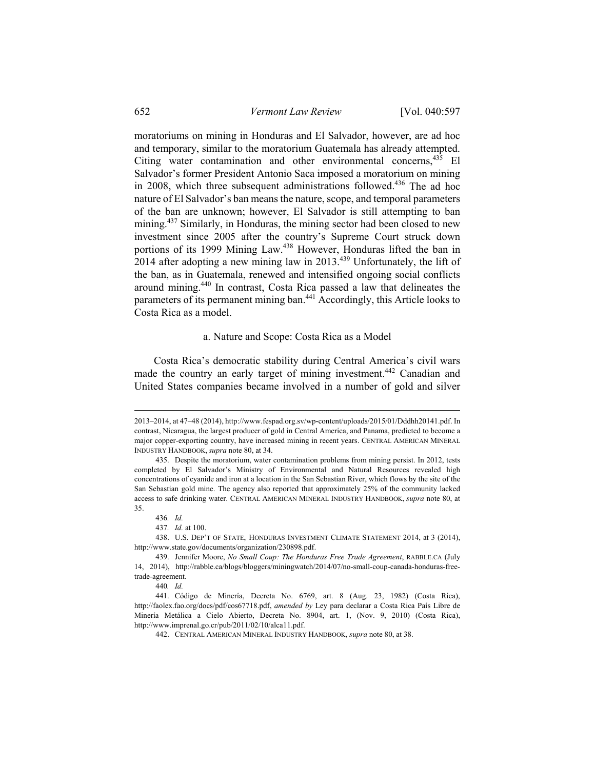moratoriums on mining in Honduras and El Salvador, however, are ad hoc and temporary, similar to the moratorium Guatemala has already attempted. Citing water contamination and other environmental concerns,<sup>435</sup> El Salvador's former President Antonio Saca imposed a moratorium on mining in 2008, which three subsequent administrations followed.<sup>436</sup> The ad hoc nature of El Salvador's ban means the nature, scope, and temporal parameters of the ban are unknown; however, El Salvador is still attempting to ban mining.<sup>437</sup> Similarly, in Honduras, the mining sector had been closed to new investment since 2005 after the country's Supreme Court struck down portions of its 1999 Mining Law.<sup>438</sup> However, Honduras lifted the ban in 2014 after adopting a new mining law in  $2013$ <sup>439</sup> Unfortunately, the lift of the ban, as in Guatemala, renewed and intensified ongoing social conflicts around mining.440 In contrast, Costa Rica passed a law that delineates the parameters of its permanent mining ban.441 Accordingly, this Article looks to Costa Rica as a model.

## a. Nature and Scope: Costa Rica as a Model

Costa Rica's democratic stability during Central America's civil wars made the country an early target of mining investment.<sup>442</sup> Canadian and United States companies became involved in a number of gold and silver

440*. Id.*

 <sup>2013–2014,</sup> at 47–48 (2014), http://www.fespad.org.sv/wp-content/uploads/2015/01/Dddhh20141.pdf. In contrast, Nicaragua, the largest producer of gold in Central America, and Panama, predicted to become a major copper-exporting country, have increased mining in recent years. CENTRAL AMERICAN MINERAL INDUSTRY HANDBOOK, *supra* note 80, at 34.

 <sup>435.</sup> Despite the moratorium, water contamination problems from mining persist. In 2012, tests completed by El Salvador's Ministry of Environmental and Natural Resources revealed high concentrations of cyanide and iron at a location in the San Sebastian River, which flows by the site of the San Sebastian gold mine. The agency also reported that approximately 25% of the community lacked access to safe drinking water. CENTRAL AMERICAN MINERAL INDUSTRY HANDBOOK, *supra* note 80, at 35.

<sup>436</sup>*. Id.*

<sup>437</sup>*. Id.* at 100.

 <sup>438.</sup> U.S. DEP'T OF STATE, HONDURAS INVESTMENT CLIMATE STATEMENT 2014, at 3 (2014), http://www.state.gov/documents/organization/230898.pdf.

 <sup>439.</sup> Jennifer Moore, *No Small Coup: The Honduras Free Trade Agreement*, RABBLE.CA (July 14, 2014), http://rabble.ca/blogs/bloggers/miningwatch/2014/07/no-small-coup-canada-honduras-freetrade-agreement.

 <sup>441.</sup> Código de Minería, Decreta No. 6769, art. 8 (Aug. 23, 1982) (Costa Rica), http://faolex.fao.org/docs/pdf/cos67718.pdf, *amended by* Ley para declarar a Costa Rica País Libre de Minería Metálica a Cielo Abierto, Decreta No. 8904, art. 1, (Nov. 9, 2010) (Costa Rica), http://www.imprenal.go.cr/pub/2011/02/10/alca11.pdf.

 <sup>442.</sup> CENTRAL AMERICAN MINERAL INDUSTRY HANDBOOK, *supra* note 80, at 38.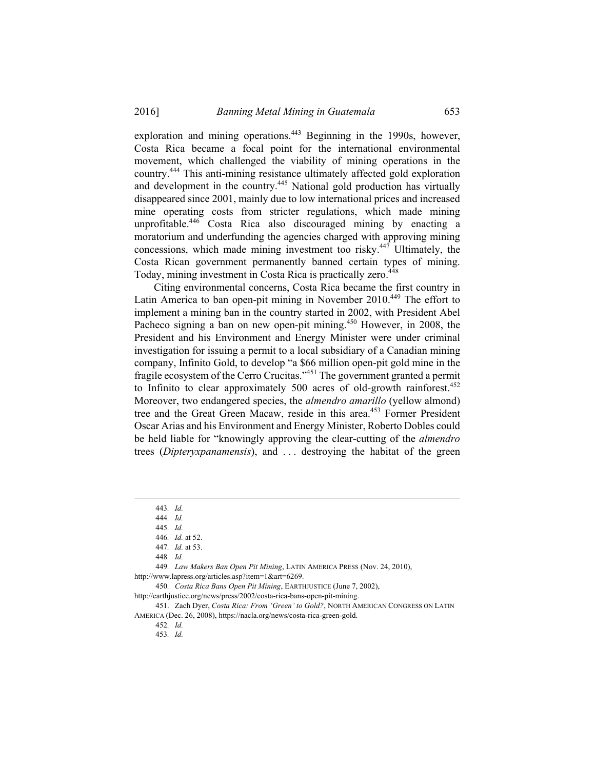exploration and mining operations.<sup>443</sup> Beginning in the 1990s, however, Costa Rica became a focal point for the international environmental movement, which challenged the viability of mining operations in the country.444 This anti-mining resistance ultimately affected gold exploration and development in the country.<sup>445</sup> National gold production has virtually disappeared since 2001, mainly due to low international prices and increased mine operating costs from stricter regulations, which made mining unprofitable.446 Costa Rica also discouraged mining by enacting a moratorium and underfunding the agencies charged with approving mining concessions, which made mining investment too risky. $447$  Ultimately, the Costa Rican government permanently banned certain types of mining. Today, mining investment in Costa Rica is practically zero.<sup>448</sup>

Citing environmental concerns, Costa Rica became the first country in Latin America to ban open-pit mining in November 2010.<sup>449</sup> The effort to implement a mining ban in the country started in 2002, with President Abel Pacheco signing a ban on new open-pit mining.<sup>450</sup> However, in 2008, the President and his Environment and Energy Minister were under criminal investigation for issuing a permit to a local subsidiary of a Canadian mining company, Infinito Gold, to develop "a \$66 million open-pit gold mine in the fragile ecosystem of the Cerro Crucitas."451 The government granted a permit to Infinito to clear approximately  $500$  acres of old-growth rainforest.<sup>452</sup> Moreover, two endangered species, the *almendro amarillo* (yellow almond) tree and the Great Green Macaw, reside in this area.<sup>453</sup> Former President Oscar Arias and his Environment and Energy Minister, Roberto Dobles could be held liable for "knowingly approving the clear-cutting of the *almendro* trees (*Dipteryxpanamensis*), and . . . destroying the habitat of the green

449*. Law Makers Ban Open Pit Mining*, LATIN AMERICA PRESS (Nov. 24, 2010), http://www.lapress.org/articles.asp?item=1&art=6269.

450*. Costa Rica Bans Open Pit Mining*, EARTHJUSTICE (June 7, 2002),

http://earthjustice.org/news/press/2002/costa-rica-bans-open-pit-mining.

 451. Zach Dyer, *Costa Rica: From 'Green' to Gold?*, NORTH AMERICAN CONGRESS ON LATIN AMERICA (Dec. 26, 2008), https://nacla.org/news/costa-rica-green-gold.

452*. Id.* 

453*. Id.*

 <sup>443</sup>*. Id.*

<sup>444</sup>*. Id.*

<sup>445</sup>*. Id.*

<sup>446</sup>*. Id.* at 52.

<sup>447</sup>*. Id.* at 53.

<sup>448</sup>*. Id.*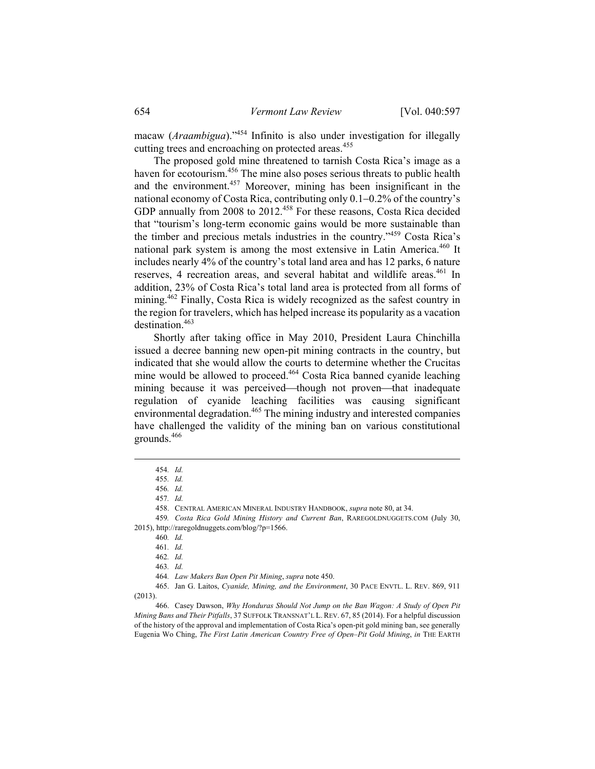macaw (*Araambigua*)."454 Infinito is also under investigation for illegally cutting trees and encroaching on protected areas.<sup>455</sup>

The proposed gold mine threatened to tarnish Costa Rica's image as a haven for ecotourism.<sup>456</sup> The mine also poses serious threats to public health and the environment.457 Moreover, mining has been insignificant in the national economy of Costa Rica, contributing only 0.1-0.2% of the country's GDP annually from 2008 to 2012.<sup>458</sup> For these reasons, Costa Rica decided that "tourism's long-term economic gains would be more sustainable than the timber and precious metals industries in the country."459 Costa Rica's national park system is among the most extensive in Latin America.<sup>460</sup> It includes nearly 4% of the country's total land area and has 12 parks, 6 nature reserves, 4 recreation areas, and several habitat and wildlife areas.<sup>461</sup> In addition, 23% of Costa Rica's total land area is protected from all forms of mining.<sup>462</sup> Finally, Costa Rica is widely recognized as the safest country in the region for travelers, which has helped increase its popularity as a vacation destination.463

Shortly after taking office in May 2010, President Laura Chinchilla issued a decree banning new open-pit mining contracts in the country, but indicated that she would allow the courts to determine whether the Crucitas mine would be allowed to proceed.464 Costa Rica banned cyanide leaching mining because it was perceived—though not proven—that inadequate regulation of cyanide leaching facilities was causing significant environmental degradation.<sup>465</sup> The mining industry and interested companies have challenged the validity of the mining ban on various constitutional grounds.<sup>466</sup>

458. CENTRAL AMERICAN MINERAL INDUSTRY HANDBOOK, *supra* note 80, at 34.

464*. Law Makers Ban Open Pit Mining*, *supra* note 450.

 465. Jan G. Laitos, *Cyanide, Mining, and the Environment*, 30 PACE ENVTL. L. REV. 869, 911 (2013).

 466. Casey Dawson, *Why Honduras Should Not Jump on the Ban Wagon: A Study of Open Pit Mining Bans and Their Pitfalls*, 37 SUFFOLK TRANSNAT'L L. REV. 67, 85 (2014). For a helpful discussion of the history of the approval and implementation of Costa Rica's open-pit gold mining ban, see generally Eugenia Wo Ching, *The First Latin American Country Free of Open–Pit Gold Mining*, *in* THE EARTH

 <sup>454</sup>*. Id.*

<sup>455</sup>*. Id.*

<sup>456</sup>*. Id.*

<sup>457</sup>*. Id.*

<sup>459</sup>*. Costa Rica Gold Mining History and Current Ban*, RAREGOLDNUGGETS.COM (July 30, 2015), http://raregoldnuggets.com/blog/?p=1566.

<sup>460</sup>*. Id.* 

<sup>461</sup>*. Id.*

<sup>462</sup>*. Id.*

<sup>463</sup>*. Id.*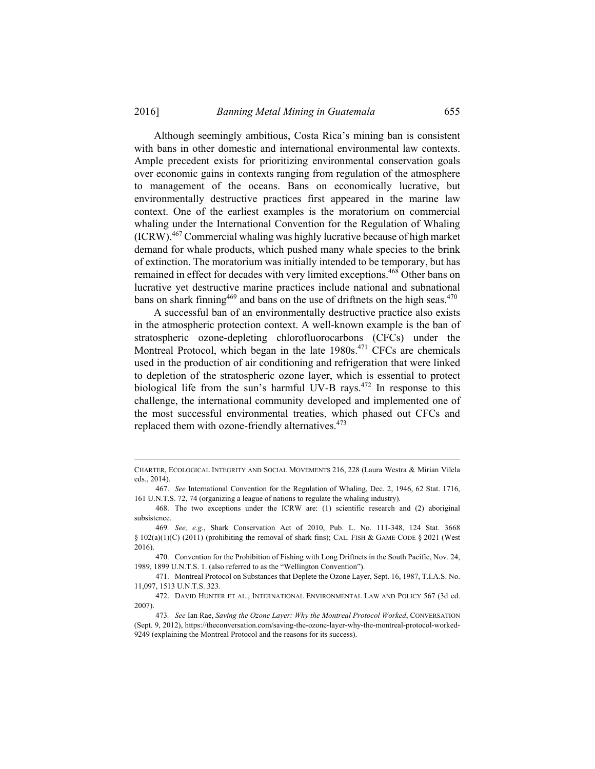Although seemingly ambitious, Costa Rica's mining ban is consistent with bans in other domestic and international environmental law contexts. Ample precedent exists for prioritizing environmental conservation goals over economic gains in contexts ranging from regulation of the atmosphere to management of the oceans. Bans on economically lucrative, but environmentally destructive practices first appeared in the marine law context. One of the earliest examples is the moratorium on commercial whaling under the International Convention for the Regulation of Whaling (ICRW).467 Commercial whaling was highly lucrative because of high market demand for whale products, which pushed many whale species to the brink of extinction. The moratorium was initially intended to be temporary, but has remained in effect for decades with very limited exceptions.468 Other bans on lucrative yet destructive marine practices include national and subnational bans on shark finning<sup>469</sup> and bans on the use of driftnets on the high seas.<sup>470</sup>

A successful ban of an environmentally destructive practice also exists in the atmospheric protection context. A well-known example is the ban of stratospheric ozone-depleting chlorofluorocarbons (CFCs) under the Montreal Protocol, which began in the late  $1980s<sup>471</sup>$  CFCs are chemicals used in the production of air conditioning and refrigeration that were linked to depletion of the stratospheric ozone layer, which is essential to protect biological life from the sun's harmful UV-B rays.<sup> $472$ </sup> In response to this challenge, the international community developed and implemented one of the most successful environmental treaties, which phased out CFCs and replaced them with ozone-friendly alternatives.<sup>473</sup>

 470. Convention for the Prohibition of Fishing with Long Driftnets in the South Pacific, Nov. 24, 1989, 1899 U.N.T.S. 1. (also referred to as the "Wellington Convention").

 471. Montreal Protocol on Substances that Deplete the Ozone Layer, Sept. 16, 1987, T.I.A.S. No. 11,097, 1513 U.N.T.S. 323.

 472. DAVID HUNTER ET AL., INTERNATIONAL ENVIRONMENTAL LAW AND POLICY 567 (3d ed. 2007).

CHARTER, ECOLOGICAL INTEGRITY AND SOCIAL MOVEMENTS 216, <sup>228</sup> (Laura Westra & Mirian Vilela eds., 2014).

 <sup>467.</sup> *See* International Convention for the Regulation of Whaling, Dec. 2, 1946, 62 Stat. 1716, 161 U.N.T.S. 72, 74 (organizing a league of nations to regulate the whaling industry).

 <sup>468.</sup> The two exceptions under the ICRW are: (1) scientific research and (2) aboriginal subsistence.

<sup>469</sup>*. See, e.g.*, Shark Conservation Act of 2010, Pub. L. No. 111-348, 124 Stat. 3668 § 102(a)(1)(C) (2011) (prohibiting the removal of shark fins); CAL. FISH & GAME CODE § 2021 (West 2016).

<sup>473</sup>*. See* Ian Rae, *Saving the Ozone Layer: Why the Montreal Protocol Worked*, CONVERSATION (Sept. 9, 2012), https://theconversation.com/saving-the-ozone-layer-why-the-montreal-protocol-worked-9249 (explaining the Montreal Protocol and the reasons for its success).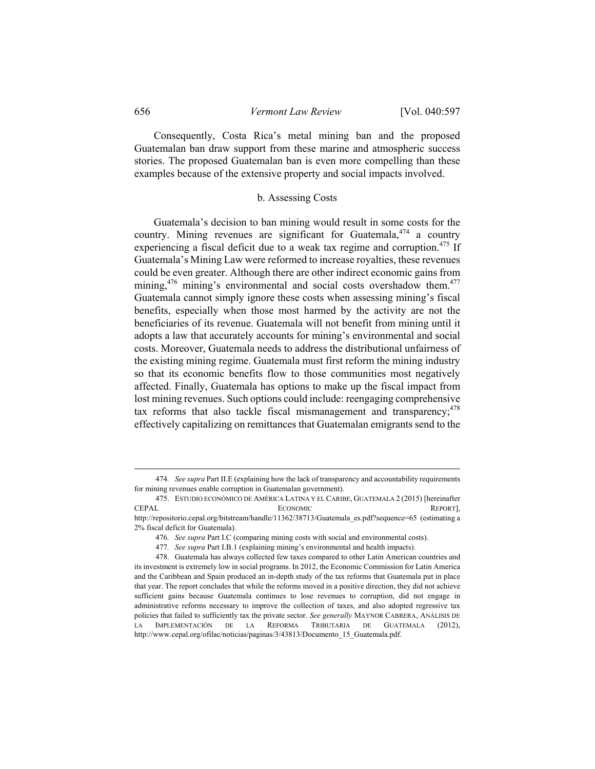Consequently, Costa Rica's metal mining ban and the proposed Guatemalan ban draw support from these marine and atmospheric success stories. The proposed Guatemalan ban is even more compelling than these examples because of the extensive property and social impacts involved.

### b. Assessing Costs

Guatemala's decision to ban mining would result in some costs for the country. Mining revenues are significant for Guatemala,  $474$  a country experiencing a fiscal deficit due to a weak tax regime and corruption.<sup>475</sup> If Guatemala's Mining Law were reformed to increase royalties, these revenues could be even greater. Although there are other indirect economic gains from mining,<sup>476</sup> mining's environmental and social costs overshadow them.<sup>477</sup> Guatemala cannot simply ignore these costs when assessing mining's fiscal benefits, especially when those most harmed by the activity are not the beneficiaries of its revenue. Guatemala will not benefit from mining until it adopts a law that accurately accounts for mining's environmental and social costs. Moreover, Guatemala needs to address the distributional unfairness of the existing mining regime. Guatemala must first reform the mining industry so that its economic benefits flow to those communities most negatively affected. Finally, Guatemala has options to make up the fiscal impact from lost mining revenues. Such options could include: reengaging comprehensive tax reforms that also tackle fiscal mismanagement and transparency;  $478$ effectively capitalizing on remittances that Guatemalan emigrants send to the

2% fiscal deficit for Guatemala).

 <sup>474</sup>*. See supra* Part II.E (explaining how the lack of transparency and accountability requirements for mining revenues enable corruption in Guatemalan government).

 <sup>475.</sup> ESTUDIO ECONÓMICO DE AMÉRICA LATINA Y EL CARIBE, GUATEMALA 2 (2015) [hereinafter CEPAL ECONOMIC REPORT], http://repositorio.cepal.org/bitstream/handle/11362/38713/Guatemala\_es.pdf?sequence=65 (estimating a

<sup>476</sup>*. See supra* Part I.C (comparing mining costs with social and environmental costs).

<sup>477</sup>*. See supra* Part I.B.1 (explaining mining's environmental and health impacts).

 <sup>478.</sup> Guatemala has always collected few taxes compared to other Latin American countries and its investment is extremely low in social programs. In 2012, the Economic Commission for Latin America and the Caribbean and Spain produced an in-depth study of the tax reforms that Guatemala put in place that year. The report concludes that while the reforms moved in a positive direction, they did not achieve sufficient gains because Guatemala continues to lose revenues to corruption, did not engage in administrative reforms necessary to improve the collection of taxes, and also adopted regressive tax policies that failed to sufficiently tax the private sector. *See generally* MAYNOR CABRERA, ANÁLISIS DE LA IMPLEMENTACIÓN DE LA REFORMA TRIBUTARIA DE GUATEMALA (2012), http://www.cepal.org/ofilac/noticias/paginas/3/43813/Documento 15 Guatemala.pdf.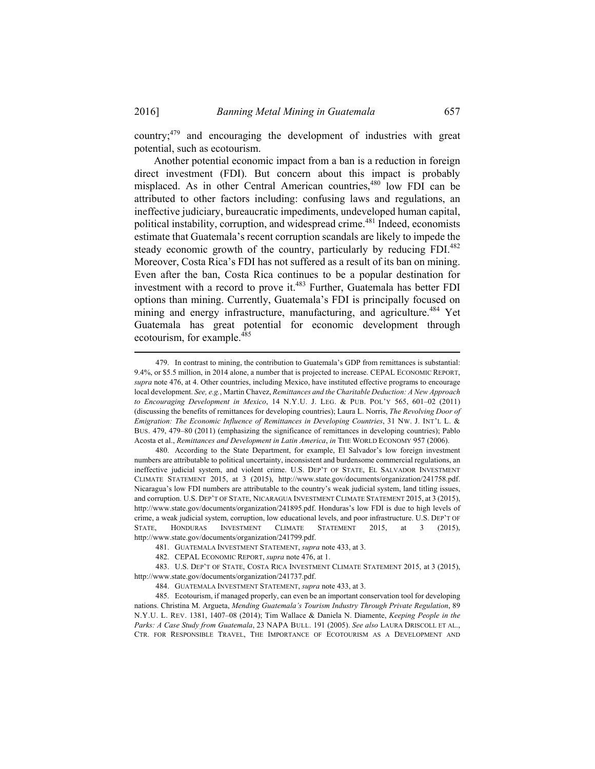Another potential economic impact from a ban is a reduction in foreign direct investment (FDI). But concern about this impact is probably misplaced. As in other Central American countries,<sup>480</sup> low FDI can be attributed to other factors including: confusing laws and regulations, an ineffective judiciary, bureaucratic impediments, undeveloped human capital, political instability, corruption, and widespread crime.<sup>481</sup> Indeed, economists estimate that Guatemala's recent corruption scandals are likely to impede the steady economic growth of the country, particularly by reducing FDI.<sup>482</sup> Moreover, Costa Rica's FDI has not suffered as a result of its ban on mining. Even after the ban, Costa Rica continues to be a popular destination for investment with a record to prove it.<sup>483</sup> Further, Guatemala has better FDI options than mining. Currently, Guatemala's FDI is principally focused on mining and energy infrastructure, manufacturing, and agriculture.<sup>484</sup> Yet Guatemala has great potential for economic development through ecotourism, for example.<sup>485</sup>

 480. According to the State Department, for example, El Salvador's low foreign investment numbers are attributable to political uncertainty, inconsistent and burdensome commercial regulations, an ineffective judicial system, and violent crime. U.S. DEP'T OF STATE, EL SALVADOR INVESTMENT CLIMATE STATEMENT 2015, at 3 (2015), http://www.state.gov/documents/organization/241758.pdf. Nicaragua's low FDI numbers are attributable to the country's weak judicial system, land titling issues, and corruption. U.S. DEP'T OF STATE, NICARAGUA INVESTMENT CLIMATE STATEMENT 2015, at 3 (2015), http://www.state.gov/documents/organization/241895.pdf. Honduras's low FDI is due to high levels of crime, a weak judicial system, corruption, low educational levels, and poor infrastructure. U.S. DEP'T OF STATE, HONDURAS INVESTMENT CLIMATE STATEMENT 2015, at 3 (2015), http://www.state.gov/documents/organization/241799.pdf.

482. CEPAL ECONOMIC REPORT, *supra* note 476, at 1.

 483. U.S. DEP'T OF STATE, COSTA RICA INVESTMENT CLIMATE STATEMENT 2015, at 3 (2015), http://www.state.gov/documents/organization/241737.pdf.

484. GUATEMALA INVESTMENT STATEMENT, *supra* note 433, at 3.

 485. Ecotourism, if managed properly, can even be an important conservation tool for developing nations. Christina M. Argueta, *Mending Guatemala's Tourism Industry Through Private Regulation*, 89 N.Y.U. L. REV. 1381, 1407–08 (2014); Tim Wallace & Daniela N. Diamente, *Keeping People in the Parks: A Case Study from Guatemala*, 23 NAPA BULL. 191 (2005). *See also* LAURA DRISCOLL ET AL., CTR. FOR RESPONSIBLE TRAVEL, THE IMPORTANCE OF ECOTOURISM AS A DEVELOPMENT AND

 <sup>479.</sup> In contrast to mining, the contribution to Guatemala's GDP from remittances is substantial: 9.4%, or \$5.5 million, in 2014 alone, a number that is projected to increase. CEPAL ECONOMIC REPORT, *supra* note 476, at 4. Other countries, including Mexico, have instituted effective programs to encourage local development. *See, e.g.*, Martin Chavez, *Remittances and the Charitable Deduction: A New Approach to Encouraging Development in Mexico*, 14 N.Y.U. J. LEG. & PUB. POL'Y 565, 601–02 (2011) (discussing the benefits of remittances for developing countries); Laura L. Norris, *The Revolving Door of Emigration: The Economic Influence of Remittances in Developing Countries*, 31 NW. J. INT'L L. & BUS. 479, 479–80 (2011) (emphasizing the significance of remittances in developing countries); Pablo Acosta et al., *Remittances and Development in Latin America*, *in* THE WORLD ECONOMY 957 (2006).

 <sup>481.</sup> GUATEMALA INVESTMENT STATEMENT, *supra* note 433, at 3.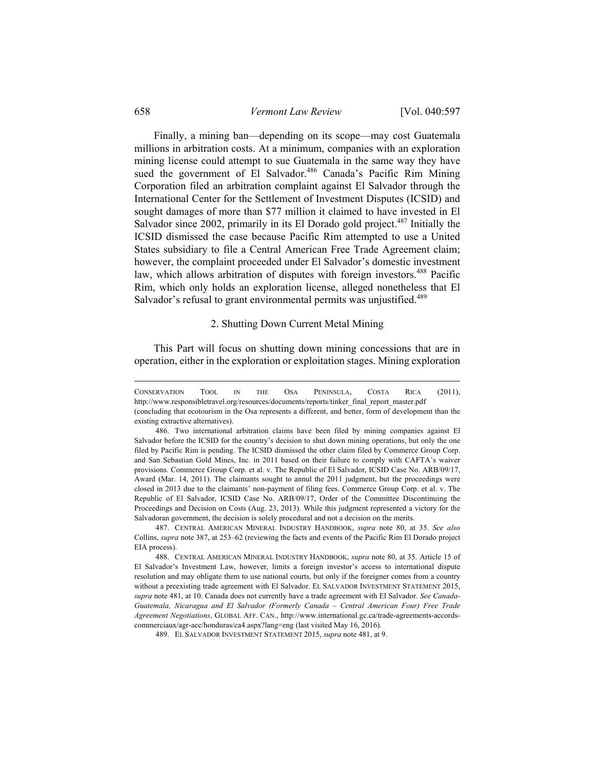Finally, a mining ban—depending on its scope—may cost Guatemala millions in arbitration costs. At a minimum, companies with an exploration mining license could attempt to sue Guatemala in the same way they have sued the government of El Salvador.<sup>486</sup> Canada's Pacific Rim Mining Corporation filed an arbitration complaint against El Salvador through the International Center for the Settlement of Investment Disputes (ICSID) and sought damages of more than \$77 million it claimed to have invested in El Salvador since 2002, primarily in its El Dorado gold project.<sup>487</sup> Initially the ICSID dismissed the case because Pacific Rim attempted to use a United States subsidiary to file a Central American Free Trade Agreement claim; however, the complaint proceeded under El Salvador's domestic investment law, which allows arbitration of disputes with foreign investors.<sup>488</sup> Pacific Rim, which only holds an exploration license, alleged nonetheless that El Salvador's refusal to grant environmental permits was unjustified.<sup>489</sup>

### 2. Shutting Down Current Metal Mining

This Part will focus on shutting down mining concessions that are in operation, either in the exploration or exploitation stages. Mining exploration

CONSERVATION TOOL IN THE OSA PENINSULA, COSTA RICA (2011), http://www.responsibletravel.org/resources/documents/reports/tinker\_final\_report\_master.pdf (concluding that ecotourism in the Osa represents a different, and better, form of development than the existing extractive alternatives).

 <sup>486.</sup> Two international arbitration claims have been filed by mining companies against El Salvador before the ICSID for the country's decision to shut down mining operations, but only the one filed by Pacific Rim is pending. The ICSID dismissed the other claim filed by Commerce Group Corp. and San Sebastian Gold Mines, Inc. in 2011 based on their failure to comply with CAFTA's waiver provisions. Commerce Group Corp. et al. v. The Republic of El Salvador, ICSID Case No. ARB/09/17, Award (Mar. 14, 2011). The claimants sought to annul the 2011 judgment, but the proceedings were closed in 2013 due to the claimants' non-payment of filing fees. Commerce Group Corp. et al. v. The Republic of El Salvador, ICSID Case No. ARB/09/17, Order of the Committee Discontinuing the Proceedings and Decision on Costs (Aug. 23, 2013). While this judgment represented a victory for the Salvadoran government, the decision is solely procedural and not a decision on the merits.

 <sup>487.</sup> CENTRAL AMERICAN MINERAL INDUSTRY HANDBOOK, *supra* note 80, at 35. *See also* Collins, *supra* note 387, at 253–62 (reviewing the facts and events of the Pacific Rim El Dorado project EIA process).

 <sup>488.</sup> CENTRAL AMERICAN MINERAL INDUSTRY HANDBOOK, *supra* note 80, at 35. Article 15 of El Salvador's Investment Law, however, limits a foreign investor's access to international dispute resolution and may obligate them to use national courts, but only if the foreigner comes from a country without a preexisting trade agreement with El Salvador. EL SALVADOR INVESTMENT STATEMENT 2015, *supra* note 481, at 10. Canada does not currently have a trade agreement with El Salvador. *See Canada-Guatemala, Nicaragua and El Salvador (Formerly Canada – Central American Four) Free Trade Agreement Negotiations*, GLOBAL AFF. CAN., http://www.international.gc.ca/trade-agreements-accordscommerciaux/agr-acc/honduras/ca4.aspx?lang=eng (last visited May 16, 2016).

 <sup>489.</sup> EL SALVADOR INVESTMENT STATEMENT 2015, *supra* note 481, at 9.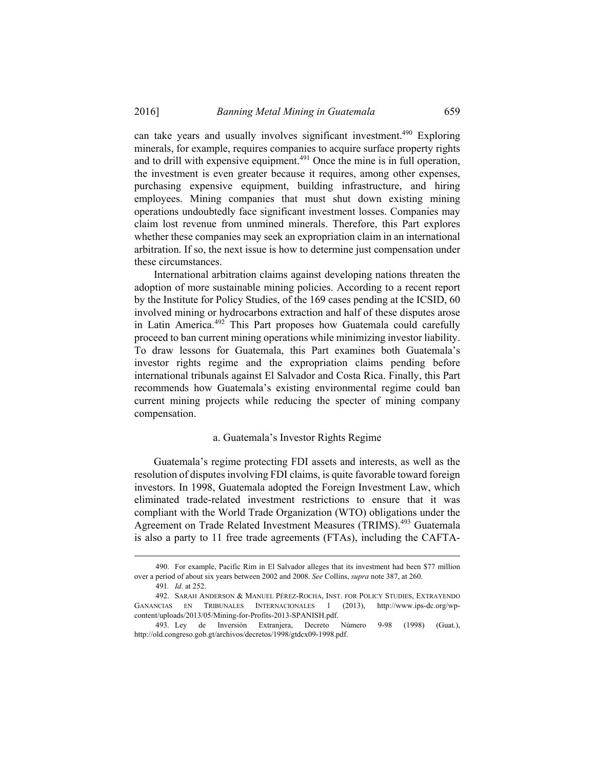can take years and usually involves significant investment.<sup>490</sup> Exploring minerals, for example, requires companies to acquire surface property rights and to drill with expensive equipment.<sup>491</sup> Once the mine is in full operation, the investment is even greater because it requires, among other expenses, purchasing expensive equipment, building infrastructure, and hiring employees. Mining companies that must shut down existing mining operations undoubtedly face significant investment losses. Companies may claim lost revenue from unmined minerals. Therefore, this Part explores whether these companies may seek an expropriation claim in an international arbitration. If so, the next issue is how to determine just compensation under these circumstances.

International arbitration claims against developing nations threaten the adoption of more sustainable mining policies. According to a recent report by the Institute for Policy Studies, of the 169 cases pending at the ICSID, 60 involved mining or hydrocarbons extraction and half of these disputes arose in Latin America.492 This Part proposes how Guatemala could carefully proceed to ban current mining operations while minimizing investor liability. To draw lessons for Guatemala, this Part examines both Guatemala's investor rights regime and the expropriation claims pending before international tribunals against El Salvador and Costa Rica. Finally, this Part recommends how Guatemala's existing environmental regime could ban current mining projects while reducing the specter of mining company compensation.

## a. Guatemala's Investor Rights Regime

Guatemala's regime protecting FDI assets and interests, as well as the resolution of disputes involving FDI claims, is quite favorable toward foreign investors. In 1998, Guatemala adopted the Foreign Investment Law, which eliminated trade-related investment restrictions to ensure that it was compliant with the World Trade Organization (WTO) obligations under the Agreement on Trade Related Investment Measures (TRIMS).<sup>493</sup> Guatemala is also a party to 11 free trade agreements (FTAs), including the CAFTA-

 <sup>490.</sup> For example, Pacific Rim in El Salvador alleges that its investment had been \$77 million over a period of about six years between 2002 and 2008. *See* Collins, *supra* note 387, at 260.

<sup>491</sup>*. Id.* at 252.

 <sup>492.</sup> SARAH ANDERSON & MANUEL PÉREZ-ROCHA, INST. FOR POLICY STUDIES, EXTRAYENDO GANANCIAS EN TRIBUNALES INTERNACIONALES 1 (2013), http://www.ips-dc.org/wpcontent/uploads/2013/05/Mining-for-Profits-2013-SPANISH.pdf.

 <sup>493.</sup> Ley de Inversión Extranjera, Decreto Número 9-98 (1998) (Guat.), http://old.congreso.gob.gt/archivos/decretos/1998/gtdcx09-1998.pdf.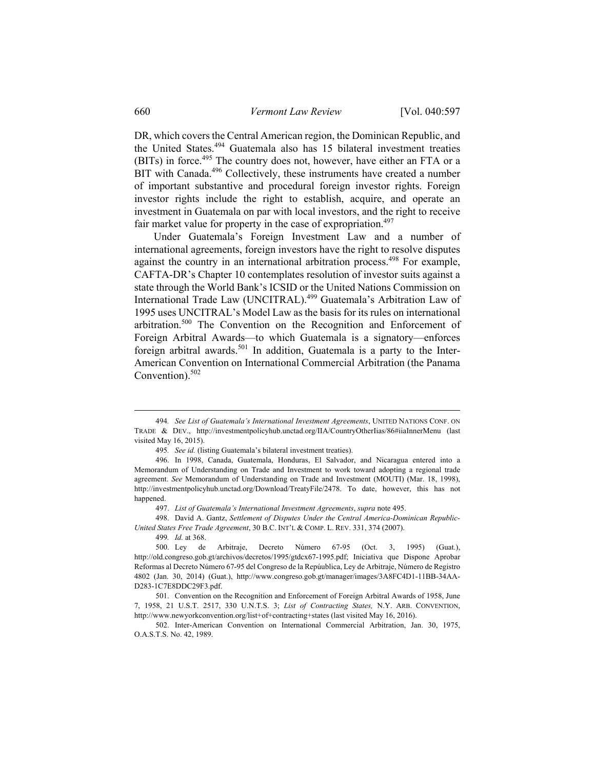DR, which covers the Central American region, the Dominican Republic, and the United States.494 Guatemala also has 15 bilateral investment treaties (BITs) in force.<sup>495</sup> The country does not, however, have either an FTA or a BIT with Canada.<sup>496</sup> Collectively, these instruments have created a number of important substantive and procedural foreign investor rights. Foreign investor rights include the right to establish, acquire, and operate an investment in Guatemala on par with local investors, and the right to receive fair market value for property in the case of expropriation.<sup>497</sup>

Under Guatemala's Foreign Investment Law and a number of international agreements, foreign investors have the right to resolve disputes against the country in an international arbitration process.<sup>498</sup> For example, CAFTA-DR's Chapter 10 contemplates resolution of investor suits against a state through the World Bank's ICSID or the United Nations Commission on International Trade Law (UNCITRAL).499 Guatemala's Arbitration Law of 1995 uses UNCITRAL's Model Law as the basis for its rules on international arbitration.500 The Convention on the Recognition and Enforcement of Foreign Arbitral Awards—to which Guatemala is a signatory—enforces foreign arbitral awards.<sup>501</sup> In addition, Guatemala is a party to the Inter-American Convention on International Commercial Arbitration (the Panama Convention). $502$ 

497. *List of Guatemala's International Investment Agreements*, *supra* note 495.

 498. David A. Gantz, *Settlement of Disputes Under the Central America-Dominican Republic-United States Free Trade Agreement*, 30 B.C. INT'L & COMP. L. REV. 331, 374 (2007).

499*. Id.* at 368.

 <sup>494</sup>*. See List of Guatemala's International Investment Agreements*, UNITED NATIONS CONF. ON TRADE & DEV., http://investmentpolicyhub.unctad.org/IIA/CountryOtherIias/86#iiaInnerMenu (last visited May 16, 2015).

<sup>495</sup>*. See id.* (listing Guatemala's bilateral investment treaties).

 <sup>496.</sup> In 1998, Canada, Guatemala, Honduras, El Salvador, and Nicaragua entered into a Memorandum of Understanding on Trade and Investment to work toward adopting a regional trade agreement. *See* Memorandum of Understanding on Trade and Investment (MOUTI) (Mar. 18, 1998), http://investmentpolicyhub.unctad.org/Download/TreatyFile/2478. To date, however, this has not happened.

 <sup>500.</sup> Ley de Arbitraje, Decreto Número 67-95 (Oct. 3, 1995) (Guat.), http://old.congreso.gob.gt/archivos/decretos/1995/gtdcx67-1995.pdf; Iniciativa que Dispone Aprobar Reformas al Decreto Número 67-95 del Congreso de la Repúublica, Ley de Arbitraje, Número de Registro 4802 (Jan. 30, 2014) (Guat.), http://www.congreso.gob.gt/manager/images/3A8FC4D1-11BB-34AA-D283-1C7E8DDC29F3.pdf.

 <sup>501.</sup> Convention on the Recognition and Enforcement of Foreign Arbitral Awards of 1958, June 7, 1958, 21 U.S.T. 2517, 330 U.N.T.S. 3; *List of Contracting States,* N.Y. ARB. CONVENTION, http://www.newyorkconvention.org/list+of+contracting+states (last visited May 16, 2016).

 <sup>502.</sup> Inter-American Convention on International Commercial Arbitration, Jan. 30, 1975, O.A.S.T.S. No. 42, 1989.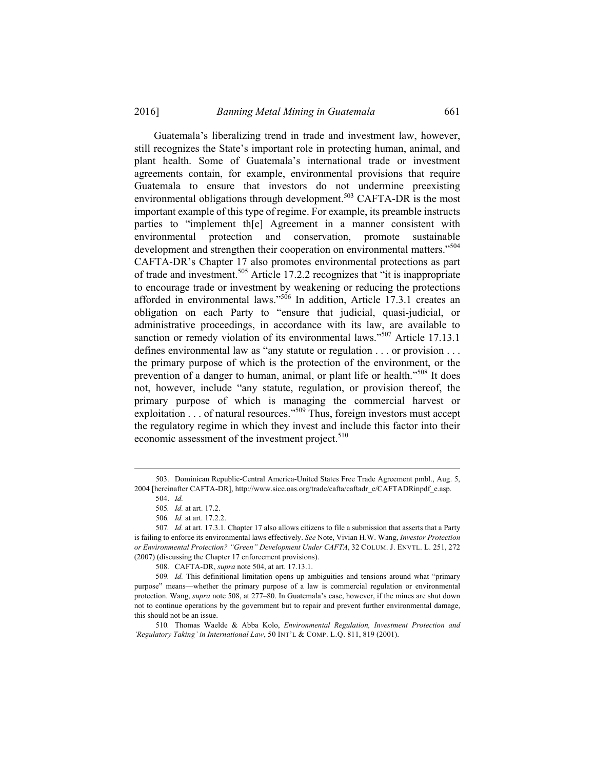Guatemala's liberalizing trend in trade and investment law, however, still recognizes the State's important role in protecting human, animal, and plant health. Some of Guatemala's international trade or investment agreements contain, for example, environmental provisions that require Guatemala to ensure that investors do not undermine preexisting environmental obligations through development.<sup>503</sup> CAFTA-DR is the most important example of this type of regime. For example, its preamble instructs parties to "implement th[e] Agreement in a manner consistent with environmental protection and conservation, promote sustainable development and strengthen their cooperation on environmental matters."<sup>504</sup> CAFTA-DR's Chapter 17 also promotes environmental protections as part of trade and investment.505 Article 17.2.2 recognizes that "it is inappropriate to encourage trade or investment by weakening or reducing the protections afforded in environmental laws."506 In addition, Article 17.3.1 creates an obligation on each Party to "ensure that judicial, quasi-judicial, or administrative proceedings, in accordance with its law, are available to sanction or remedy violation of its environmental laws."<sup>507</sup> Article 17.13.1 defines environmental law as "any statute or regulation . . . or provision . . . the primary purpose of which is the protection of the environment, or the prevention of a danger to human, animal, or plant life or health."508 It does not, however, include "any statute, regulation, or provision thereof, the primary purpose of which is managing the commercial harvest or exploitation  $\ldots$  of natural resources."<sup>509</sup> Thus, foreign investors must accept the regulatory regime in which they invest and include this factor into their economic assessment of the investment project.<sup>510</sup>

508. CAFTA-DR, *supra* note 504, at art. 17.13.1.

509*. Id.* This definitional limitation opens up ambiguities and tensions around what "primary purpose" means—whether the primary purpose of a law is commercial regulation or environmental protection. Wang, *supra* note 508, at 277–80. In Guatemala's case, however, if the mines are shut down not to continue operations by the government but to repair and prevent further environmental damage, this should not be an issue.

510*.* Thomas Waelde & Abba Kolo, *Environmental Regulation, Investment Protection and 'Regulatory Taking' in International Law*, 50 INT'L & COMP. L.Q. 811, 819 (2001).

 <sup>503.</sup> Dominican Republic-Central America-United States Free Trade Agreement pmbl., Aug. 5, 2004 [hereinafter CAFTA-DR], http://www.sice.oas.org/trade/cafta/caftadr\_e/CAFTADRinpdf\_e.asp.

 <sup>504.</sup> *Id.*

<sup>505</sup>*. Id.* at art. 17.2.

<sup>506</sup>*. Id.* at art. 17.2.2.

<sup>507</sup>*. Id.* at art. 17.3.1. Chapter 17 also allows citizens to file a submission that asserts that a Party is failing to enforce its environmental laws effectively. *See* Note, Vivian H.W. Wang, *Investor Protection or Environmental Protection? "Green" Development Under CAFTA*, 32 COLUM. J. ENVTL. L. 251, 272 (2007) (discussing the Chapter 17 enforcement provisions).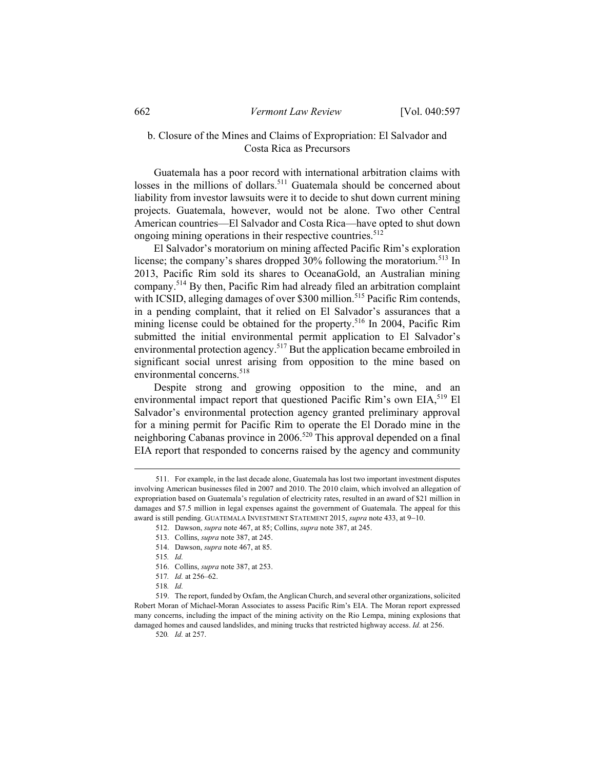## b. Closure of the Mines and Claims of Expropriation: El Salvador and Costa Rica as Precursors

Guatemala has a poor record with international arbitration claims with losses in the millions of dollars.<sup>511</sup> Guatemala should be concerned about liability from investor lawsuits were it to decide to shut down current mining projects. Guatemala, however, would not be alone. Two other Central American countries—El Salvador and Costa Rica—have opted to shut down ongoing mining operations in their respective countries.<sup>512</sup>

El Salvador's moratorium on mining affected Pacific Rim's exploration license; the company's shares dropped 30% following the moratorium.<sup>513</sup> In 2013, Pacific Rim sold its shares to OceanaGold, an Australian mining company.514 By then, Pacific Rim had already filed an arbitration complaint with ICSID, alleging damages of over \$300 million.<sup>515</sup> Pacific Rim contends, in a pending complaint, that it relied on El Salvador's assurances that a mining license could be obtained for the property.<sup>516</sup> In 2004, Pacific Rim submitted the initial environmental permit application to El Salvador's environmental protection agency.<sup>517</sup> But the application became embroiled in significant social unrest arising from opposition to the mine based on environmental concerns.<sup>518</sup>

Despite strong and growing opposition to the mine, and an environmental impact report that questioned Pacific Rim's own EIA,<sup>519</sup> El Salvador's environmental protection agency granted preliminary approval for a mining permit for Pacific Rim to operate the El Dorado mine in the neighboring Cabanas province in 2006.<sup>520</sup> This approval depended on a final EIA report that responded to concerns raised by the agency and community

- 514. Dawson, *supra* note 467, at 85.
- 515*. Id.*
- 516. Collins, *supra* note 387, at 253.
- 517*. Id.* at 256–62.
- 518*. Id.*

520*. Id.* at 257.

 <sup>511.</sup> For example, in the last decade alone, Guatemala has lost two important investment disputes involving American businesses filed in 2007 and 2010. The 2010 claim, which involved an allegation of expropriation based on Guatemala's regulation of electricity rates, resulted in an award of \$21 million in damages and \$7.5 million in legal expenses against the government of Guatemala. The appeal for this award is still pending. GUATEMALA INVESTMENT STATEMENT 2015, *supra* note 433, at 9-10.

 <sup>512.</sup> Dawson, *supra* note 467, at 85; Collins, *supra* note 387, at 245.

 <sup>513.</sup> Collins, *supra* note 387, at 245.

 <sup>519.</sup> The report, funded by Oxfam, the Anglican Church, and several other organizations, solicited Robert Moran of Michael-Moran Associates to assess Pacific Rim's EIA. The Moran report expressed many concerns, including the impact of the mining activity on the Rio Lempa, mining explosions that damaged homes and caused landslides, and mining trucks that restricted highway access. *Id.* at 256.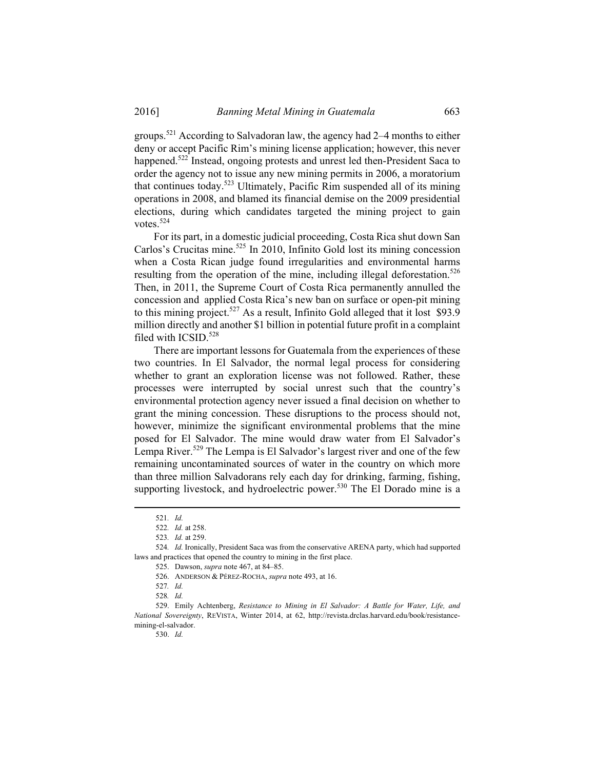groups.<sup>521</sup> According to Salvadoran law, the agency had 2–4 months to either deny or accept Pacific Rim's mining license application; however, this never happened.<sup>522</sup> Instead, ongoing protests and unrest led then-President Saca to order the agency not to issue any new mining permits in 2006, a moratorium that continues today.<sup>523</sup> Ultimately, Pacific Rim suspended all of its mining operations in 2008, and blamed its financial demise on the 2009 presidential elections, during which candidates targeted the mining project to gain votes.<sup>524</sup>

For its part, in a domestic judicial proceeding, Costa Rica shut down San Carlos's Crucitas mine.<sup>525</sup> In 2010, Infinito Gold lost its mining concession when a Costa Rican judge found irregularities and environmental harms resulting from the operation of the mine, including illegal deforestation.<sup>526</sup> Then, in 2011, the Supreme Court of Costa Rica permanently annulled the concession and applied Costa Rica's new ban on surface or open-pit mining to this mining project.<sup>527</sup> As a result, Infinito Gold alleged that it lost \$93.9 million directly and another \$1 billion in potential future profit in a complaint filed with ICSID.<sup>528</sup>

There are important lessons for Guatemala from the experiences of these two countries. In El Salvador, the normal legal process for considering whether to grant an exploration license was not followed. Rather, these processes were interrupted by social unrest such that the country's environmental protection agency never issued a final decision on whether to grant the mining concession. These disruptions to the process should not, however, minimize the significant environmental problems that the mine posed for El Salvador. The mine would draw water from El Salvador's Lempa River.<sup>529</sup> The Lempa is El Salvador's largest river and one of the few remaining uncontaminated sources of water in the country on which more than three million Salvadorans rely each day for drinking, farming, fishing, supporting livestock, and hydroelectric power.<sup>530</sup> The El Dorado mine is a

530. *Id.*

 <sup>521</sup>*. Id.*

<sup>522</sup>*. Id.* at 258.

<sup>523</sup>*. Id.* at 259.

<sup>524</sup>*. Id.* Ironically, President Saca was from the conservative ARENA party, which had supported laws and practices that opened the country to mining in the first place.

 <sup>525.</sup> Dawson, *supra* note 467, at 84–85.

 <sup>526.</sup> ANDERSON & PÉREZ-ROCHA, *supra* note 493, at 16.

<sup>527</sup>*. Id.*

<sup>528</sup>*. Id.*

 <sup>529.</sup> Emily Achtenberg, *Resistance to Mining in El Salvador: A Battle for Water, Life, and National Sovereignty*, REVISTA, Winter 2014, at 62, http://revista.drclas.harvard.edu/book/resistancemining-el-salvador.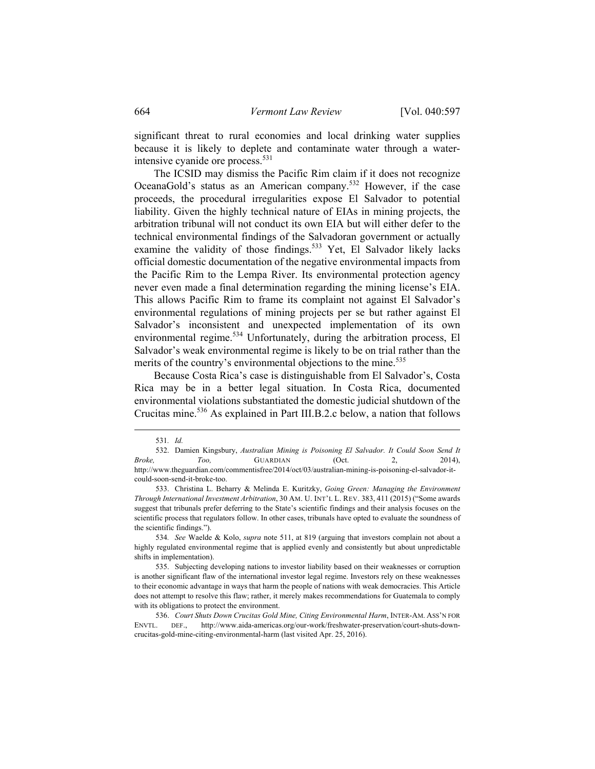significant threat to rural economies and local drinking water supplies because it is likely to deplete and contaminate water through a waterintensive cyanide ore process.<sup>531</sup>

The ICSID may dismiss the Pacific Rim claim if it does not recognize OceanaGold's status as an American company.532 However, if the case proceeds, the procedural irregularities expose El Salvador to potential liability. Given the highly technical nature of EIAs in mining projects, the arbitration tribunal will not conduct its own EIA but will either defer to the technical environmental findings of the Salvadoran government or actually examine the validity of those findings.<sup>533</sup> Yet, El Salvador likely lacks official domestic documentation of the negative environmental impacts from the Pacific Rim to the Lempa River. Its environmental protection agency never even made a final determination regarding the mining license's EIA. This allows Pacific Rim to frame its complaint not against El Salvador's environmental regulations of mining projects per se but rather against El Salvador's inconsistent and unexpected implementation of its own environmental regime.<sup>534</sup> Unfortunately, during the arbitration process, El Salvador's weak environmental regime is likely to be on trial rather than the merits of the country's environmental objections to the mine.<sup>535</sup>

Because Costa Rica's case is distinguishable from El Salvador's, Costa Rica may be in a better legal situation. In Costa Rica, documented environmental violations substantiated the domestic judicial shutdown of the Crucitas mine.536 As explained in Part III.B.2.c below, a nation that follows

 <sup>531</sup>*. Id.*

 <sup>532.</sup> Damien Kingsbury, *Australian Mining is Poisoning El Salvador. It Could Soon Send It Broke, Too,* GUARDIAN (Oct. 2, 2014), http://www.theguardian.com/commentisfree/2014/oct/03/australian-mining-is-poisoning-el-salvador-itcould-soon-send-it-broke-too.

 <sup>533.</sup> Christina L. Beharry & Melinda E. Kuritzky, *Going Green: Managing the Environment Through International Investment Arbitration*, 30 AM. U. INT'L L. REV. 383, 411 (2015) ("Some awards suggest that tribunals prefer deferring to the State's scientific findings and their analysis focuses on the scientific process that regulators follow. In other cases, tribunals have opted to evaluate the soundness of the scientific findings.").

<sup>534</sup>*. See* Waelde & Kolo, *supra* note 511, at 819 (arguing that investors complain not about a highly regulated environmental regime that is applied evenly and consistently but about unpredictable shifts in implementation).

 <sup>535.</sup> Subjecting developing nations to investor liability based on their weaknesses or corruption is another significant flaw of the international investor legal regime. Investors rely on these weaknesses to their economic advantage in ways that harm the people of nations with weak democracies. This Article does not attempt to resolve this flaw; rather, it merely makes recommendations for Guatemala to comply with its obligations to protect the environment.

 <sup>536.</sup> *Court Shuts Down Crucitas Gold Mine, Citing Environmental Harm*, INTER-AM. ASS'N FOR ENVTL. DEF., http://www.aida-americas.org/our-work/freshwater-preservation/court-shuts-downcrucitas-gold-mine-citing-environmental-harm (last visited Apr. 25, 2016).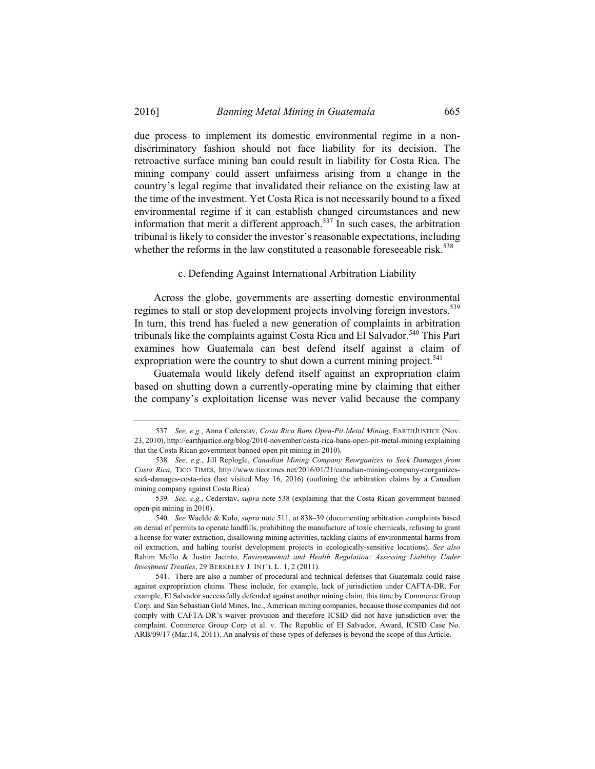due process to implement its domestic environmental regime in a nondiscriminatory fashion should not face liability for its decision. The retroactive surface mining ban could result in liability for Costa Rica. The mining company could assert unfairness arising from a change in the country's legal regime that invalidated their reliance on the existing law at the time of the investment. Yet Costa Rica is not necessarily bound to a fixed environmental regime if it can establish changed circumstances and new information that merit a different approach.<sup>537</sup> In such cases, the arbitration tribunal is likely to consider the investor's reasonable expectations, including whether the reforms in the law constituted a reasonable foreseeable risk.<sup>538</sup>

c. Defending Against International Arbitration Liability

Across the globe, governments are asserting domestic environmental regimes to stall or stop development projects involving foreign investors.<sup>539</sup> In turn, this trend has fueled a new generation of complaints in arbitration tribunals like the complaints against Costa Rica and El Salvador.<sup>540</sup> This Part examines how Guatemala can best defend itself against a claim of expropriation were the country to shut down a current mining project.<sup>541</sup>

Guatemala would likely defend itself against an expropriation claim based on shutting down a currently-operating mine by claiming that either the company's exploitation license was never valid because the company

 <sup>537</sup>*. See, e.g.*, Anna Cederstav, *Costa Rica Bans Open-Pit Metal Mining*, EARTHJUSTICE (Nov. 23, 2010), http://earthjustice.org/blog/2010-november/costa-rica-bans-open-pit-metal-mining (explaining that the Costa Rican government banned open pit mining in 2010).

<sup>538</sup>*. See, e.g.*, Jill Replogle, *Canadian Mining Company Reorganizes to Seek Damages from Costa Rica*, TICO TIMES, http://www.ticotimes.net/2016/01/21/canadian-mining-company-reorganizesseek-damages-costa-rica (last visited May 16, 2016) (outlining the arbitration claims by a Canadian mining company against Costa Rica).

<sup>539</sup>*. See, e.g.*, Cederstav, *supra* note 538 (explaining that the Costa Rican government banned open-pit mining in 2010).

<sup>540</sup>*. See* Waelde & Kolo, *supra* note 511, at 838–39 (documenting arbitration complaints based on denial of permits to operate landfills, prohibiting the manufacture of toxic chemicals, refusing to grant a license for water extraction, disallowing mining activities, tackling claims of environmental harms from oil extraction, and halting tourist development projects in ecologically-sensitive locations). *See also* Rahim Mollo & Justin Jacinto, *Environmental and Health Regulation: Assessing Liability Under Investment Treaties*, 29 BERKELEY J. INT'L L. 1, 2 (2011).

 <sup>541.</sup> There are also a number of procedural and technical defenses that Guatemala could raise against expropriation claims. These include, for example, lack of jurisdiction under CAFTA-DR. For example, El Salvador successfully defended against another mining claim, this time by Commerce Group Corp. and San Sebastian Gold Mines, Inc., American mining companies, because those companies did not comply with CAFTA-DR's waiver provision and therefore ICSID did not have jurisdiction over the complaint. Commerce Group Corp et al. v. The Republic of El Salvador, Award, ICSID Case No. ARB/09/17 (Mar.14, 2011). An analysis of these types of defenses is beyond the scope of this Article.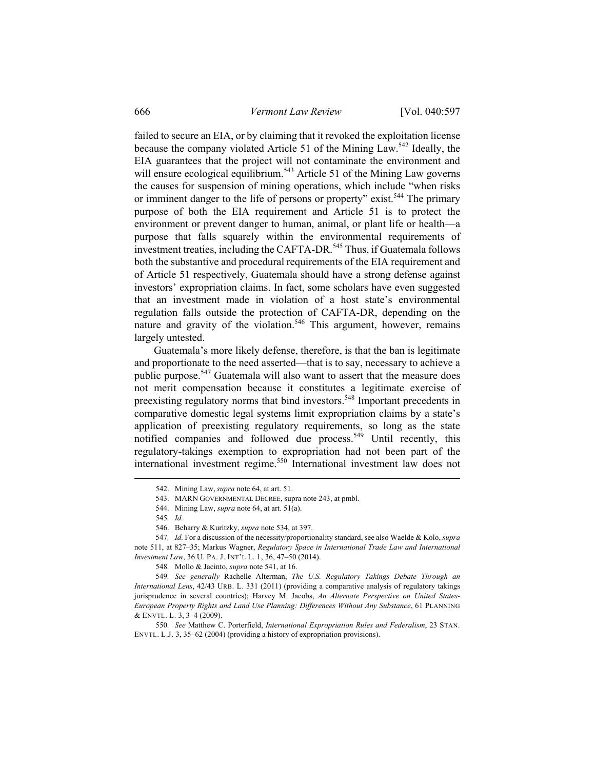failed to secure an EIA, or by claiming that it revoked the exploitation license because the company violated Article 51 of the Mining Law.542 Ideally, the EIA guarantees that the project will not contaminate the environment and will ensure ecological equilibrium.<sup>543</sup> Article 51 of the Mining Law governs the causes for suspension of mining operations, which include "when risks or imminent danger to the life of persons or property" exist.<sup>544</sup> The primary purpose of both the EIA requirement and Article 51 is to protect the environment or prevent danger to human, animal, or plant life or health—a purpose that falls squarely within the environmental requirements of investment treaties, including the CAFTA-DR.<sup>545</sup> Thus, if Guatemala follows both the substantive and procedural requirements of the EIA requirement and of Article 51 respectively, Guatemala should have a strong defense against investors' expropriation claims. In fact, some scholars have even suggested that an investment made in violation of a host state's environmental regulation falls outside the protection of CAFTA-DR, depending on the nature and gravity of the violation.<sup>546</sup> This argument, however, remains largely untested.

Guatemala's more likely defense, therefore, is that the ban is legitimate and proportionate to the need asserted—that is to say, necessary to achieve a public purpose.<sup>547</sup> Guatemala will also want to assert that the measure does not merit compensation because it constitutes a legitimate exercise of preexisting regulatory norms that bind investors.548 Important precedents in comparative domestic legal systems limit expropriation claims by a state's application of preexisting regulatory requirements, so long as the state notified companies and followed due process.<sup>549</sup> Until recently, this regulatory-takings exemption to expropriation had not been part of the international investment regime.550 International investment law does not

 <sup>542.</sup> Mining Law, *supra* note 64, at art. 51.

 <sup>543.</sup> MARN GOVERNMENTAL DECREE, supra note 243, at pmbl.

 <sup>544.</sup> Mining Law, *supra* note 64, at art. 51(a).

<sup>545</sup>*. Id.*

 <sup>546.</sup> Beharry & Kuritzky, *supra* note 534, at 397.

<sup>547</sup>*. Id.* For a discussion of the necessity/proportionality standard, see also Waelde & Kolo, *supra*  note 511, at 827–35; Markus Wagner, *Regulatory Space in International Trade Law and International Investment Law*, 36 U. PA. J. INT'L L. 1, 36, 47–50 (2014).

<sup>548</sup>*.* Mollo & Jacinto, *supra* note 541, at 16.

<sup>549</sup>*. See generally* Rachelle Alterman, *The U.S. Regulatory Takings Debate Through an International Lens*, 42/43 URB. L. 331 (2011) (providing a comparative analysis of regulatory takings jurisprudence in several countries); Harvey M. Jacobs, *An Alternate Perspective on United States-European Property Rights and Land Use Planning: Differences Without Any Substance*, 61 PLANNING & ENVTL. L. 3, 3–4 (2009).

<sup>550</sup>*. See* Matthew C. Porterfield, *International Expropriation Rules and Federalism*, 23 STAN. ENVTL. L.J. 3, 35–62 (2004) (providing a history of expropriation provisions).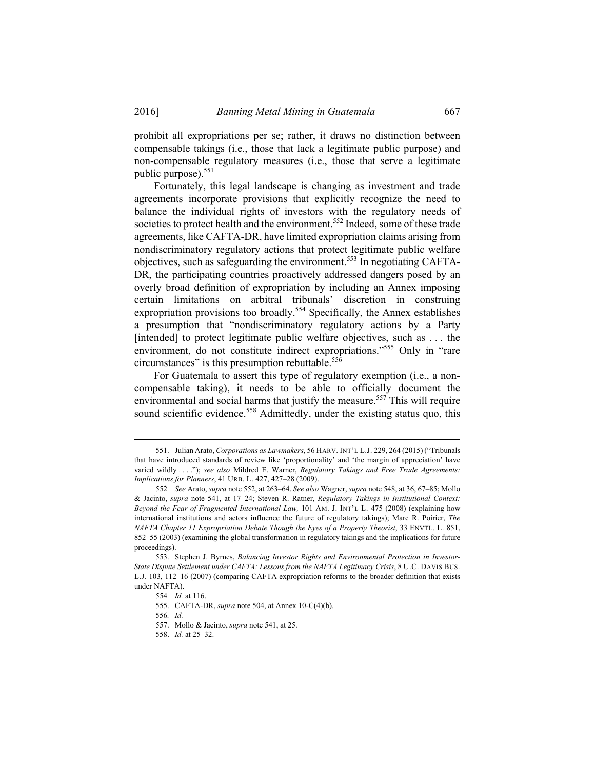prohibit all expropriations per se; rather, it draws no distinction between compensable takings (i.e., those that lack a legitimate public purpose) and non-compensable regulatory measures (i.e., those that serve a legitimate public purpose).<sup>551</sup>

Fortunately, this legal landscape is changing as investment and trade agreements incorporate provisions that explicitly recognize the need to balance the individual rights of investors with the regulatory needs of societies to protect health and the environment.<sup>552</sup> Indeed, some of these trade agreements, like CAFTA-DR, have limited expropriation claims arising from nondiscriminatory regulatory actions that protect legitimate public welfare objectives, such as safeguarding the environment.553 In negotiating CAFTA-DR, the participating countries proactively addressed dangers posed by an overly broad definition of expropriation by including an Annex imposing certain limitations on arbitral tribunals' discretion in construing expropriation provisions too broadly.<sup>554</sup> Specifically, the Annex establishes a presumption that "nondiscriminatory regulatory actions by a Party [intended] to protect legitimate public welfare objectives, such as . . . the environment, do not constitute indirect expropriations."<sup>555</sup> Only in "rare circumstances" is this presumption rebuttable.<sup>556</sup>

For Guatemala to assert this type of regulatory exemption (i.e., a noncompensable taking), it needs to be able to officially document the environmental and social harms that justify the measure.<sup>557</sup> This will require sound scientific evidence.<sup>558</sup> Admittedly, under the existing status quo, this

 <sup>551.</sup> Julian Arato, *Corporations as Lawmakers*, 56 HARV. INT'L L.J. 229, 264 (2015) ("Tribunals that have introduced standards of review like 'proportionality' and 'the margin of appreciation' have varied wildly . . . ."); *see also* Mildred E. Warner, *Regulatory Takings and Free Trade Agreements: Implications for Planners*, 41 URB. L. 427, 427–28 (2009).

<sup>552</sup>*. See* Arato, *supra* note 552, at 263–64. *See also* Wagner, *supra* note 548, at 36, 67–85; Mollo & Jacinto, *supra* note 541, at 17–24; Steven R. Ratner, *Regulatory Takings in Institutional Context: Beyond the Fear of Fragmented International Law,* 101 AM. J. INT'L L. 475 (2008) (explaining how international institutions and actors influence the future of regulatory takings); Marc R. Poirier, *The NAFTA Chapter 11 Expropriation Debate Though the Eyes of a Property Theorist*, 33 ENVTL. L. 851, 852–55 (2003) (examining the global transformation in regulatory takings and the implications for future proceedings).

 <sup>553.</sup> Stephen J. Byrnes, *Balancing Investor Rights and Environmental Protection in Investor-State Dispute Settlement under CAFTA: Lessons from the NAFTA Legitimacy Crisis*, 8 U.C. DAVIS BUS. L.J. 103, 112–16 (2007) (comparing CAFTA expropriation reforms to the broader definition that exists under NAFTA).

<sup>554</sup>*. Id.* at 116.

 <sup>555.</sup> CAFTA-DR, *supra* note 504, at Annex 10-C(4)(b).

<sup>556</sup>*. Id.*

 <sup>557.</sup> Mollo & Jacinto, *supra* note 541, at 25.

 <sup>558.</sup> *Id.* at 25–32.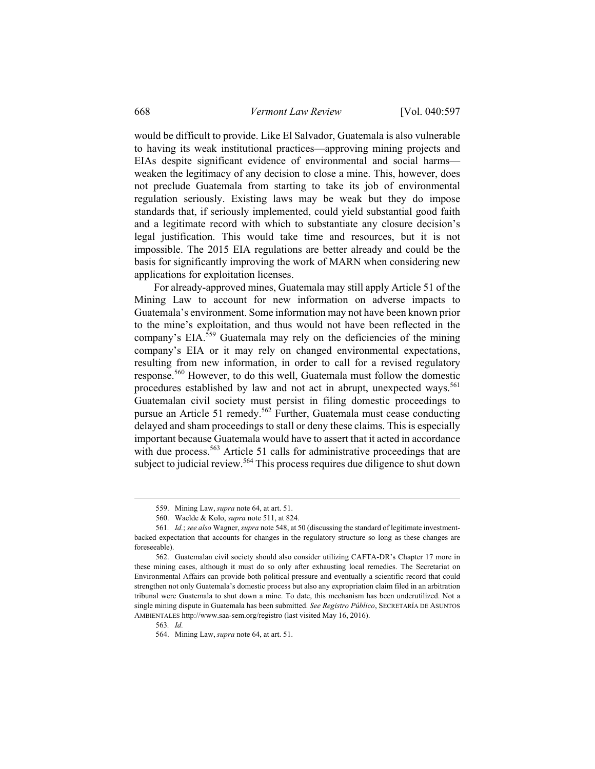would be difficult to provide. Like El Salvador, Guatemala is also vulnerable to having its weak institutional practices—approving mining projects and EIAs despite significant evidence of environmental and social harms weaken the legitimacy of any decision to close a mine. This, however, does not preclude Guatemala from starting to take its job of environmental regulation seriously. Existing laws may be weak but they do impose standards that, if seriously implemented, could yield substantial good faith and a legitimate record with which to substantiate any closure decision's legal justification. This would take time and resources, but it is not impossible. The 2015 EIA regulations are better already and could be the basis for significantly improving the work of MARN when considering new applications for exploitation licenses.

For already-approved mines, Guatemala may still apply Article 51 of the Mining Law to account for new information on adverse impacts to Guatemala's environment. Some information may not have been known prior to the mine's exploitation, and thus would not have been reflected in the company's EIA. $559$  Guatemala may rely on the deficiencies of the mining company's EIA or it may rely on changed environmental expectations, resulting from new information, in order to call for a revised regulatory response.560 However, to do this well, Guatemala must follow the domestic procedures established by law and not act in abrupt, unexpected ways.<sup>561</sup> Guatemalan civil society must persist in filing domestic proceedings to pursue an Article 51 remedy.<sup>562</sup> Further, Guatemala must cease conducting delayed and sham proceedings to stall or deny these claims. This is especially important because Guatemala would have to assert that it acted in accordance with due process.<sup>563</sup> Article 51 calls for administrative proceedings that are subject to judicial review.<sup>564</sup> This process requires due diligence to shut down

 <sup>559.</sup> Mining Law, *supra* note 64, at art. 51.

 <sup>560.</sup> Waelde & Kolo, *supra* note 511, at 824.

<sup>561</sup>*. Id.*; *see also* Wagner, *supra* note 548, at 50 (discussing the standard of legitimate investmentbacked expectation that accounts for changes in the regulatory structure so long as these changes are foreseeable).

 <sup>562.</sup> Guatemalan civil society should also consider utilizing CAFTA-DR's Chapter 17 more in these mining cases, although it must do so only after exhausting local remedies. The Secretariat on Environmental Affairs can provide both political pressure and eventually a scientific record that could strengthen not only Guatemala's domestic process but also any expropriation claim filed in an arbitration tribunal were Guatemala to shut down a mine. To date, this mechanism has been underutilized. Not a single mining dispute in Guatemala has been submitted. *See Registro Público*, SECRETARÍA DE ASUNTOS AMBIENTALES http://www.saa-sem.org/registro (last visited May 16, 2016).

<sup>563</sup>*. Id.*

 <sup>564.</sup> Mining Law, *supra* note 64, at art. 51.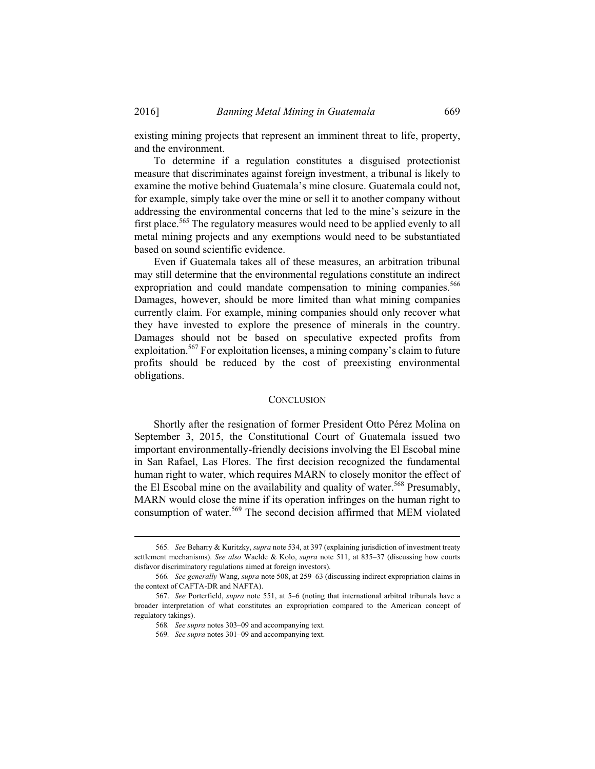existing mining projects that represent an imminent threat to life, property, and the environment.

To determine if a regulation constitutes a disguised protectionist measure that discriminates against foreign investment, a tribunal is likely to examine the motive behind Guatemala's mine closure. Guatemala could not, for example, simply take over the mine or sell it to another company without addressing the environmental concerns that led to the mine's seizure in the first place.<sup>565</sup> The regulatory measures would need to be applied evenly to all metal mining projects and any exemptions would need to be substantiated based on sound scientific evidence.

Even if Guatemala takes all of these measures, an arbitration tribunal may still determine that the environmental regulations constitute an indirect expropriation and could mandate compensation to mining companies.<sup>566</sup> Damages, however, should be more limited than what mining companies currently claim. For example, mining companies should only recover what they have invested to explore the presence of minerals in the country. Damages should not be based on speculative expected profits from exploitation.<sup>567</sup> For exploitation licenses, a mining company's claim to future profits should be reduced by the cost of preexisting environmental obligations.

## **CONCLUSION**

Shortly after the resignation of former President Otto Pérez Molina on September 3, 2015, the Constitutional Court of Guatemala issued two important environmentally-friendly decisions involving the El Escobal mine in San Rafael, Las Flores. The first decision recognized the fundamental human right to water, which requires MARN to closely monitor the effect of the El Escobal mine on the availability and quality of water.<sup>568</sup> Presumably, MARN would close the mine if its operation infringes on the human right to consumption of water.<sup>569</sup> The second decision affirmed that MEM violated

 <sup>565</sup>*. See* Beharry & Kuritzky, *supra* note 534, at 397 (explaining jurisdiction of investment treaty settlement mechanisms). *See also* Waelde & Kolo, *supra* note 511, at 835–37 (discussing how courts disfavor discriminatory regulations aimed at foreign investors).

<sup>566</sup>*. See generally* Wang, *supra* note 508, at 259–63 (discussing indirect expropriation claims in the context of CAFTA-DR and NAFTA).

 <sup>567.</sup> *See* Porterfield, *supra* note 551, at 5–6 (noting that international arbitral tribunals have a broader interpretation of what constitutes an expropriation compared to the American concept of regulatory takings).

<sup>568</sup>*. See supra* notes 303–09 and accompanying text.

<sup>569</sup>*. See supra* notes 301–09 and accompanying text.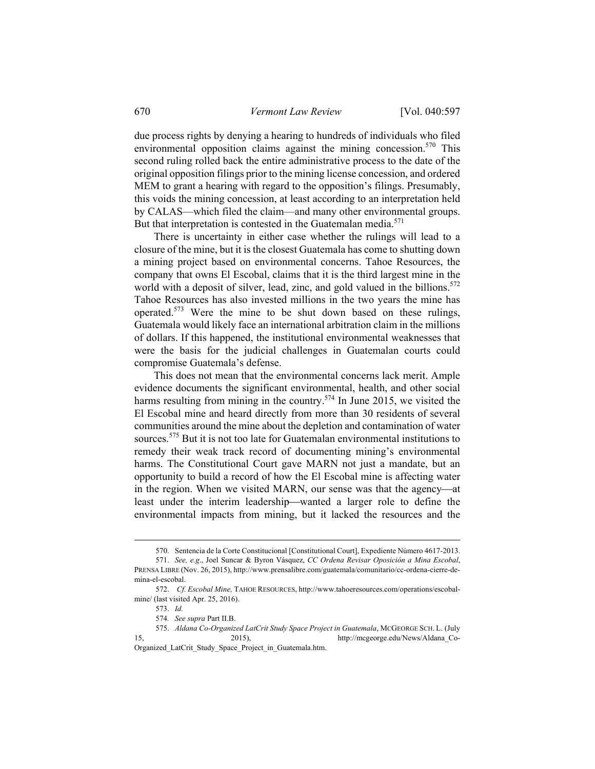due process rights by denying a hearing to hundreds of individuals who filed environmental opposition claims against the mining concession.<sup>570</sup> This second ruling rolled back the entire administrative process to the date of the original opposition filings prior to the mining license concession, and ordered MEM to grant a hearing with regard to the opposition's filings. Presumably, this voids the mining concession, at least according to an interpretation held by CALAS—which filed the claim—and many other environmental groups. But that interpretation is contested in the Guatemalan media. $571$ 

There is uncertainty in either case whether the rulings will lead to a closure of the mine, but it is the closest Guatemala has come to shutting down a mining project based on environmental concerns. Tahoe Resources, the company that owns El Escobal, claims that it is the third largest mine in the world with a deposit of silver, lead, zinc, and gold valued in the billions.<sup>572</sup> Tahoe Resources has also invested millions in the two years the mine has operated.573 Were the mine to be shut down based on these rulings, Guatemala would likely face an international arbitration claim in the millions of dollars. If this happened, the institutional environmental weaknesses that were the basis for the judicial challenges in Guatemalan courts could compromise Guatemala's defense.

This does not mean that the environmental concerns lack merit. Ample evidence documents the significant environmental, health, and other social harms resulting from mining in the country.<sup>574</sup> In June 2015, we visited the El Escobal mine and heard directly from more than 30 residents of several communities around the mine about the depletion and contamination of water sources.<sup>575</sup> But it is not too late for Guatemalan environmental institutions to remedy their weak track record of documenting mining's environmental harms. The Constitutional Court gave MARN not just a mandate, but an opportunity to build a record of how the El Escobal mine is affecting water in the region. When we visited MARN, our sense was that the agency—at least under the interim leadership—wanted a larger role to define the environmental impacts from mining, but it lacked the resources and the

Organized\_LatCrit\_Study\_Space\_Project\_in\_Guatemala.htm.

 <sup>570.</sup> Sentencia de la Corte Constitucional [Constitutional Court], Expediente Número 4617-2013.

 <sup>571.</sup> *See, e.g*., Joel Suncar & Byron Vásquez, *CC Ordena Revisar Oposición a Mina Escobal*, PRENSA LIBRE (Nov. 26, 2015), http://www.prensalibre.com/guatemala/comunitario/cc-ordena-cierre-demina-el-escobal.

 <sup>572.</sup> *Cf. Escobal Mine,* TAHOE RESOURCES, http://www.tahoeresources.com/operations/escobalmine/ (last visited Apr. 25, 2016).

 <sup>573.</sup> *Id.*

<sup>574</sup>*. See supra* Part II.B.

 <sup>575.</sup> *Aldana Co-Organized LatCrit Study Space Project in Guatemala*, MCGEORGE SCH. L. (July 15, 2015), http://mcgeorge.edu/News/Aldana\_Co-